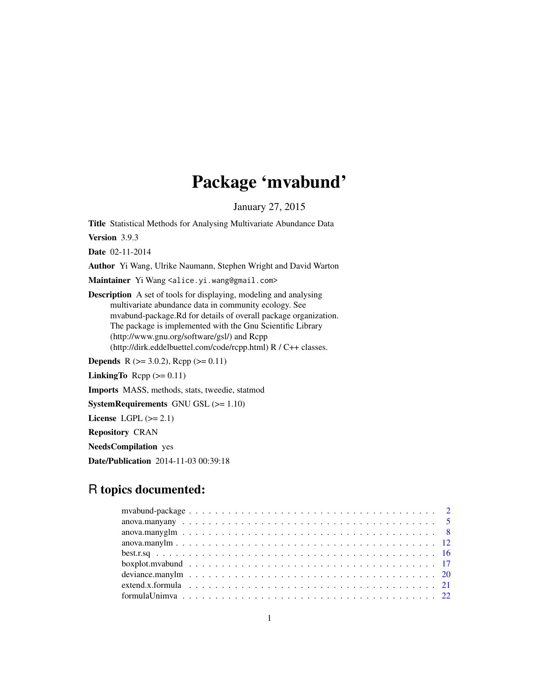# Package 'mvabund'

January 27, 2015

<span id="page-0-0"></span>Title Statistical Methods for Analysing Multivariate Abundance Data

Version 3.9.3

Date 02-11-2014

Author Yi Wang, Ulrike Naumann, Stephen Wright and David Warton

Maintainer Yi Wang <alice.yi.wang@gmail.com>

Description A set of tools for displaying, modeling and analysing multivariate abundance data in community ecology. See mvabund-package.Rd for details of overall package organization. The package is implemented with the Gnu Scientific Library (http://www.gnu.org/software/gsl/) and Rcpp (http://dirk.eddelbuettel.com/code/rcpp.html) R / C++ classes.

**Depends** R ( $>= 3.0.2$ ), Rcpp ( $>= 0.11$ )

LinkingTo Rcpp  $(>= 0.11)$ 

Imports MASS, methods, stats, tweedie, statmod

SystemRequirements GNU GSL (>= 1.10)

License LGPL  $(>= 2.1)$ 

Repository CRAN

NeedsCompilation yes

Date/Publication 2014-11-03 00:39:18

# R topics documented: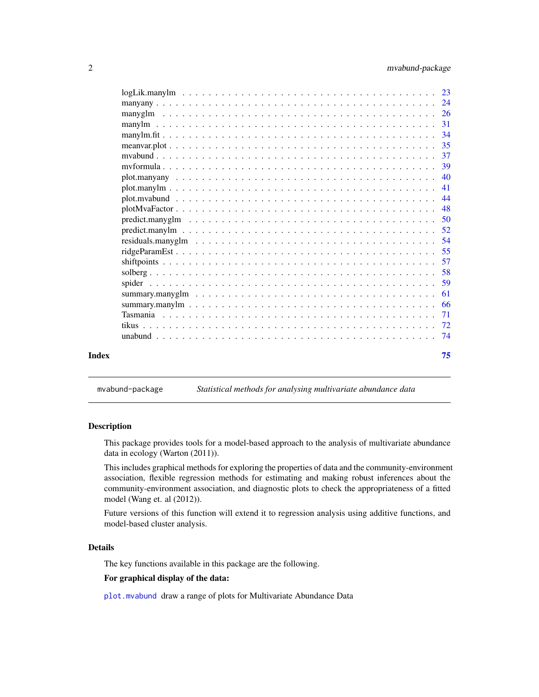<span id="page-1-0"></span>

| Index |                                                                                                                | 75   |
|-------|----------------------------------------------------------------------------------------------------------------|------|
|       |                                                                                                                | - 74 |
|       |                                                                                                                |      |
|       |                                                                                                                | 71   |
|       |                                                                                                                | -66  |
|       |                                                                                                                | 61   |
|       |                                                                                                                | 59   |
|       |                                                                                                                | 58   |
|       |                                                                                                                | 57   |
|       |                                                                                                                | -55  |
|       | residuals.manyglm $\ldots \ldots \ldots \ldots \ldots \ldots \ldots \ldots \ldots \ldots \ldots \ldots \ldots$ | 54   |
|       |                                                                                                                |      |
|       |                                                                                                                |      |
|       |                                                                                                                | -48  |
|       |                                                                                                                | 44   |
|       |                                                                                                                | 41   |
|       |                                                                                                                | 40   |
|       |                                                                                                                | 39   |
|       |                                                                                                                |      |
|       |                                                                                                                | 35   |
|       |                                                                                                                |      |
|       |                                                                                                                | -31  |
|       |                                                                                                                |      |
|       |                                                                                                                |      |
|       |                                                                                                                |      |

mvabund-package *Statistical methods for analysing multivariate abundance data*

# Description

This package provides tools for a model-based approach to the analysis of multivariate abundance data in ecology (Warton (2011)).

This includes graphical methods for exploring the properties of data and the community-environment association, flexible regression methods for estimating and making robust inferences about the community-environment association, and diagnostic plots to check the appropriateness of a fitted model (Wang et. al (2012)).

Future versions of this function will extend it to regression analysis using additive functions, and model-based cluster analysis.

# Details

The key functions available in this package are the following.

#### For graphical display of the data:

[plot.mvabund](#page-43-1) draw a range of plots for Multivariate Abundance Data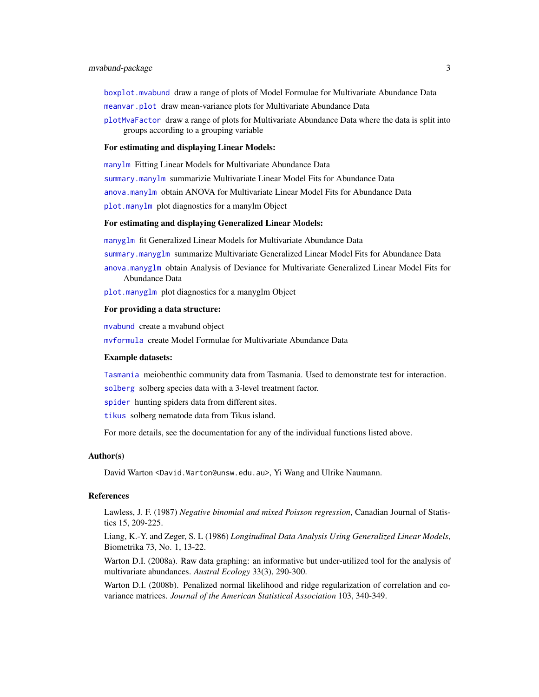# mvabund-package 3

[boxplot.mvabund](#page-16-1) draw a range of plots of Model Formulae for Multivariate Abundance Data [meanvar.plot](#page-34-1) draw mean-variance plots for Multivariate Abundance Data

[plotMvaFactor](#page-47-1) draw a range of plots for Multivariate Abundance Data where the data is split into groups according to a grouping variable

#### For estimating and displaying Linear Models:

[manylm](#page-30-1) Fitting Linear Models for Multivariate Abundance Data [summary.manylm](#page-65-1) summarizie Multivariate Linear Model Fits for Abundance Data [anova.manylm](#page-11-1) obtain ANOVA for Multivariate Linear Model Fits for Abundance Data [plot.manylm](#page-40-1) plot diagnostics for a manylm Object

# For estimating and displaying Generalized Linear Models:

[manyglm](#page-25-1) fit Generalized Linear Models for Multivariate Abundance Data [summary.manyglm](#page-60-1) summarize Multivariate Generalized Linear Model Fits for Abundance Data [anova.manyglm](#page-7-1) obtain Analysis of Deviance for Multivariate Generalized Linear Model Fits for Abundance Data

[plot.manyglm](#page-40-2) plot diagnostics for a manyglm Object

#### For providing a data structure:

[mvabund](#page-36-1) create a mvabund object

[mvformula](#page-38-1) create Model Formulae for Multivariate Abundance Data

#### Example datasets:

[Tasmania](#page-70-1) meiobenthic community data from Tasmania. Used to demonstrate test for interaction.

[solberg](#page-57-1) solberg species data with a 3-level treatment factor.

[spider](#page-58-1) hunting spiders data from different sites.

[tikus](#page-71-1) solberg nematode data from Tikus island.

For more details, see the documentation for any of the individual functions listed above.

#### Author(s)

David Warton <David.Warton@unsw.edu.au>, Yi Wang and Ulrike Naumann.

#### References

Lawless, J. F. (1987) *Negative binomial and mixed Poisson regression*, Canadian Journal of Statistics 15, 209-225.

Liang, K.-Y. and Zeger, S. L (1986) *Longitudinal Data Analysis Using Generalized Linear Models*, Biometrika 73, No. 1, 13-22.

Warton D.I. (2008a). Raw data graphing: an informative but under-utilized tool for the analysis of multivariate abundances. *Austral Ecology* 33(3), 290-300.

Warton D.I. (2008b). Penalized normal likelihood and ridge regularization of correlation and covariance matrices. *Journal of the American Statistical Association* 103, 340-349.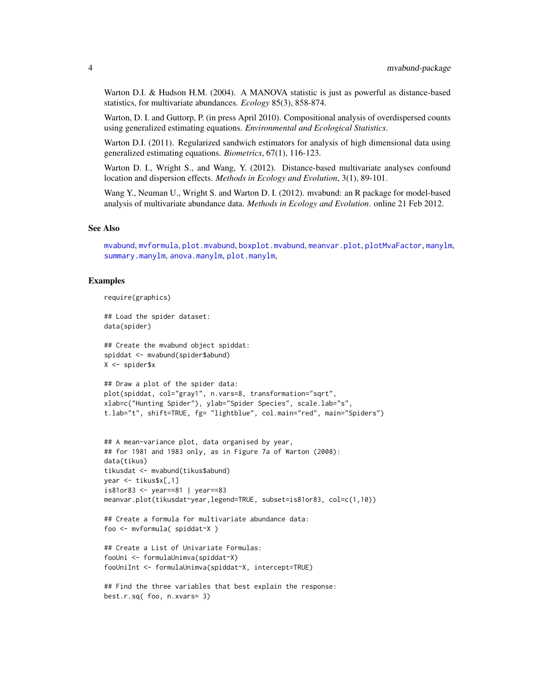Warton D.I. & Hudson H.M. (2004). A MANOVA statistic is just as powerful as distance-based statistics, for multivariate abundances. *Ecology* 85(3), 858-874.

Warton, D. I. and Guttorp, P. (in press April 2010). Compositional analysis of overdispersed counts using generalized estimating equations. *Environmental and Ecological Statistics*.

Warton D.I. (2011). Regularized sandwich estimators for analysis of high dimensional data using generalized estimating equations. *Biometrics*, 67(1), 116-123.

Warton D. I., Wright S., and Wang, Y. (2012). Distance-based multivariate analyses confound location and dispersion effects. *Methods in Ecology and Evolution*, 3(1), 89-101.

Wang Y., Neuman U., Wright S. and Warton D. I. (2012). mvabund: an R package for model-based analysis of multivariate abundance data. *Methods in Ecology and Evolution*. online 21 Feb 2012.

# See Also

[mvabund](#page-36-1), [mvformula](#page-38-1), [plot.mvabund](#page-43-1), [boxplot.mvabund](#page-16-1), [meanvar.plot](#page-34-1), [plotMvaFactor](#page-47-1), [manylm](#page-30-1), [summary.manylm](#page-65-1), [anova.manylm](#page-11-1), [plot.manylm](#page-40-1),

# Examples

```
require(graphics)
```
## Load the spider dataset: data(spider)

## Create the mvabund object spiddat: spiddat <- mvabund(spider\$abund) X <- spider\$x

```
## Draw a plot of the spider data:
plot(spiddat, col="gray1", n.vars=8, transformation="sqrt",
xlab=c("Hunting Spider"), ylab="Spider Species", scale.lab="s",
t.lab="t", shift=TRUE, fg= "lightblue", col.main="red", main="Spiders")
```

```
## A mean-variance plot, data organised by year,
## for 1981 and 1983 only, as in Figure 7a of Warton (2008):
data(tikus)
tikusdat <- mvabund(tikus$abund)
year <- tikus$x[,1]
is81or83 <- year==81 | year==83
meanvar.plot(tikusdat~year,legend=TRUE, subset=is81or83, col=c(1,10))
```

```
## Create a formula for multivariate abundance data:
foo <- mvformula( spiddat~X )
```

```
## Create a List of Univariate Formulas:
fooUni <- formulaUnimva(spiddat~X)
fooUniInt <- formulaUnimva(spiddat~X, intercept=TRUE)
```

```
## Find the three variables that best explain the response:
best.r.sq( foo, n.xvars= 3)
```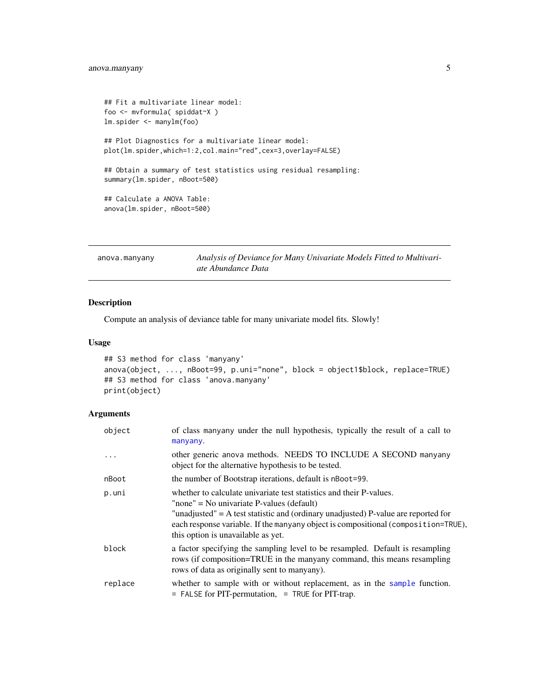```
## Fit a multivariate linear model:
foo <- mvformula( spiddat~X )
lm.spider <- manylm(foo)
## Plot Diagnostics for a multivariate linear model:
plot(lm.spider,which=1:2,col.main="red",cex=3,overlay=FALSE)
## Obtain a summary of test statistics using residual resampling:
summary(lm.spider, nBoot=500)
## Calculate a ANOVA Table:
anova(lm.spider, nBoot=500)
```
<span id="page-4-1"></span>

| anova.manyany | Analysis of Deviance for Many Univariate Models Fitted to Multivari- |
|---------------|----------------------------------------------------------------------|
|               | ate Abundance Data                                                   |

# Description

Compute an analysis of deviance table for many univariate model fits. Slowly!

# Usage

```
## S3 method for class 'manyany'
anova(object, ..., nBoot=99, p.uni="none", block = object1$block, replace=TRUE)
## S3 method for class 'anova.manyany'
print(object)
```

| object   | of class manyany under the null hypothesis, typically the result of a call to<br>manyany.                                                                                                                                                                                                                                          |
|----------|------------------------------------------------------------------------------------------------------------------------------------------------------------------------------------------------------------------------------------------------------------------------------------------------------------------------------------|
| $\cdots$ | other generic anova methods. NEEDS TO INCLUDE A SECOND manyany<br>object for the alternative hypothesis to be tested.                                                                                                                                                                                                              |
| nBoot    | the number of Bootstrap iterations, default is nBoot=99.                                                                                                                                                                                                                                                                           |
| p.uni    | whether to calculate univariate test statistics and their P-values.<br>"none" = No univariate P-values (default)<br>"unadjusted" = A test statistic and (ordinary unadjusted) P-value are reported for<br>each response variable. If the manyany object is compositional (composition=TRUE),<br>this option is unavailable as yet. |
| block    | a factor specifying the sampling level to be resampled. Default is resampling<br>rows (if composition=TRUE in the manyany command, this means resampling<br>rows of data as originally sent to manyany).                                                                                                                           |
| replace  | whether to sample with or without replacement, as in the sample function.<br>$=$ FALSE for PIT-permutation, $=$ TRUE for PIT-trap.                                                                                                                                                                                                 |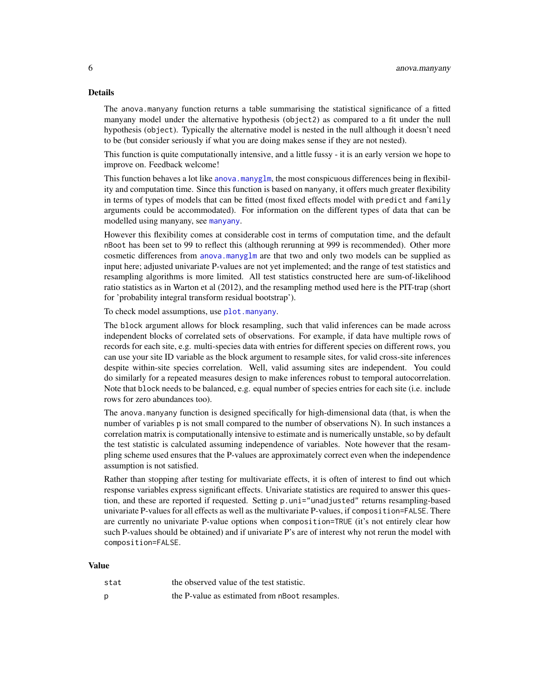# Details

The anova.manyany function returns a table summarising the statistical significance of a fitted manyany model under the alternative hypothesis (object2) as compared to a fit under the null hypothesis (object). Typically the alternative model is nested in the null although it doesn't need to be (but consider seriously if what you are doing makes sense if they are not nested).

This function is quite computationally intensive, and a little fussy - it is an early version we hope to improve on. Feedback welcome!

This function behaves a lot like [anova.manyglm](#page-7-1), the most conspicuous differences being in flexibility and computation time. Since this function is based on manyany, it offers much greater flexibility in terms of types of models that can be fitted (most fixed effects model with predict and family arguments could be accommodated). For information on the different types of data that can be modelled using manyany, see [manyany](#page-23-1).

However this flexibility comes at considerable cost in terms of computation time, and the default nBoot has been set to 99 to reflect this (although rerunning at 999 is recommended). Other more cosmetic differences from [anova.manyglm](#page-7-1) are that two and only two models can be supplied as input here; adjusted univariate P-values are not yet implemented; and the range of test statistics and resampling algorithms is more limited. All test statistics constructed here are sum-of-likelihood ratio statistics as in Warton et al (2012), and the resampling method used here is the PIT-trap (short for 'probability integral transform residual bootstrap').

To check model assumptions, use [plot.manyany](#page-39-1).

The block argument allows for block resampling, such that valid inferences can be made across independent blocks of correlated sets of observations. For example, if data have multiple rows of records for each site, e.g. multi-species data with entries for different species on different rows, you can use your site ID variable as the block argument to resample sites, for valid cross-site inferences despite within-site species correlation. Well, valid assuming sites are independent. You could do similarly for a repeated measures design to make inferences robust to temporal autocorrelation. Note that block needs to be balanced, e.g. equal number of species entries for each site (i.e. include rows for zero abundances too).

The anova.manyany function is designed specifically for high-dimensional data (that, is when the number of variables p is not small compared to the number of observations N). In such instances a correlation matrix is computationally intensive to estimate and is numerically unstable, so by default the test statistic is calculated assuming independence of variables. Note however that the resampling scheme used ensures that the P-values are approximately correct even when the independence assumption is not satisfied.

Rather than stopping after testing for multivariate effects, it is often of interest to find out which response variables express significant effects. Univariate statistics are required to answer this question, and these are reported if requested. Setting p.uni="unadjusted" returns resampling-based univariate P-values for all effects as well as the multivariate P-values, if composition=FALSE. There are currently no univariate P-value options when composition=TRUE (it's not entirely clear how such P-values should be obtained) and if univariate P's are of interest why not rerun the model with composition=FALSE.

# Value

| stat | the observed value of the test statistic.      |
|------|------------------------------------------------|
| p    | the P-value as estimated from nBoot resamples. |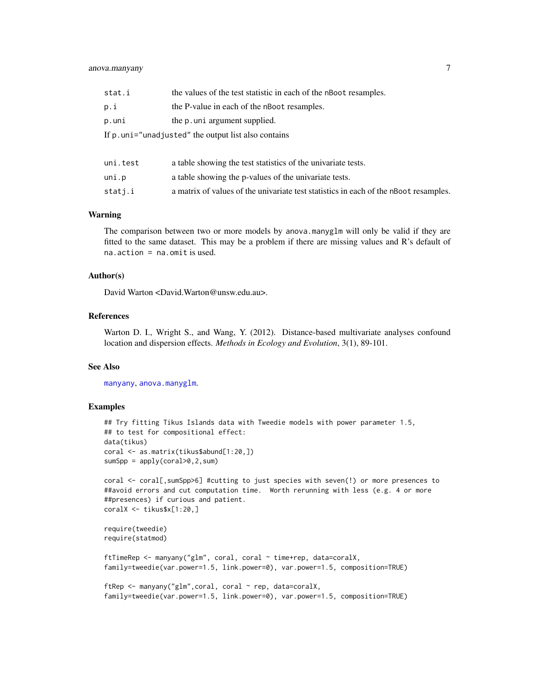# anova.manyany 7

| stat.i                                               | the values of the test statistic in each of the nBoot resamples.                     |  |  |  |  |
|------------------------------------------------------|--------------------------------------------------------------------------------------|--|--|--|--|
| p.i                                                  | the P-value in each of the nBoot resamples.                                          |  |  |  |  |
| p.uni                                                | the p.uni argument supplied.                                                         |  |  |  |  |
| If p. uni="unadjusted" the output list also contains |                                                                                      |  |  |  |  |
|                                                      |                                                                                      |  |  |  |  |
| uni.test                                             | a table showing the test statistics of the univariate tests.                         |  |  |  |  |
| uni.p                                                | a table showing the p-values of the univariate tests.                                |  |  |  |  |
| statj.i                                              | a matrix of values of the univariate test statistics in each of the nBoot resamples. |  |  |  |  |

#### Warning

The comparison between two or more models by anova.manyglm will only be valid if they are fitted to the same dataset. This may be a problem if there are missing values and R's default of na.action = na.omit is used.

#### Author(s)

David Warton <David.Warton@unsw.edu.au>.

#### References

Warton D. I., Wright S., and Wang, Y. (2012). Distance-based multivariate analyses confound location and dispersion effects. *Methods in Ecology and Evolution*, 3(1), 89-101.

#### See Also

[manyany](#page-23-1), [anova.manyglm](#page-7-1).

#### Examples

```
## Try fitting Tikus Islands data with Tweedie models with power parameter 1.5,
## to test for compositional effect:
data(tikus)
coral <- as.matrix(tikus$abund[1:20,])
sumSpp = apply(coral>0,2,sum)
coral <- coral[,sumSpp>6] #cutting to just species with seven(!) or more presences to
##avoid errors and cut computation time. Worth rerunning with less (e.g. 4 or more
##presences) if curious and patient.
coralX <- tikus$x[1:20,]
require(tweedie)
require(statmod)
ftTimeRep <- manyany("glm", coral, coral ~ time+rep, data=coralX,
family=tweedie(var.power=1.5, link.power=0), var.power=1.5, composition=TRUE)
ftRep <- manyany("glm",coral, coral ~ rep, data=coralX,
family=tweedie(var.power=1.5, link.power=0), var.power=1.5, composition=TRUE)
```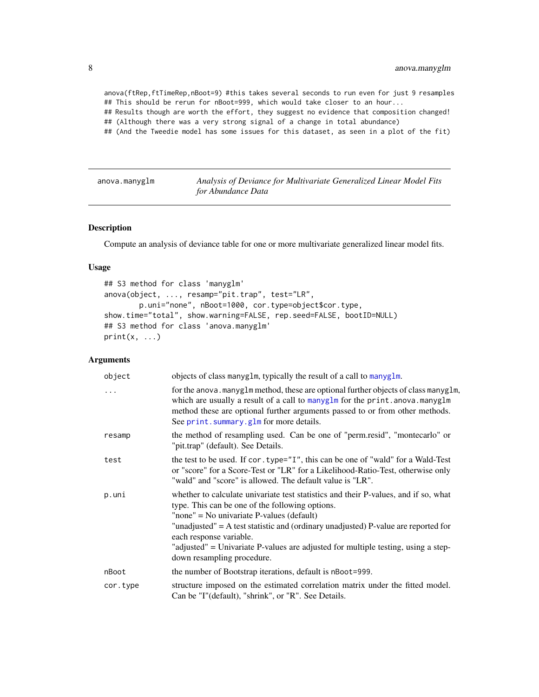<span id="page-7-0"></span>anova(ftRep,ftTimeRep,nBoot=9) #this takes several seconds to run even for just 9 resamples ## This should be rerun for nBoot=999, which would take closer to an hour...

## Results though are worth the effort, they suggest no evidence that composition changed! ## (Although there was a very strong signal of a change in total abundance)

## (And the Tweedie model has some issues for this dataset, as seen in a plot of the fit)

<span id="page-7-1"></span>anova.manyglm *Analysis of Deviance for Multivariate Generalized Linear Model Fits for Abundance Data*

# Description

Compute an analysis of deviance table for one or more multivariate generalized linear model fits.

### Usage

```
## S3 method for class 'manyglm'
anova(object, ..., resamp="pit.trap", test="LR",
        p.uni="none", nBoot=1000, cor.type=object$cor.type,
show.time="total", show.warning=FALSE, rep.seed=FALSE, bootID=NULL)
## S3 method for class 'anova.manyglm'
print(x, \ldots)
```

| object   | objects of class manyglm, typically the result of a call to manyglm.                                                                                                                                                                                                                                                                                                                                                    |
|----------|-------------------------------------------------------------------------------------------------------------------------------------------------------------------------------------------------------------------------------------------------------------------------------------------------------------------------------------------------------------------------------------------------------------------------|
| $\ddots$ | for the anova. manyglm method, these are optional further objects of class manyglm,<br>which are usually a result of a call to manyglm for the print. anova. manyglm<br>method these are optional further arguments passed to or from other methods.<br>See print. summary.glm for more details.                                                                                                                        |
| resamp   | the method of resampling used. Can be one of "perm.resid", "montecarlo" or<br>"pit.trap" (default). See Details.                                                                                                                                                                                                                                                                                                        |
| test     | the test to be used. If cor. type="I", this can be one of "wald" for a Wald-Test<br>or "score" for a Score-Test or "LR" for a Likelihood-Ratio-Test, otherwise only<br>"wald" and "score" is allowed. The default value is "LR".                                                                                                                                                                                        |
| p.uni    | whether to calculate univariate test statistics and their P-values, and if so, what<br>type. This can be one of the following options.<br>"none" = No univariate P-values (default)<br>"unadjusted" = A test statistic and (ordinary unadjusted) P-value are reported for<br>each response variable.<br>"adjusted" = Univariate P-values are adjusted for multiple testing, using a step-<br>down resampling procedure. |
| nBoot    | the number of Bootstrap iterations, default is nBoot=999.                                                                                                                                                                                                                                                                                                                                                               |
| cor.type | structure imposed on the estimated correlation matrix under the fitted model.<br>Can be "I"(default), "shrink", or "R". See Details.                                                                                                                                                                                                                                                                                    |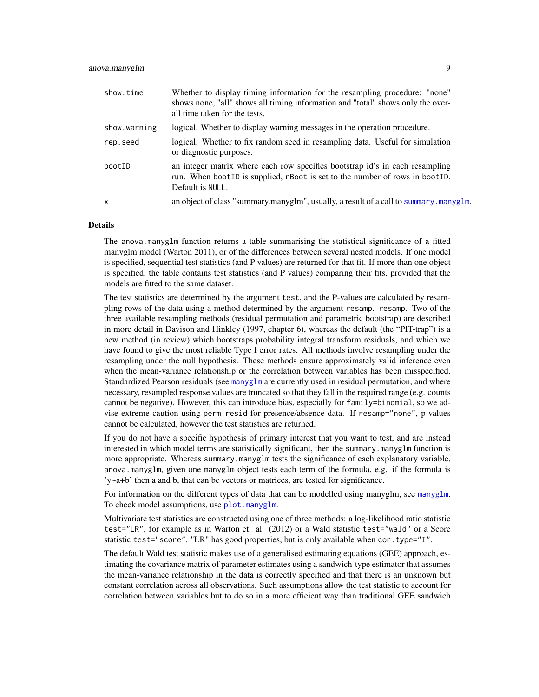| show.time    | Whether to display timing information for the resampling procedure: "none"<br>shows none, "all" shows all timing information and "total" shows only the over-<br>all time taken for the tests. |
|--------------|------------------------------------------------------------------------------------------------------------------------------------------------------------------------------------------------|
| show.warning | logical. Whether to display warning messages in the operation procedure.                                                                                                                       |
| rep.seed     | logical. Whether to fix random seed in resampling data. Useful for simulation<br>or diagnostic purposes.                                                                                       |
| bootID       | an integer matrix where each row specifies bootstrap id's in each resampling<br>run. When boot ID is supplied, nBoot is set to the number of rows in boot ID.<br>Default is NULL.              |
| $\mathsf{x}$ | an object of class "summary.manyglm", usually, a result of a call to summary.manyglm.                                                                                                          |

#### Details

The anova.manyglm function returns a table summarising the statistical significance of a fitted manyglm model (Warton 2011), or of the differences between several nested models. If one model is specified, sequential test statistics (and P values) are returned for that fit. If more than one object is specified, the table contains test statistics (and P values) comparing their fits, provided that the models are fitted to the same dataset.

The test statistics are determined by the argument test, and the P-values are calculated by resampling rows of the data using a method determined by the argument resamp. resamp. Two of the three available resampling methods (residual permutation and parametric bootstrap) are described in more detail in Davison and Hinkley (1997, chapter 6), whereas the default (the "PIT-trap") is a new method (in review) which bootstraps probability integral transform residuals, and which we have found to give the most reliable Type I error rates. All methods involve resampling under the resampling under the null hypothesis. These methods ensure approximately valid inference even when the mean-variance relationship or the correlation between variables has been misspecified. Standardized Pearson residuals (see [manyglm](#page-25-1) are currently used in residual permutation, and where necessary, resampled response values are truncated so that they fall in the required range (e.g. counts cannot be negative). However, this can introduce bias, especially for family=binomial, so we advise extreme caution using perm.resid for presence/absence data. If resamp="none", p-values cannot be calculated, however the test statistics are returned.

If you do not have a specific hypothesis of primary interest that you want to test, and are instead interested in which model terms are statistically significant, then the summary.manyglm function is more appropriate. Whereas summary.manyglm tests the significance of each explanatory variable, anova.manyglm, given one manyglm object tests each term of the formula, e.g. if the formula is 'y~a+b' then a and b, that can be vectors or matrices, are tested for significance.

For information on the different types of data that can be modelled using [manyglm](#page-25-1), see manyglm. To check model assumptions, use [plot.manyglm](#page-40-2).

Multivariate test statistics are constructed using one of three methods: a log-likelihood ratio statistic test="LR", for example as in Warton et. al. (2012) or a Wald statistic test="wald" or a Score statistic test="score". "LR" has good properties, but is only available when cor.type="I".

The default Wald test statistic makes use of a generalised estimating equations (GEE) approach, estimating the covariance matrix of parameter estimates using a sandwich-type estimator that assumes the mean-variance relationship in the data is correctly specified and that there is an unknown but constant correlation across all observations. Such assumptions allow the test statistic to account for correlation between variables but to do so in a more efficient way than traditional GEE sandwich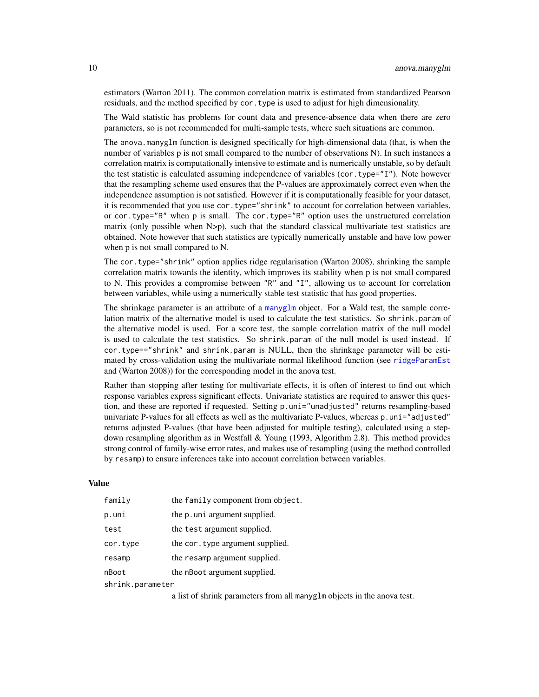estimators (Warton 2011). The common correlation matrix is estimated from standardized Pearson residuals, and the method specified by cor.type is used to adjust for high dimensionality.

The Wald statistic has problems for count data and presence-absence data when there are zero parameters, so is not recommended for multi-sample tests, where such situations are common.

The anova.manyglm function is designed specifically for high-dimensional data (that, is when the number of variables p is not small compared to the number of observations N). In such instances a correlation matrix is computationally intensive to estimate and is numerically unstable, so by default the test statistic is calculated assuming independence of variables (cor.type="I"). Note however that the resampling scheme used ensures that the P-values are approximately correct even when the independence assumption is not satisfied. However if it is computationally feasible for your dataset, it is recommended that you use cor.type="shrink" to account for correlation between variables, or cor.type="R" when p is small. The cor.type="R" option uses the unstructured correlation matrix (only possible when  $N$  $>$ p), such that the standard classical multivariate test statistics are obtained. Note however that such statistics are typically numerically unstable and have low power when p is not small compared to N.

The cor.type="shrink" option applies ridge regularisation (Warton 2008), shrinking the sample correlation matrix towards the identity, which improves its stability when p is not small compared to N. This provides a compromise between "R" and "I", allowing us to account for correlation between variables, while using a numerically stable test statistic that has good properties.

The shrinkage parameter is an attribute of a [manyglm](#page-25-1) object. For a Wald test, the sample correlation matrix of the alternative model is used to calculate the test statistics. So shrink.param of the alternative model is used. For a score test, the sample correlation matrix of the null model is used to calculate the test statistics. So shrink.param of the null model is used instead. If cor.type=="shrink" and shrink.param is NULL, then the shrinkage parameter will be estimated by cross-validation using the multivariate normal likelihood function (see [ridgeParamEst](#page-54-1) and (Warton 2008)) for the corresponding model in the anova test.

Rather than stopping after testing for multivariate effects, it is often of interest to find out which response variables express significant effects. Univariate statistics are required to answer this question, and these are reported if requested. Setting p.uni="unadjusted" returns resampling-based univariate P-values for all effects as well as the multivariate P-values, whereas p.uni="adjusted" returns adjusted P-values (that have been adjusted for multiple testing), calculated using a stepdown resampling algorithm as in Westfall & Young (1993, Algorithm 2.8). This method provides strong control of family-wise error rates, and makes use of resampling (using the method controlled by resamp) to ensure inferences take into account correlation between variables.

# Value

| family           | the family component from object. |
|------------------|-----------------------------------|
| p.uni            | the p.uni argument supplied.      |
| test             | the test argument supplied.       |
| cor.type         | the cor. type argument supplied.  |
| resamp           | the resamp argument supplied.     |
| nBoot            | the nBoot argument supplied.      |
| shrink.parameter |                                   |

a list of shrink parameters from all manyglm objects in the anova test.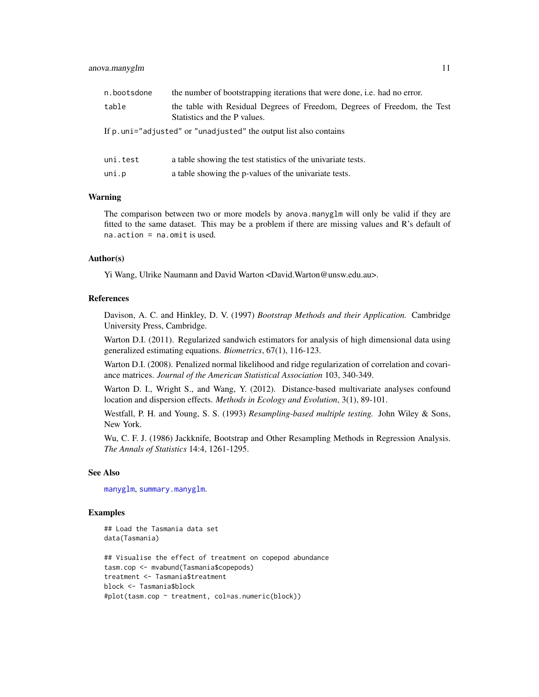#### anova.manyglm 11

| n.bootsdone                                                        | the number of bootstrapping iterations that were done, i.e. had no error.                                |  |  |  |
|--------------------------------------------------------------------|----------------------------------------------------------------------------------------------------------|--|--|--|
| table                                                              | the table with Residual Degrees of Freedom, Degrees of Freedom, the Test<br>Statistics and the P values. |  |  |  |
| If p. uni="adjusted" or "unadjusted" the output list also contains |                                                                                                          |  |  |  |
|                                                                    |                                                                                                          |  |  |  |
| uni.test                                                           | a table showing the test statistics of the univariate tests.                                             |  |  |  |
| uni.p                                                              | a table showing the p-values of the univariate tests.                                                    |  |  |  |

#### Warning

The comparison between two or more models by anova.manyglm will only be valid if they are fitted to the same dataset. This may be a problem if there are missing values and R's default of na.action = na.omit is used.

# Author(s)

Yi Wang, Ulrike Naumann and David Warton <David.Warton@unsw.edu.au>.

#### References

Davison, A. C. and Hinkley, D. V. (1997) *Bootstrap Methods and their Application.* Cambridge University Press, Cambridge.

Warton D.I. (2011). Regularized sandwich estimators for analysis of high dimensional data using generalized estimating equations. *Biometrics*, 67(1), 116-123.

Warton D.I. (2008). Penalized normal likelihood and ridge regularization of correlation and covariance matrices. *Journal of the American Statistical Association* 103, 340-349.

Warton D. I., Wright S., and Wang, Y. (2012). Distance-based multivariate analyses confound location and dispersion effects. *Methods in Ecology and Evolution*, 3(1), 89-101.

Westfall, P. H. and Young, S. S. (1993) *Resampling-based multiple testing.* John Wiley & Sons, New York.

Wu, C. F. J. (1986) Jackknife, Bootstrap and Other Resampling Methods in Regression Analysis. *The Annals of Statistics* 14:4, 1261-1295.

#### See Also

[manyglm](#page-25-1), [summary.manyglm](#page-60-1).

## Examples

```
## Load the Tasmania data set
data(Tasmania)
## Visualise the effect of treatment on copepod abundance
tasm.cop <- mvabund(Tasmania$copepods)
treatment <- Tasmania$treatment
block <- Tasmania$block
#plot(tasm.cop ~ treatment, col=as.numeric(block))
```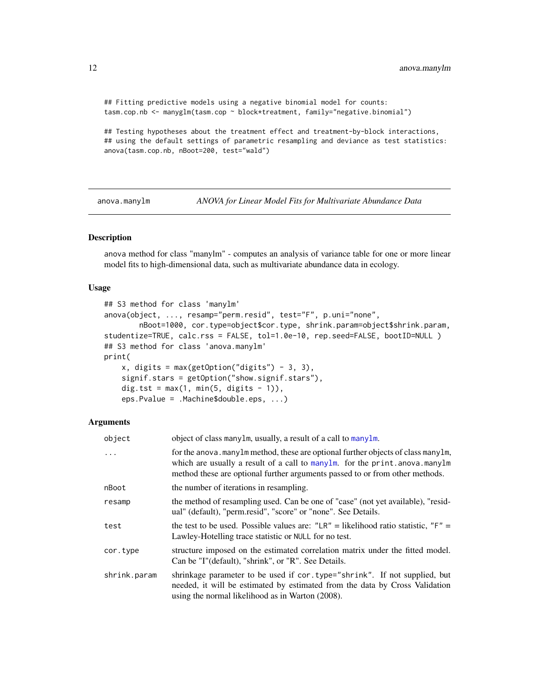```
## Fitting predictive models using a negative binomial model for counts:
tasm.cop.nb <- manyglm(tasm.cop ~ block*treatment, family="negative.binomial")
```
## Testing hypotheses about the treatment effect and treatment-by-block interactions, ## using the default settings of parametric resampling and deviance as test statistics: anova(tasm.cop.nb, nBoot=200, test="wald")

<span id="page-11-1"></span>anova.manylm *ANOVA for Linear Model Fits for Multivariate Abundance Data*

# Description

anova method for class "manylm" - computes an analysis of variance table for one or more linear model fits to high-dimensional data, such as multivariate abundance data in ecology.

# Usage

```
## S3 method for class 'manylm'
anova(object, ..., resamp="perm.resid", test="F", p.uni="none",
        nBoot=1000, cor.type=object$cor.type, shrink.param=object$shrink.param,
studentize=TRUE, calc.rss = FALSE, tol=1.0e-10, rep.seed=FALSE, bootID=NULL )
## S3 method for class 'anova.manylm'
print(
    x, \text{ digits} = \text{max}(\text{getOption("digits")} - 3, 3),signif.stars = getOption("show.signif.stars"),
    dig.tst = max(1, min(5, digits - 1)),eps.Pvalue = .Machine$double.eps, ...)
```

| object       | object of class manylm, usually, a result of a call to manylm.                                                                                                                                                                                      |
|--------------|-----------------------------------------------------------------------------------------------------------------------------------------------------------------------------------------------------------------------------------------------------|
| $\cdots$     | for the anova. many lm method, these are optional further objects of class many lm,<br>which are usually a result of a call to manylm. for the print. anova. manylm<br>method these are optional further arguments passed to or from other methods. |
| nBoot        | the number of iterations in resampling.                                                                                                                                                                                                             |
| resamp       | the method of resampling used. Can be one of "case" (not yet available), "resid-<br>ual" (default), "perm.resid", "score" or "none". See Details.                                                                                                   |
| test         | the test to be used. Possible values are: "LR" = likelihood ratio statistic, "F" =<br>Lawley-Hotelling trace statistic or NULL for no test.                                                                                                         |
| cor.type     | structure imposed on the estimated correlation matrix under the fitted model.<br>Can be "I"(default), "shrink", or "R". See Details.                                                                                                                |
| shrink.param | shrinkage parameter to be used if cor. type="shrink". If not supplied, but<br>needed, it will be estimated by estimated from the data by Cross Validation<br>using the normal likelihood as in Warton (2008).                                       |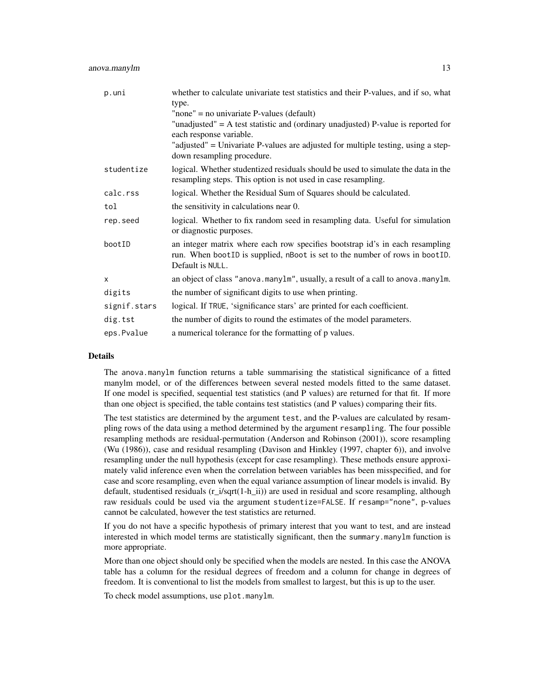| p.uni        | whether to calculate univariate test statistics and their P-values, and if so, what<br>type.                                                                                    |
|--------------|---------------------------------------------------------------------------------------------------------------------------------------------------------------------------------|
|              | "none" = no univariate $P$ -values (default)                                                                                                                                    |
|              | "unadjusted" = $A$ test statistic and (ordinary unadjusted) P-value is reported for<br>each response variable.                                                                  |
|              | "adjusted" = Univariate P-values are adjusted for multiple testing, using a step-<br>down resampling procedure.                                                                 |
| studentize   | logical. Whether studentized residuals should be used to simulate the data in the<br>resampling steps. This option is not used in case resampling.                              |
| calc.rss     | logical. Whether the Residual Sum of Squares should be calculated.                                                                                                              |
| tol          | the sensitivity in calculations near 0.                                                                                                                                         |
| rep.seed     | logical. Whether to fix random seed in resampling data. Useful for simulation<br>or diagnostic purposes.                                                                        |
| bootID       | an integer matrix where each row specifies bootstrap id's in each resampling<br>run. When bootID is supplied, nBoot is set to the number of rows in bootID.<br>Default is NULL. |
| $\times$     | an object of class "anova.manylm", usually, a result of a call to anova.manylm.                                                                                                 |
| digits       | the number of significant digits to use when printing.                                                                                                                          |
| signif.stars | logical. If TRUE, 'significance stars' are printed for each coefficient.                                                                                                        |
| dig.tst      | the number of digits to round the estimates of the model parameters.                                                                                                            |
| eps.Pvalue   | a numerical tolerance for the formatting of p values.                                                                                                                           |

#### Details

The anova.manylm function returns a table summarising the statistical significance of a fitted manylm model, or of the differences between several nested models fitted to the same dataset. If one model is specified, sequential test statistics (and P values) are returned for that fit. If more than one object is specified, the table contains test statistics (and P values) comparing their fits.

The test statistics are determined by the argument test, and the P-values are calculated by resampling rows of the data using a method determined by the argument resampling. The four possible resampling methods are residual-permutation (Anderson and Robinson (2001)), score resampling (Wu (1986)), case and residual resampling (Davison and Hinkley (1997, chapter 6)), and involve resampling under the null hypothesis (except for case resampling). These methods ensure approximately valid inference even when the correlation between variables has been misspecified, and for case and score resampling, even when the equal variance assumption of linear models is invalid. By default, studentised residuals (r\_i/sqrt(1-h\_ii)) are used in residual and score resampling, although raw residuals could be used via the argument studentize=FALSE. If resamp="none", p-values cannot be calculated, however the test statistics are returned.

If you do not have a specific hypothesis of primary interest that you want to test, and are instead interested in which model terms are statistically significant, then the summary.manylm function is more appropriate.

More than one object should only be specified when the models are nested. In this case the ANOVA table has a column for the residual degrees of freedom and a column for change in degrees of freedom. It is conventional to list the models from smallest to largest, but this is up to the user.

To check model assumptions, use plot.manylm.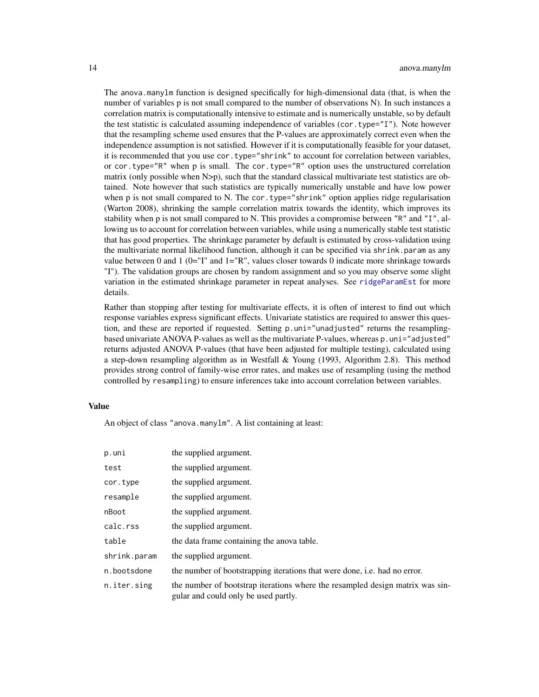The anova.manylm function is designed specifically for high-dimensional data (that, is when the number of variables p is not small compared to the number of observations N). In such instances a correlation matrix is computationally intensive to estimate and is numerically unstable, so by default the test statistic is calculated assuming independence of variables (cor. type= $T''(I'')$ ). Note however that the resampling scheme used ensures that the P-values are approximately correct even when the independence assumption is not satisfied. However if it is computationally feasible for your dataset, it is recommended that you use cor.type="shrink" to account for correlation between variables, or cor.type="R" when p is small. The cor.type="R" option uses the unstructured correlation matrix (only possible when N>p), such that the standard classical multivariate test statistics are obtained. Note however that such statistics are typically numerically unstable and have low power when p is not small compared to N. The cor. type="shrink" option applies ridge regularisation (Warton 2008), shrinking the sample correlation matrix towards the identity, which improves its stability when p is not small compared to N. This provides a compromise between "R" and "I", allowing us to account for correlation between variables, while using a numerically stable test statistic that has good properties. The shrinkage parameter by default is estimated by cross-validation using the multivariate normal likelihood function, although it can be specified via shrink.param as any value between 0 and 1 ( $0=$ "I" and  $1=$ "R", values closer towards 0 indicate more shrinkage towards "I"). The validation groups are chosen by random assignment and so you may observe some slight variation in the estimated shrinkage parameter in repeat analyses. See [ridgeParamEst](#page-54-1) for more details.

Rather than stopping after testing for multivariate effects, it is often of interest to find out which response variables express significant effects. Univariate statistics are required to answer this question, and these are reported if requested. Setting p.uni="unadjusted" returns the resamplingbased univariate ANOVA P-values as well as the multivariate P-values, whereas p.uni="adjusted" returns adjusted ANOVA P-values (that have been adjusted for multiple testing), calculated using a step-down resampling algorithm as in Westfall & Young (1993, Algorithm 2.8). This method provides strong control of family-wise error rates, and makes use of resampling (using the method controlled by resampling) to ensure inferences take into account correlation between variables.

# Value

An object of class "anova.manylm". A list containing at least:

| p.uni        | the supplied argument.                                                                                                |
|--------------|-----------------------------------------------------------------------------------------------------------------------|
| test         | the supplied argument.                                                                                                |
| cor.type     | the supplied argument.                                                                                                |
| resample     | the supplied argument.                                                                                                |
| nBoot        | the supplied argument.                                                                                                |
| calc.rss     | the supplied argument.                                                                                                |
| table        | the data frame containing the anova table.                                                                            |
| shrink.param | the supplied argument.                                                                                                |
| n.bootsdone  | the number of bootstrapping iterations that were done, i.e. had no error.                                             |
| n.iter.sing  | the number of bootstrap iterations where the resampled design matrix was sin-<br>gular and could only be used partly. |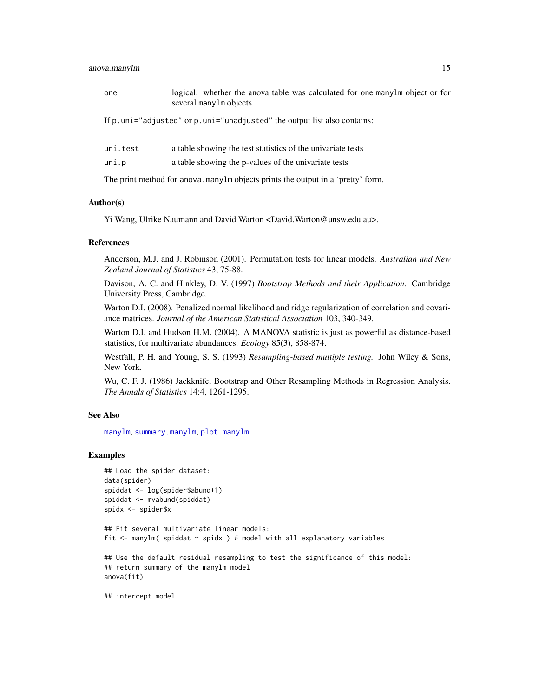# anova.manylm 15

| one      | logical. whether the anova table was calculated for one many lm object or for<br>several many lm objects. |
|----------|-----------------------------------------------------------------------------------------------------------|
|          | If p. uni="adjusted" or p. uni="unadjusted" the output list also contains:                                |
| uni.test | a table showing the test statistics of the univariate tests                                               |
| uni.p    | a table showing the p-values of the univariate tests                                                      |

The print method for anova.manylm objects prints the output in a 'pretty' form.

# Author(s)

Yi Wang, Ulrike Naumann and David Warton <David.Warton@unsw.edu.au>.

#### References

Anderson, M.J. and J. Robinson (2001). Permutation tests for linear models. *Australian and New Zealand Journal of Statistics* 43, 75-88.

Davison, A. C. and Hinkley, D. V. (1997) *Bootstrap Methods and their Application.* Cambridge University Press, Cambridge.

Warton D.I. (2008). Penalized normal likelihood and ridge regularization of correlation and covariance matrices. *Journal of the American Statistical Association* 103, 340-349.

Warton D.I. and Hudson H.M. (2004). A MANOVA statistic is just as powerful as distance-based statistics, for multivariate abundances. *Ecology* 85(3), 858-874.

Westfall, P. H. and Young, S. S. (1993) *Resampling-based multiple testing.* John Wiley & Sons, New York.

Wu, C. F. J. (1986) Jackknife, Bootstrap and Other Resampling Methods in Regression Analysis. *The Annals of Statistics* 14:4, 1261-1295.

## See Also

[manylm](#page-30-1), [summary.manylm](#page-65-1), [plot.manylm](#page-40-1)

# Examples

```
## Load the spider dataset:
data(spider)
spiddat <- log(spider$abund+1)
spiddat <- mvabund(spiddat)
spidx <- spider$x
## Fit several multivariate linear models:
fit <- manylm( spiddat ~ spidx ) # model with all explanatory variables
## Use the default residual resampling to test the significance of this model:
## return summary of the manylm model
anova(fit)
```
## intercept model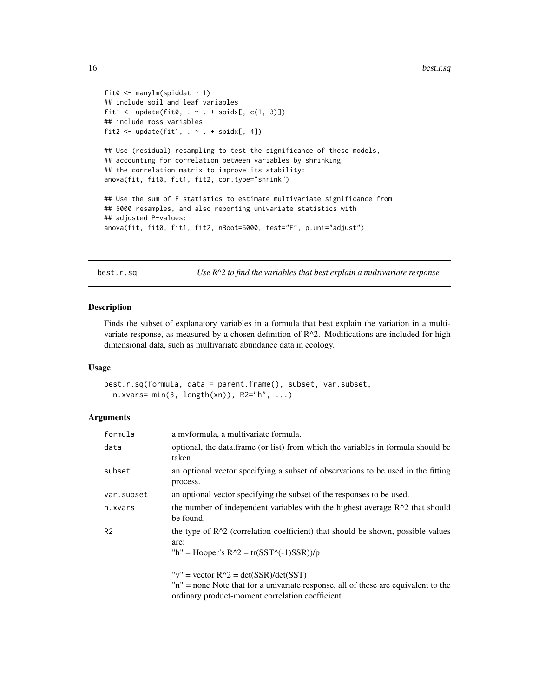```
fit0 \leq manylm(spiddat \sim 1)
## include soil and leaf variables
fit1 <- update(fit0, \cdot \cdot \cdot + spidx[, c(1, 3)])
## include moss variables
fit2 <- update(fit1, \sim . + spidx[, 4])
## Use (residual) resampling to test the significance of these models,
## accounting for correlation between variables by shrinking
## the correlation matrix to improve its stability:
anova(fit, fit0, fit1, fit2, cor.type="shrink")
## Use the sum of F statistics to estimate multivariate significance from
## 5000 resamples, and also reporting univariate statistics with
## adjusted P-values:
anova(fit, fit0, fit1, fit2, nBoot=5000, test="F", p.uni="adjust")
```
<span id="page-15-1"></span>best.r.sq *Use R^2 to find the variables that best explain a multivariate response.*

# Description

Finds the subset of explanatory variables in a formula that best explain the variation in a multivariate response, as measured by a chosen definition of R^2. Modifications are included for high dimensional data, such as multivariate abundance data in ecology.

#### Usage

best.r.sq(formula, data = parent.frame(), subset, var.subset,  $n.xvars = min(3, length(xn)), R2="h", ...)$ 

| formula        | a myformula, a multivariate formula.                                                                                                   |
|----------------|----------------------------------------------------------------------------------------------------------------------------------------|
| data           | optional, the data frame (or list) from which the variables in formula should be<br>taken.                                             |
| subset         | an optional vector specifying a subset of observations to be used in the fitting<br>process.                                           |
| var.subset     | an optional vector specifying the subset of the responses to be used.                                                                  |
| n.xvars        | the number of independent variables with the highest average $R^2$ that should<br>be found.                                            |
| R <sub>2</sub> | the type of $R^2$ (correlation coefficient) that should be shown, possible values<br>are:                                              |
|                | "h" = Hooper's $R^2$ = tr(SST^(-1)SSR))/p                                                                                              |
|                | " $v$ " = vector $R^2$ = det(SSR)/det(SST)                                                                                             |
|                | "n" = none Note that for a univariate response, all of these are equivalent to the<br>ordinary product-moment correlation coefficient. |

<span id="page-15-0"></span>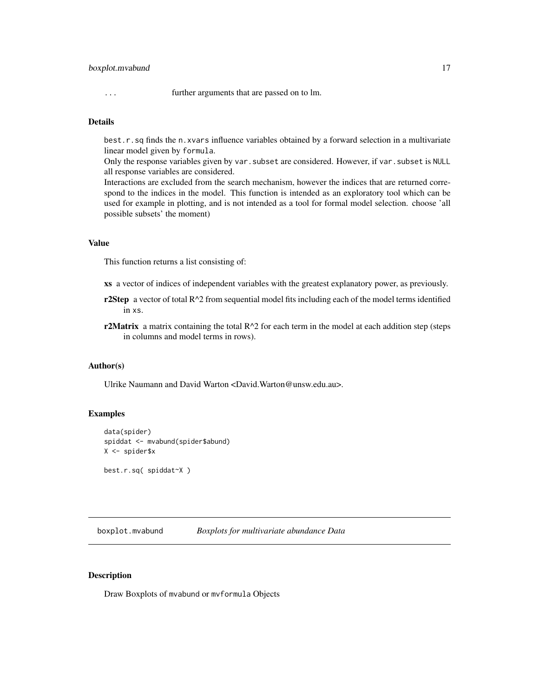# <span id="page-16-0"></span>boxplot.mvabund 17

... further arguments that are passed on to lm.

# Details

best.r.sq finds the n.xvars influence variables obtained by a forward selection in a multivariate linear model given by formula.

Only the response variables given by var. subset are considered. However, if var. subset is NULL all response variables are considered.

Interactions are excluded from the search mechanism, however the indices that are returned correspond to the indices in the model. This function is intended as an exploratory tool which can be used for example in plotting, and is not intended as a tool for formal model selection. choose 'all possible subsets' the moment)

# Value

This function returns a list consisting of:

xs a vector of indices of independent variables with the greatest explanatory power, as previously.

- r2Step a vector of total  $R^2$  from sequential model fits including each of the model terms identified in xs.
- r2Matrix a matrix containing the total  $R^2$  for each term in the model at each addition step (steps in columns and model terms in rows).

#### Author(s)

Ulrike Naumann and David Warton <David.Warton@unsw.edu.au>.

### Examples

```
data(spider)
spiddat <- mvabund(spider$abund)
X <- spider$x
```
best.r.sq( spiddat~X )

<span id="page-16-1"></span>boxplot.mvabund *Boxplots for multivariate abundance Data*

#### Description

Draw Boxplots of mvabund or mvformula Objects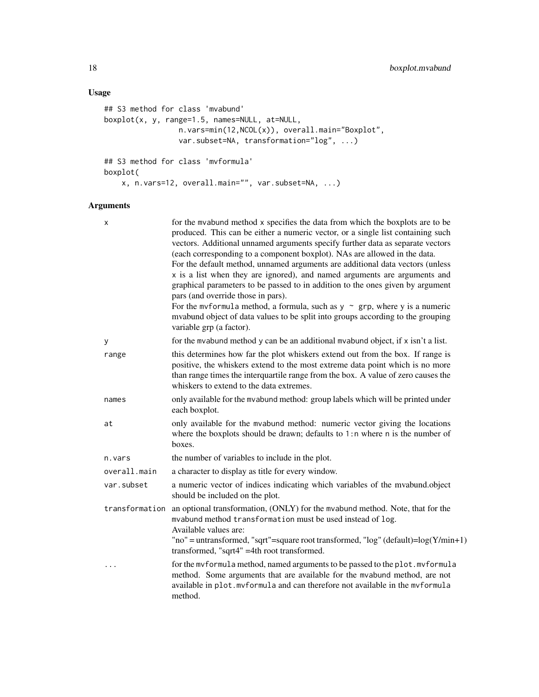# Usage

```
## S3 method for class 'mvabund'
boxplot(x, y, range=1.5, names=NULL, at=NULL,
                 n.vars=min(12,NCOL(x)), overall.main="Boxplot",
                 var.subset=NA, transformation="log", ...)
## S3 method for class 'mvformula'
boxplot(
   x, n.vars=12, overall.main="", var.subset=NA, ...)
```

| X              | for the mvabund method x specifies the data from which the boxplots are to be<br>produced. This can be either a numeric vector, or a single list containing such<br>vectors. Additional unnamed arguments specify further data as separate vectors<br>(each corresponding to a component boxplot). NAs are allowed in the data.<br>For the default method, unnamed arguments are additional data vectors (unless<br>x is a list when they are ignored), and named arguments are arguments and<br>graphical parameters to be passed to in addition to the ones given by argument<br>pars (and override those in pars).<br>For the mvformula method, a formula, such as $y \sim grp$ , where y is a numeric<br>mvabund object of data values to be split into groups according to the grouping<br>variable grp (a factor). |
|----------------|--------------------------------------------------------------------------------------------------------------------------------------------------------------------------------------------------------------------------------------------------------------------------------------------------------------------------------------------------------------------------------------------------------------------------------------------------------------------------------------------------------------------------------------------------------------------------------------------------------------------------------------------------------------------------------------------------------------------------------------------------------------------------------------------------------------------------|
| у              | for the mvabund method y can be an additional mvabund object, if x isn't a list.                                                                                                                                                                                                                                                                                                                                                                                                                                                                                                                                                                                                                                                                                                                                         |
| range          | this determines how far the plot whiskers extend out from the box. If range is<br>positive, the whiskers extend to the most extreme data point which is no more<br>than range times the interquartile range from the box. A value of zero causes the<br>whiskers to extend to the data extremes.                                                                                                                                                                                                                                                                                                                                                                                                                                                                                                                         |
| names          | only available for the mvabund method: group labels which will be printed under<br>each boxplot.                                                                                                                                                                                                                                                                                                                                                                                                                                                                                                                                                                                                                                                                                                                         |
| at             | only available for the mvabund method: numeric vector giving the locations<br>where the boxplots should be drawn; defaults to $1:n$ where n is the number of<br>boxes.                                                                                                                                                                                                                                                                                                                                                                                                                                                                                                                                                                                                                                                   |
| n.vars         | the number of variables to include in the plot.                                                                                                                                                                                                                                                                                                                                                                                                                                                                                                                                                                                                                                                                                                                                                                          |
| overall.main   | a character to display as title for every window.                                                                                                                                                                                                                                                                                                                                                                                                                                                                                                                                                                                                                                                                                                                                                                        |
| var.subset     | a numeric vector of indices indicating which variables of the mvabund.object<br>should be included on the plot.                                                                                                                                                                                                                                                                                                                                                                                                                                                                                                                                                                                                                                                                                                          |
| transformation | an optional transformation, (ONLY) for the mvabund method. Note, that for the<br>mvabund method transformation must be used instead of log.<br>Available values are:<br>"no" = untransformed, "sqrt"=square root transformed, "log" (default)= $log(Y/min+1)$<br>transformed, "sqrt4" =4th root transformed.                                                                                                                                                                                                                                                                                                                                                                                                                                                                                                             |
|                | for the mvformula method, named arguments to be passed to the plot. mvformula<br>method. Some arguments that are available for the mvabund method, are not<br>available in plot.mvformula and can therefore not available in the mvformula<br>method.                                                                                                                                                                                                                                                                                                                                                                                                                                                                                                                                                                    |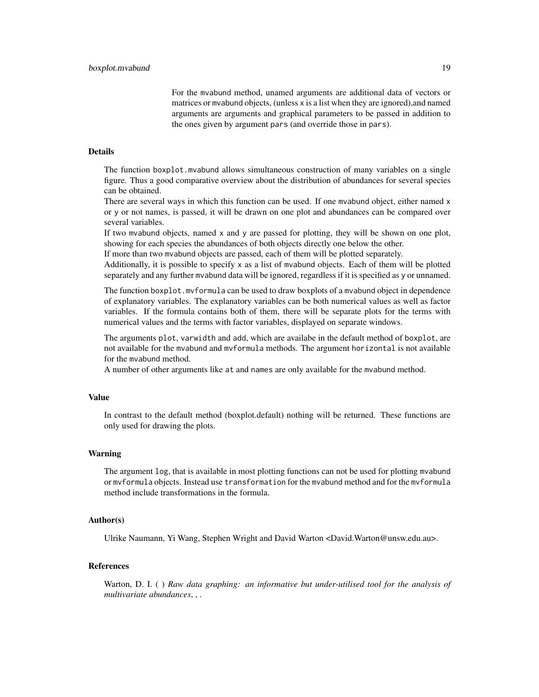For the mvabund method, unamed arguments are additional data of vectors or matrices or mvabund objects, (unless x is a list when they are ignored),and named arguments are arguments and graphical parameters to be passed in addition to the ones given by argument pars (and override those in pars).

# Details

The function boxplot.mvabund allows simultaneous construction of many variables on a single figure. Thus a good comparative overview about the distribution of abundances for several species can be obtained.

There are several ways in which this function can be used. If one mvabund object, either named x or y or not names, is passed, it will be drawn on one plot and abundances can be compared over several variables.

If two mvabund objects, named x and y are passed for plotting, they will be shown on one plot, showing for each species the abundances of both objects directly one below the other.

If more than two mvabund objects are passed, each of them will be plotted separately.

Additionally, it is possible to specify x as a list of mvabund objects. Each of them will be plotted separately and any further mvabund data will be ignored, regardless if it is specified as y or unnamed.

The function boxplot.mvformula can be used to draw boxplots of a mvabund object in dependence of explanatory variables. The explanatory variables can be both numerical values as well as factor variables. If the formula contains both of them, there will be separate plots for the terms with numerical values and the terms with factor variables, displayed on separate windows.

The arguments plot, varwidth and add, which are availabe in the default method of boxplot, are not available for the mvabund and mvformula methods. The argument horizontal is not available for the mvabund method.

A number of other arguments like at and names are only available for the mvabund method.

#### Value

In contrast to the default method (boxplot.default) nothing will be returned. These functions are only used for drawing the plots.

# Warning

The argument log, that is available in most plotting functions can not be used for plotting mvabund or mvformula objects. Instead use transformation for the mvabund method and for the mvformula method include transformations in the formula.

#### Author(s)

Ulrike Naumann, Yi Wang, Stephen Wright and David Warton <David.Warton@unsw.edu.au>.

### References

Warton, D. I. ( ) *Raw data graphing: an informative but under-utilised tool for the analysis of multivariate abundances*, , .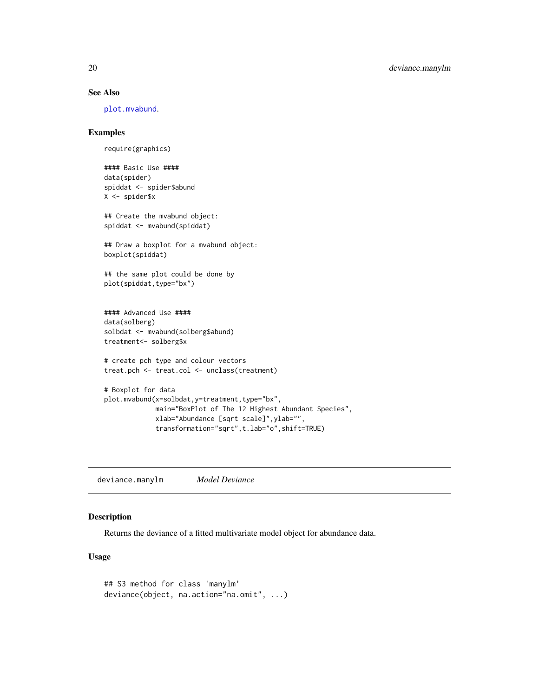# See Also

[plot.mvabund](#page-43-1).

# Examples

```
require(graphics)
```
#### Basic Use #### data(spider) spiddat <- spider\$abund X <- spider\$x

## Create the mvabund object: spiddat <- mvabund(spiddat)

## Draw a boxplot for a mvabund object: boxplot(spiddat)

## the same plot could be done by plot(spiddat,type="bx")

#### Advanced Use #### data(solberg) solbdat <- mvabund(solberg\$abund) treatment<- solberg\$x

# create pch type and colour vectors treat.pch <- treat.col <- unclass(treatment)

```
# Boxplot for data
plot.mvabund(x=solbdat,y=treatment,type="bx",
            main="BoxPlot of The 12 Highest Abundant Species",
            xlab="Abundance [sqrt scale]",ylab="",
             transformation="sqrt",t.lab="o",shift=TRUE)
```
deviance.manylm *Model Deviance*

# Description

Returns the deviance of a fitted multivariate model object for abundance data.

# Usage

```
## S3 method for class 'manylm'
deviance(object, na.action="na.omit", ...)
```
<span id="page-19-0"></span>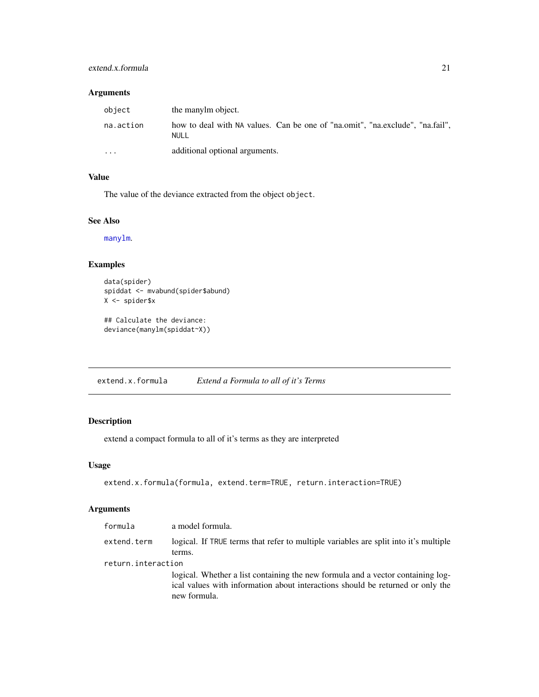# <span id="page-20-0"></span>extend.x.formula 21

# Arguments

| object    | the manylm object.                                                                    |
|-----------|---------------------------------------------------------------------------------------|
| na.action | how to deal with NA values. Can be one of "na.omit", "na.exclude", "na.fail",<br>NULL |
| $\cdots$  | additional optional arguments.                                                        |

# Value

The value of the deviance extracted from the object object.

# See Also

[manylm](#page-30-1).

# Examples

```
data(spider)
spiddat <- mvabund(spider$abund)
X <- spider$x
```

```
## Calculate the deviance:
deviance(manylm(spiddat~X))
```
extend.x.formula *Extend a Formula to all of it's Terms*

# Description

extend a compact formula to all of it's terms as they are interpreted

# Usage

```
extend.x.formula(formula, extend.term=TRUE, return.interaction=TRUE)
```

| formula            | a model formula.                                                                                                                                                                  |
|--------------------|-----------------------------------------------------------------------------------------------------------------------------------------------------------------------------------|
| extend.term        | logical. If TRUE terms that refer to multiple variables are split into it's multiple<br>terms.                                                                                    |
| return.interaction |                                                                                                                                                                                   |
|                    | logical. Whether a list containing the new formula and a vector containing log-<br>ical values with information about interactions should be returned or only the<br>new formula. |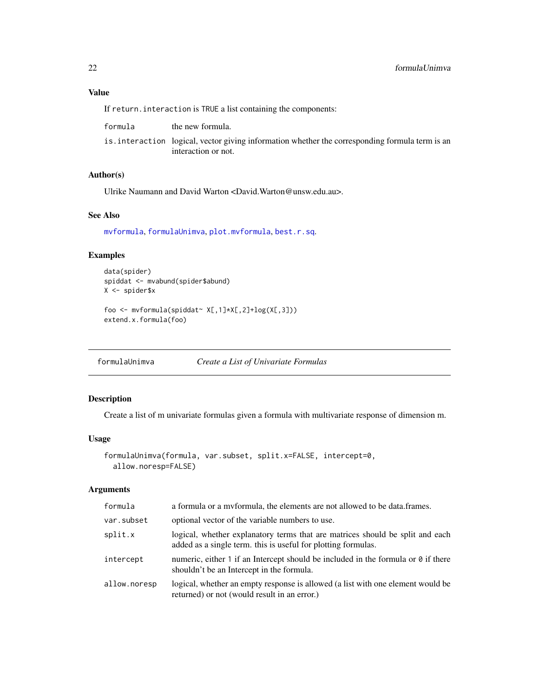# <span id="page-21-0"></span>Value

If return. interaction is TRUE a list containing the components:

| formula | the new formula.                                                                                                       |
|---------|------------------------------------------------------------------------------------------------------------------------|
|         | is. interaction logical, vector giving information whether the corresponding formula term is an<br>interaction or not. |

# Author(s)

Ulrike Naumann and David Warton <David.Warton@unsw.edu.au>.

# See Also

[mvformula](#page-38-1), [formulaUnimva](#page-21-1), [plot.mvformula](#page-43-2), [best.r.sq](#page-15-1).

# Examples

```
data(spider)
spiddat <- mvabund(spider$abund)
X <- spider$x
foo <- mvformula(spiddat~ X[,1]*X[,2]+log(X[,3]))
```
extend.x.formula(foo)

<span id="page-21-1"></span>formulaUnimva *Create a List of Univariate Formulas*

# Description

Create a list of m univariate formulas given a formula with multivariate response of dimension m.

# Usage

```
formulaUnimva(formula, var.subset, split.x=FALSE, intercept=0,
 allow.noresp=FALSE)
```

| formula      | a formula or a myformula, the elements are not allowed to be data.frames.                                                                      |
|--------------|------------------------------------------------------------------------------------------------------------------------------------------------|
| var.subset   | optional vector of the variable numbers to use.                                                                                                |
| split.x      | logical, whether explanatory terms that are matrices should be split and each<br>added as a single term. this is useful for plotting formulas. |
| intercept    | numeric, either 1 if an Intercept should be included in the formula or $\theta$ if there<br>shouldn't be an Intercept in the formula.          |
| allow.noresp | logical, whether an empty response is allowed (a list with one element would be<br>returned) or not (would result in an error.)                |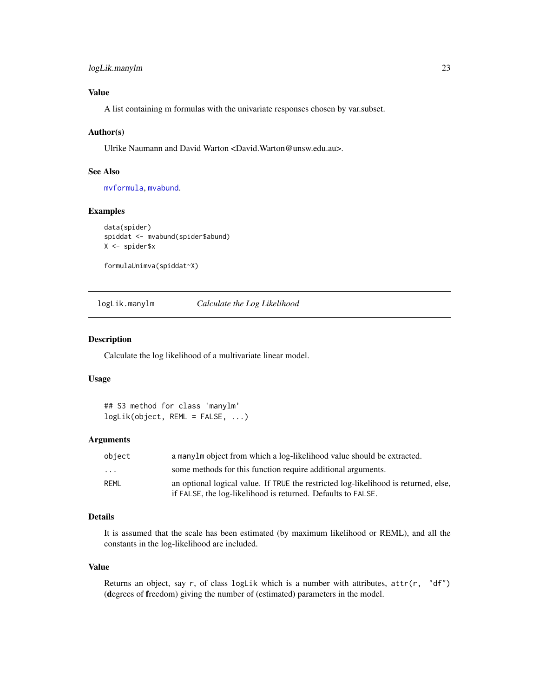# <span id="page-22-0"></span>logLik.manylm 23

# Value

A list containing m formulas with the univariate responses chosen by var.subset.

# Author(s)

Ulrike Naumann and David Warton <David.Warton@unsw.edu.au>.

# See Also

[mvformula](#page-38-1), [mvabund](#page-36-1).

# Examples

```
data(spider)
spiddat <- mvabund(spider$abund)
X <- spider$x
```
formulaUnimva(spiddat~X)

logLik.manylm *Calculate the Log Likelihood*

# Description

Calculate the log likelihood of a multivariate linear model.

#### Usage

## S3 method for class 'manylm' logLik(object, REML = FALSE, ...)

#### **Arguments**

| object | a manylm object from which a log-likelihood value should be extracted.              |
|--------|-------------------------------------------------------------------------------------|
| .      | some methods for this function require additional arguments.                        |
| REML   | an optional logical value. If TRUE the restricted log-likelihood is returned, else, |
|        | if FALSE, the log-likelihood is returned. Defaults to FALSE.                        |

# Details

It is assumed that the scale has been estimated (by maximum likelihood or REML), and all the constants in the log-likelihood are included.

# Value

Returns an object, say r, of class  $logLik$  which is a number with attributes,  $attr(r, "df")$ (degrees of freedom) giving the number of (estimated) parameters in the model.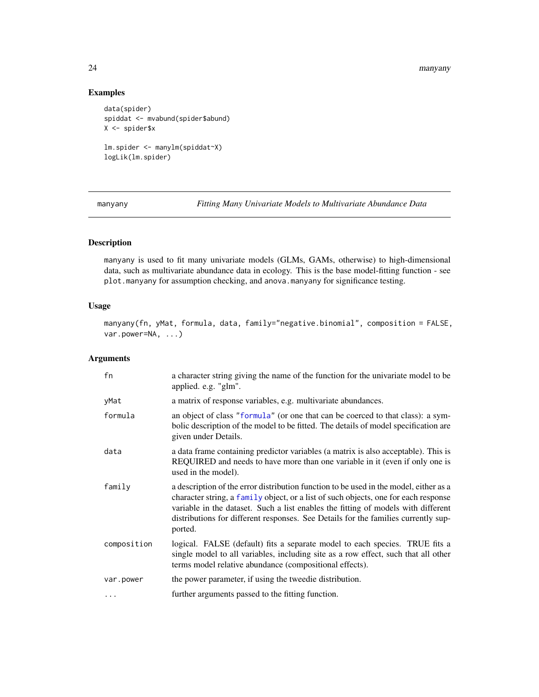#### 24 manyany

# Examples

```
data(spider)
spiddat <- mvabund(spider$abund)
X <- spider$x
lm.spider <- manylm(spiddat~X)
logLik(lm.spider)
```
<span id="page-23-1"></span>manyany *Fitting Many Univariate Models to Multivariate Abundance Data*

# Description

manyany is used to fit many univariate models (GLMs, GAMs, otherwise) to high-dimensional data, such as multivariate abundance data in ecology. This is the base model-fitting function - see plot.manyany for assumption checking, and anova.manyany for significance testing.

# Usage

manyany(fn, yMat, formula, data, family="negative.binomial", composition = FALSE, var.power=NA, ...)

| fn          | a character string giving the name of the function for the univariate model to be<br>applied. e.g. "glm".                                                                                                                                                                                                                                                          |
|-------------|--------------------------------------------------------------------------------------------------------------------------------------------------------------------------------------------------------------------------------------------------------------------------------------------------------------------------------------------------------------------|
| yMat        | a matrix of response variables, e.g. multivariate abundances.                                                                                                                                                                                                                                                                                                      |
| formula     | an object of class "formula" (or one that can be coerced to that class): a sym-<br>bolic description of the model to be fitted. The details of model specification are<br>given under Details.                                                                                                                                                                     |
| data        | a data frame containing predictor variables (a matrix is also acceptable). This is<br>REQUIRED and needs to have more than one variable in it (even if only one is<br>used in the model).                                                                                                                                                                          |
| family      | a description of the error distribution function to be used in the model, either as a<br>character string, a family object, or a list of such objects, one for each response<br>variable in the dataset. Such a list enables the fitting of models with different<br>distributions for different responses. See Details for the families currently sup-<br>ported. |
| composition | logical. FALSE (default) fits a separate model to each species. TRUE fits a<br>single model to all variables, including site as a row effect, such that all other<br>terms model relative abundance (compositional effects).                                                                                                                                       |
| var.power   | the power parameter, if using the tweedie distribution.                                                                                                                                                                                                                                                                                                            |
| $\cdots$    | further arguments passed to the fitting function.                                                                                                                                                                                                                                                                                                                  |

<span id="page-23-0"></span>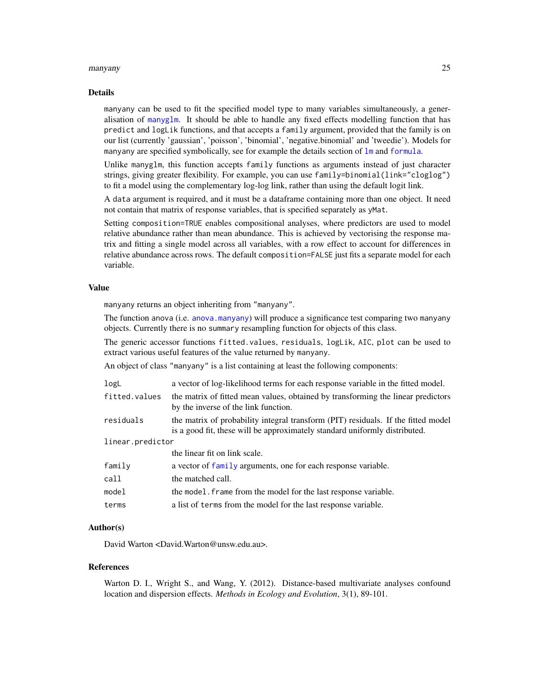#### manyany 25

#### Details

manyany can be used to fit the specified model type to many variables simultaneously, a generalisation of [manyglm](#page-25-1). It should be able to handle any fixed effects modelling function that has predict and logLik functions, and that accepts a family argument, provided that the family is on our list (currently 'gaussian', 'poisson', 'binomial', 'negative.binomial' and 'tweedie'). Models for manyany are specified symbolically, see for example the details section of  $\text{Im}$  and [formula](#page-0-0).

Unlike manyglm, this function accepts family functions as arguments instead of just character strings, giving greater flexibility. For example, you can use family=binomial(link="cloglog") to fit a model using the complementary log-log link, rather than using the default logit link.

A data argument is required, and it must be a dataframe containing more than one object. It need not contain that matrix of response variables, that is specified separately as yMat.

Setting composition=TRUE enables compositional analyses, where predictors are used to model relative abundance rather than mean abundance. This is achieved by vectorising the response matrix and fitting a single model across all variables, with a row effect to account for differences in relative abundance across rows. The default composition=FALSE just fits a separate model for each variable.

#### Value

manyany returns an object inheriting from "manyany".

The function anova (i.e. [anova.manyany](#page-4-1)) will produce a significance test comparing two manyany objects. Currently there is no summary resampling function for objects of this class.

The generic accessor functions fitted.values, residuals, logLik, AIC, plot can be used to extract various useful features of the value returned by manyany.

An object of class "manyany" is a list containing at least the following components:

| logL             | a vector of log-likelihood terms for each response variable in the fitted model.                                                                                |
|------------------|-----------------------------------------------------------------------------------------------------------------------------------------------------------------|
| fitted.values    | the matrix of fitted mean values, obtained by transforming the linear predictors<br>by the inverse of the link function.                                        |
| residuals        | the matrix of probability integral transform (PIT) residuals. If the fitted model<br>is a good fit, these will be approximately standard uniformly distributed. |
| linear.predictor |                                                                                                                                                                 |
|                  | the linear fit on link scale.                                                                                                                                   |
| family           | a vector of family arguments, one for each response variable.                                                                                                   |
| call             | the matched call.                                                                                                                                               |
| model            | the model. Frame from the model for the last response variable.                                                                                                 |
| terms            | a list of terms from the model for the last response variable.                                                                                                  |

# Author(s)

David Warton <David.Warton@unsw.edu.au>.

#### References

Warton D. I., Wright S., and Wang, Y. (2012). Distance-based multivariate analyses confound location and dispersion effects. *Methods in Ecology and Evolution*, 3(1), 89-101.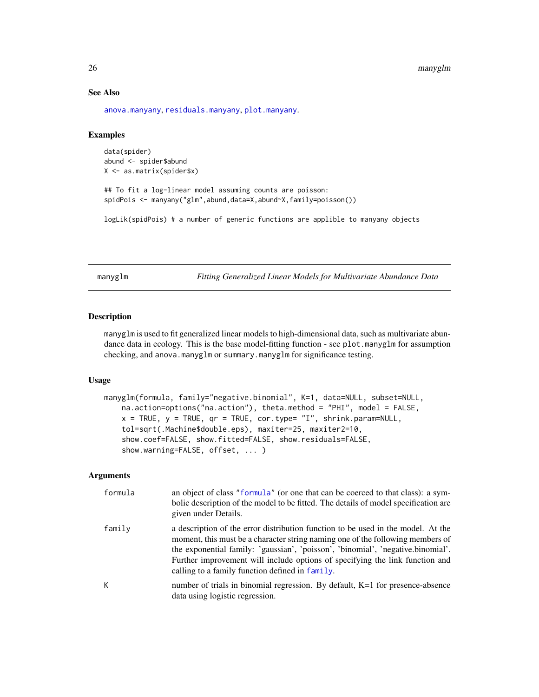# See Also

[anova.manyany](#page-4-1), [residuals.manyany](#page-53-1), [plot.manyany](#page-39-1).

# Examples

```
data(spider)
abund <- spider$abund
X <- as.matrix(spider$x)
```

```
## To fit a log-linear model assuming counts are poisson:
spidPois <- manyany("glm",abund,data=X,abund~X,family=poisson())
```
logLik(spidPois) # a number of generic functions are applible to manyany objects

<span id="page-25-1"></span>manyglm *Fitting Generalized Linear Models for Multivariate Abundance Data*

# Description

manyglm is used to fit generalized linear models to high-dimensional data, such as multivariate abundance data in ecology. This is the base model-fitting function - see plot.manyglm for assumption checking, and anova.manyglm or summary.manyglm for significance testing.

# Usage

```
manyglm(formula, family="negative.binomial", K=1, data=NULL, subset=NULL,
    na.action=options("na.action"), theta.method = "PHI", model = FALSE,
    x = TRUE, y = TRUE, qr = TRUE, cor.\type = "I", shrink.param = NULL,
    tol=sqrt(.Machine$double.eps), maxiter=25, maxiter2=10,
    show.coef=FALSE, show.fitted=FALSE, show.residuals=FALSE,
    show.warning=FALSE, offset, ... )
```

| formula | an object of class "formula" (or one that can be coerced to that class): a sym-<br>bolic description of the model to be fitted. The details of model specification are<br>given under Details.                                                                                                                                                                                           |
|---------|------------------------------------------------------------------------------------------------------------------------------------------------------------------------------------------------------------------------------------------------------------------------------------------------------------------------------------------------------------------------------------------|
| family  | a description of the error distribution function to be used in the model. At the<br>moment, this must be a character string naming one of the following members of<br>the exponential family: 'gaussian', 'poisson', 'binomial', 'negative.binomial'.<br>Further improvement will include options of specifying the link function and<br>calling to a family function defined in family. |
| K.      | number of trials in binomial regression. By default, K=1 for presence-absence<br>data using logistic regression.                                                                                                                                                                                                                                                                         |

<span id="page-25-0"></span>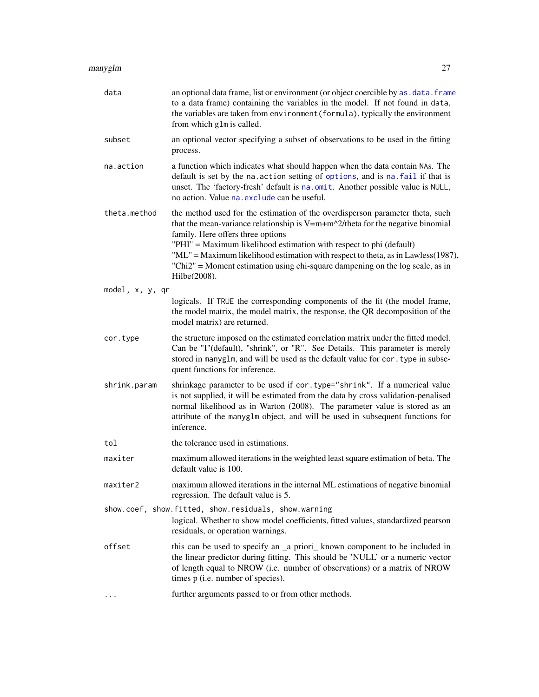| data            | an optional data frame, list or environment (or object coercible by as . data. frame<br>to a data frame) containing the variables in the model. If not found in data,<br>the variables are taken from environment (formula), typically the environment<br>from which glm is called.                                                                                                                                                                                 |
|-----------------|---------------------------------------------------------------------------------------------------------------------------------------------------------------------------------------------------------------------------------------------------------------------------------------------------------------------------------------------------------------------------------------------------------------------------------------------------------------------|
| subset          | an optional vector specifying a subset of observations to be used in the fitting<br>process.                                                                                                                                                                                                                                                                                                                                                                        |
| na.action       | a function which indicates what should happen when the data contain NAs. The<br>default is set by the na. action setting of options, and is na. fail if that is<br>unset. The 'factory-fresh' default is na.omit. Another possible value is NULL,<br>no action. Value na. exclude can be useful.                                                                                                                                                                    |
| theta.method    | the method used for the estimation of the overdisperson parameter theta, such<br>that the mean-variance relationship is $V=m+m^2$ /theta for the negative binomial<br>family. Here offers three options<br>"PHI" = Maximum likelihood estimation with respect to phi (default)<br>"ML" = Maximum likelihood estimation with respect to theta, as in Lawless(1987),<br>"Chi2" = Moment estimation using chi-square dampening on the log scale, as in<br>Hilbe(2008). |
| model, x, y, qr |                                                                                                                                                                                                                                                                                                                                                                                                                                                                     |
|                 | logicals. If TRUE the corresponding components of the fit (the model frame,<br>the model matrix, the model matrix, the response, the QR decomposition of the<br>model matrix) are returned.                                                                                                                                                                                                                                                                         |
| cor.type        | the structure imposed on the estimated correlation matrix under the fitted model.<br>Can be "I"(default), "shrink", or "R". See Details. This parameter is merely<br>stored in manyglm, and will be used as the default value for cor. type in subse-<br>quent functions for inference.                                                                                                                                                                             |
| shrink.param    | shrinkage parameter to be used if cor. type="shrink". If a numerical value<br>is not supplied, it will be estimated from the data by cross validation-penalised<br>normal likelihood as in Warton (2008). The parameter value is stored as an<br>attribute of the manyglm object, and will be used in subsequent functions for<br>inference.                                                                                                                        |
| tol             | the tolerance used in estimations.                                                                                                                                                                                                                                                                                                                                                                                                                                  |
| maxiter         | maximum allowed iterations in the weighted least square estimation of beta. The<br>default value is 100.                                                                                                                                                                                                                                                                                                                                                            |
| maxiter2        | maximum allowed iterations in the internal ML estimations of negative binomial<br>regression. The default value is 5.                                                                                                                                                                                                                                                                                                                                               |
|                 | show.coef, show.fitted, show.residuals, show.warning<br>logical. Whether to show model coefficients, fitted values, standardized pearson<br>residuals, or operation warnings.                                                                                                                                                                                                                                                                                       |
| offset          | this can be used to specify an _a priori_ known component to be included in<br>the linear predictor during fitting. This should be 'NULL' or a numeric vector<br>of length equal to NROW (i.e. number of observations) or a matrix of NROW<br>times p (i.e. number of species).                                                                                                                                                                                     |
|                 | further arguments passed to or from other methods.                                                                                                                                                                                                                                                                                                                                                                                                                  |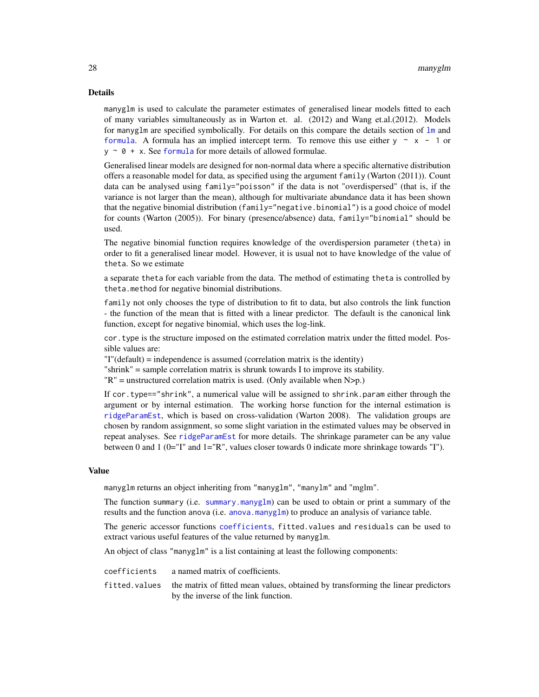#### Details

manyglm is used to calculate the parameter estimates of generalised linear models fitted to each of many variables simultaneously as in Warton et. al. (2012) and Wang et.al.(2012). Models for manyglm are specified symbolically. For details on this compare the details section of [lm](#page-0-0) and [formula](#page-0-0). A formula has an implied intercept term. To remove this use either  $y \sim x - 1$  or  $y \sim \theta + x$ . See [formula](#page-0-0) for more details of allowed formulae.

Generalised linear models are designed for non-normal data where a specific alternative distribution offers a reasonable model for data, as specified using the argument family (Warton (2011)). Count data can be analysed using family="poisson" if the data is not "overdispersed" (that is, if the variance is not larger than the mean), although for multivariate abundance data it has been shown that the negative binomial distribution (family="negative.binomial") is a good choice of model for counts (Warton (2005)). For binary (presence/absence) data, family="binomial" should be used.

The negative binomial function requires knowledge of the overdispersion parameter (theta) in order to fit a generalised linear model. However, it is usual not to have knowledge of the value of theta. So we estimate

a separate theta for each variable from the data. The method of estimating theta is controlled by theta.method for negative binomial distributions.

family not only chooses the type of distribution to fit to data, but also controls the link function - the function of the mean that is fitted with a linear predictor. The default is the canonical link function, except for negative binomial, which uses the log-link.

cor.type is the structure imposed on the estimated correlation matrix under the fitted model. Possible values are:

"I"(default) = independence is assumed (correlation matrix is the identity)

"shrink" = sample correlation matrix is shrunk towards I to improve its stability.

 $"R"$  = unstructured correlation matrix is used. (Only available when N>p.)

If cor.type=="shrink", a numerical value will be assigned to shrink.param either through the argument or by internal estimation. The working horse function for the internal estimation is [ridgeParamEst](#page-54-1), which is based on cross-validation (Warton 2008). The validation groups are chosen by random assignment, so some slight variation in the estimated values may be observed in repeat analyses. See [ridgeParamEst](#page-54-1) for more details. The shrinkage parameter can be any value between 0 and 1 (0="I" and 1="R", values closer towards 0 indicate more shrinkage towards "I").

#### Value

manyglm returns an object inheriting from "manyglm", "manylm" and "mglm".

The function summary (i.e. [summary.manyglm](#page-60-1)) can be used to obtain or print a summary of the results and the function anova (i.e. [anova.manyglm](#page-7-1)) to produce an analysis of variance table.

The generic accessor functions [coefficients](#page-0-0), fitted.values and residuals can be used to extract various useful features of the value returned by manyglm.

An object of class "manyglm" is a list containing at least the following components:

coefficients a named matrix of coefficients. fitted.values the matrix of fitted mean values, obtained by transforming the linear predictors by the inverse of the link function.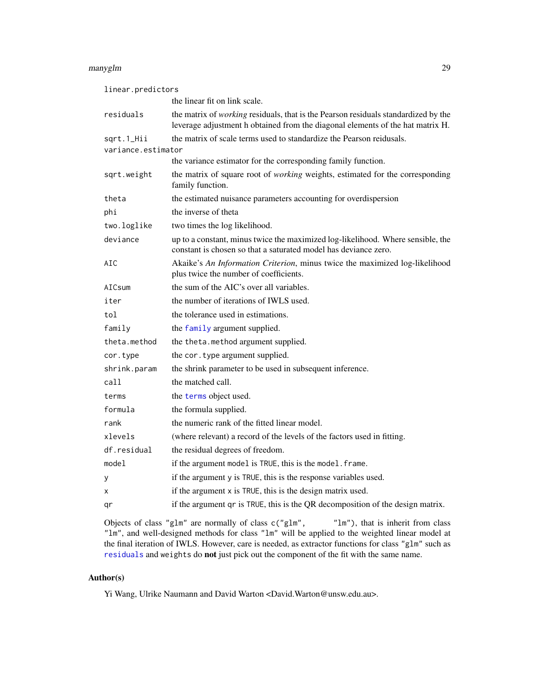#### manyglm 29

| linear.predictors  |                                                                                                                                                                      |
|--------------------|----------------------------------------------------------------------------------------------------------------------------------------------------------------------|
|                    | the linear fit on link scale.                                                                                                                                        |
| residuals          | the matrix of working residuals, that is the Pearson residuals standardized by the<br>leverage adjustment h obtained from the diagonal elements of the hat matrix H. |
| sqrt.1_Hii         | the matrix of scale terms used to standardize the Pearson reidusals.                                                                                                 |
| variance.estimator |                                                                                                                                                                      |
|                    | the variance estimator for the corresponding family function.                                                                                                        |
| sqrt.weight        | the matrix of square root of <i>working</i> weights, estimated for the corresponding<br>family function.                                                             |
| theta              | the estimated nuisance parameters accounting for overdispersion                                                                                                      |
| phi                | the inverse of theta                                                                                                                                                 |
| two.loglike        | two times the log likelihood.                                                                                                                                        |
| deviance           | up to a constant, minus twice the maximized log-likelihood. Where sensible, the<br>constant is chosen so that a saturated model has deviance zero.                   |
| AIC                | Akaike's An Information Criterion, minus twice the maximized log-likelihood<br>plus twice the number of coefficients.                                                |
| AICsum             | the sum of the AIC's over all variables.                                                                                                                             |
| iter               | the number of iterations of IWLS used.                                                                                                                               |
| tol                | the tolerance used in estimations.                                                                                                                                   |
| family             | the family argument supplied.                                                                                                                                        |
| theta.method       | the theta.method argument supplied.                                                                                                                                  |
| cor.type           | the cor. type argument supplied.                                                                                                                                     |
| shrink.param       | the shrink parameter to be used in subsequent inference.                                                                                                             |
| call               | the matched call.                                                                                                                                                    |
| terms              | the terms object used.                                                                                                                                               |
| formula            | the formula supplied.                                                                                                                                                |
| rank               | the numeric rank of the fitted linear model.                                                                                                                         |
| xlevels            | (where relevant) a record of the levels of the factors used in fitting.                                                                                              |
| df.residual        | the residual degrees of freedom.                                                                                                                                     |
| model              | if the argument model is TRUE, this is the model. frame.                                                                                                             |
| у                  | if the argument y is TRUE, this is the response variables used.                                                                                                      |
| X                  | if the argument x is TRUE, this is the design matrix used.                                                                                                           |
| qr                 | if the argument qr is TRUE, this is the QR decomposition of the design matrix.                                                                                       |

Objects of class "glm" are normally of class  $c("glm", "lm"), that is inherit from class$ "lm", and well-designed methods for class "lm" will be applied to the weighted linear model at the final iteration of IWLS. However, care is needed, as extractor functions for class "glm" such as [residuals](#page-0-0) and weights do not just pick out the component of the fit with the same name.

# Author(s)

Yi Wang, Ulrike Naumann and David Warton <David.Warton@unsw.edu.au>.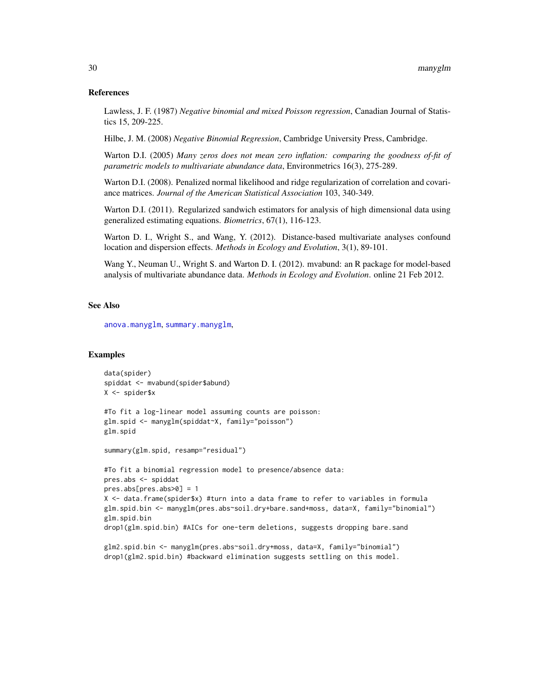#### References

Lawless, J. F. (1987) *Negative binomial and mixed Poisson regression*, Canadian Journal of Statistics 15, 209-225.

Hilbe, J. M. (2008) *Negative Binomial Regression*, Cambridge University Press, Cambridge.

Warton D.I. (2005) *Many zeros does not mean zero inflation: comparing the goodness of-fit of parametric models to multivariate abundance data*, Environmetrics 16(3), 275-289.

Warton D.I. (2008). Penalized normal likelihood and ridge regularization of correlation and covariance matrices. *Journal of the American Statistical Association* 103, 340-349.

Warton D.I. (2011). Regularized sandwich estimators for analysis of high dimensional data using generalized estimating equations. *Biometrics*, 67(1), 116-123.

Warton D. I., Wright S., and Wang, Y. (2012). Distance-based multivariate analyses confound location and dispersion effects. *Methods in Ecology and Evolution*, 3(1), 89-101.

Wang Y., Neuman U., Wright S. and Warton D. I. (2012). mvabund: an R package for model-based analysis of multivariate abundance data. *Methods in Ecology and Evolution*. online 21 Feb 2012.

# See Also

[anova.manyglm](#page-7-1), [summary.manyglm](#page-60-1),

#### Examples

```
data(spider)
spiddat <- mvabund(spider$abund)
X <- spider$x
#To fit a log-linear model assuming counts are poisson:
glm.spid <- manyglm(spiddat~X, family="poisson")
glm.spid
summary(glm.spid, resamp="residual")
#To fit a binomial regression model to presence/absence data:
pres.abs <- spiddat
pres.abs[pres.abs>0] = 1
X <- data.frame(spider$x) #turn into a data frame to refer to variables in formula
glm.spid.bin <- manyglm(pres.abs~soil.dry+bare.sand+moss, data=X, family="binomial")
glm.spid.bin
drop1(glm.spid.bin) #AICs for one-term deletions, suggests dropping bare.sand
glm2.spid.bin <- manyglm(pres.abs~soil.dry+moss, data=X, family="binomial")
```
drop1(glm2.spid.bin) #backward elimination suggests settling on this model.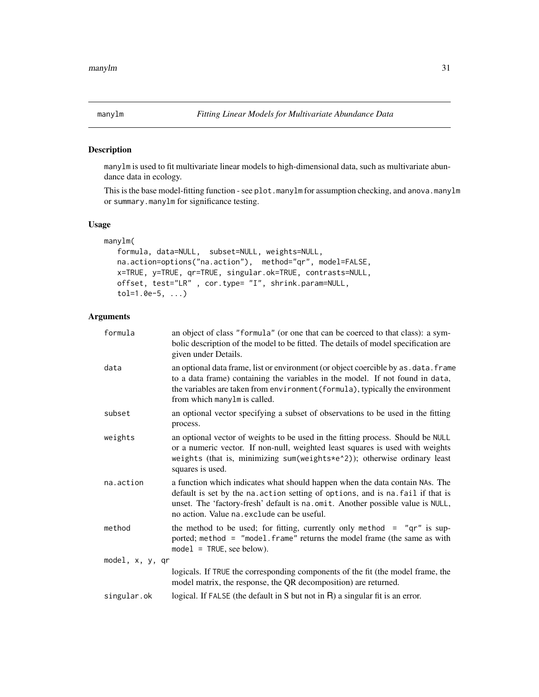# <span id="page-30-1"></span><span id="page-30-0"></span>Description

manylm is used to fit multivariate linear models to high-dimensional data, such as multivariate abundance data in ecology.

This is the base model-fitting function - see plot.manylm for assumption checking, and anova.manylm or summary.manylm for significance testing.

# Usage

```
manylm(
  formula, data=NULL, subset=NULL, weights=NULL,
  na.action=options("na.action"), method="qr", model=FALSE,
  x=TRUE, y=TRUE, qr=TRUE, singular.ok=TRUE, contrasts=NULL,
  offset, test="LR" , cor.type= "I", shrink.param=NULL,
  tol=1.0e-5, ...)
```

| formula         | an object of class "formula" (or one that can be coerced to that class): a sym-<br>bolic description of the model to be fitted. The details of model specification are<br>given under Details.                                                                                                   |
|-----------------|--------------------------------------------------------------------------------------------------------------------------------------------------------------------------------------------------------------------------------------------------------------------------------------------------|
| data            | an optional data frame, list or environment (or object coercible by as . data. frame<br>to a data frame) containing the variables in the model. If not found in data,<br>the variables are taken from environment (formula), typically the environment<br>from which manylm is called.           |
| subset          | an optional vector specifying a subset of observations to be used in the fitting<br>process.                                                                                                                                                                                                     |
| weights         | an optional vector of weights to be used in the fitting process. Should be NULL<br>or a numeric vector. If non-null, weighted least squares is used with weights<br>weights (that is, minimizing sum(weights*e^2)); otherwise ordinary least<br>squares is used.                                 |
| na.action       | a function which indicates what should happen when the data contain NAs. The<br>default is set by the na. action setting of options, and is na. fail if that is<br>unset. The 'factory-fresh' default is na.omit. Another possible value is NULL,<br>no action. Value na. exclude can be useful. |
| method          | the method to be used; for fitting, currently only method = $"qr"$ is sup-<br>ported; method = "model. frame" returns the model frame (the same as with<br>$model = TRUE, see below).$                                                                                                           |
| model, x, y, qr |                                                                                                                                                                                                                                                                                                  |
|                 | logicals. If TRUE the corresponding components of the fit (the model frame, the<br>model matrix, the response, the QR decomposition) are returned.                                                                                                                                               |
| singular.ok     | logical. If FALSE (the default in S but not in $R$ ) a singular fit is an error.                                                                                                                                                                                                                 |
|                 |                                                                                                                                                                                                                                                                                                  |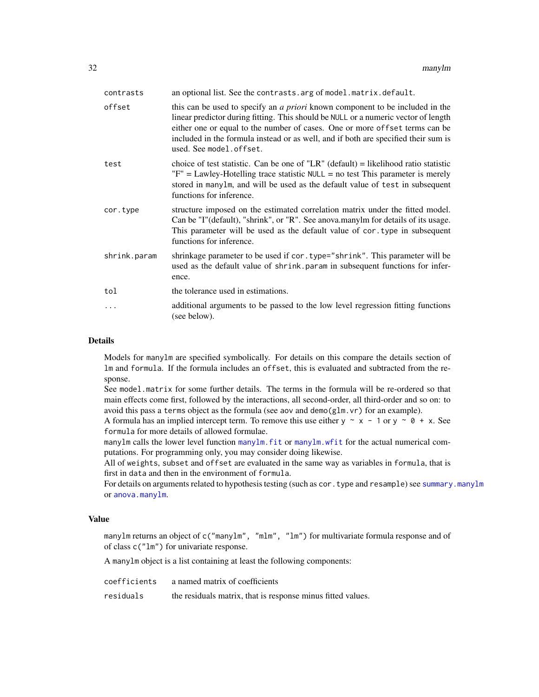| contrasts    | an optional list. See the contrasts arg of model matrix default.                                                                                                                                                                                                                                                                                                           |
|--------------|----------------------------------------------------------------------------------------------------------------------------------------------------------------------------------------------------------------------------------------------------------------------------------------------------------------------------------------------------------------------------|
| offset       | this can be used to specify an <i>a priori</i> known component to be included in the<br>linear predictor during fitting. This should be NULL or a numeric vector of length<br>either one or equal to the number of cases. One or more offset terms can be<br>included in the formula instead or as well, and if both are specified their sum is<br>used. See model.offset. |
| test         | choice of test statistic. Can be one of "LR" (default) = likelihood ratio statistic<br>$"F" = Lawley-Hotelling trace statistic NULL = no test This parameter is merely$<br>stored in manylm, and will be used as the default value of test in subsequent<br>functions for inference.                                                                                       |
| cor.type     | structure imposed on the estimated correlation matrix under the fitted model.<br>Can be "I"(default), "shrink", or "R". See anova.manylm for details of its usage.<br>This parameter will be used as the default value of cor. type in subsequent<br>functions for inference.                                                                                              |
| shrink.param | shrinkage parameter to be used if cor. type="shrink". This parameter will be<br>used as the default value of shrink. param in subsequent functions for infer-<br>ence.                                                                                                                                                                                                     |
| tol          | the tolerance used in estimations.                                                                                                                                                                                                                                                                                                                                         |
| .            | additional arguments to be passed to the low level regression fitting functions<br>(see below).                                                                                                                                                                                                                                                                            |

# Details

Models for manylm are specified symbolically. For details on this compare the details section of lm and formula. If the formula includes an offset, this is evaluated and subtracted from the response.

See model.matrix for some further details. The terms in the formula will be re-ordered so that main effects come first, followed by the interactions, all second-order, all third-order and so on: to avoid this pass a terms object as the formula (see aov and demo(glm.vr) for an example).

A formula has an implied intercept term. To remove this use either  $y \sim x - 1$  or  $y \sim \theta + x$ . See formula for more details of allowed formulae.

manylm calls the lower level function [manylm.fit](#page-33-1) or [manylm.wfit](#page-33-2) for the actual numerical computations. For programming only, you may consider doing likewise.

All of weights, subset and offset are evaluated in the same way as variables in formula, that is first in data and then in the environment of formula.

For details on arguments related to hypothesis testing (such as cor.type and resample) see [summary.manylm](#page-65-1) or [anova.manylm](#page-11-1).

# Value

manylm returns an object of c("manylm", "mlm", "lm") for multivariate formula response and of of class c("lm") for univariate response.

A manylm object is a list containing at least the following components:

| coefficients | a named matrix of coefficients                              |
|--------------|-------------------------------------------------------------|
| residuals    | the residuals matrix, that is response minus fitted values. |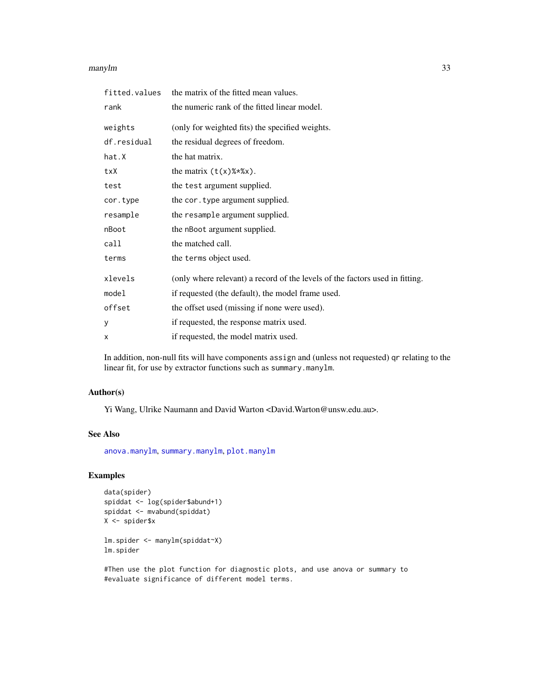#### manylm 33

| fitted.values | the matrix of the fitted mean values.                                        |
|---------------|------------------------------------------------------------------------------|
| rank          | the numeric rank of the fitted linear model.                                 |
| weights       | (only for weighted fits) the specified weights.                              |
| df.residual   | the residual degrees of freedom.                                             |
| hat.X         | the hat matrix.                                                              |
| txX           | the matrix $(t(x)$ %*% $x)$ .                                                |
| test          | the test argument supplied.                                                  |
| cor.type      | the cor. type argument supplied.                                             |
| resample      | the resample argument supplied.                                              |
| nBoot         | the nBoot argument supplied.                                                 |
| call          | the matched call.                                                            |
| terms         | the terms object used.                                                       |
| xlevels       | (only where relevant) a record of the levels of the factors used in fitting. |
| model         | if requested (the default), the model frame used.                            |
| offset        | the offset used (missing if none were used).                                 |
| У             | if requested, the response matrix used.                                      |
| X             | if requested, the model matrix used.                                         |

In addition, non-null fits will have components assign and (unless not requested) qr relating to the linear fit, for use by extractor functions such as summary.manylm.

# Author(s)

Yi Wang, Ulrike Naumann and David Warton <David.Warton@unsw.edu.au>.

# See Also

[anova.manylm](#page-11-1), [summary.manylm](#page-65-1), [plot.manylm](#page-40-1)

# Examples

```
data(spider)
spiddat <- log(spider$abund+1)
spiddat <- mvabund(spiddat)
X <- spider$x
```
lm.spider <- manylm(spiddat~X) lm.spider

#Then use the plot function for diagnostic plots, and use anova or summary to #evaluate significance of different model terms.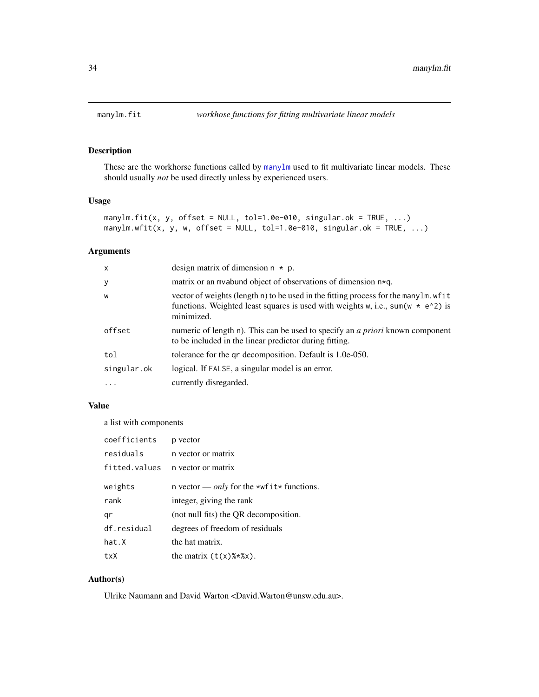<span id="page-33-1"></span><span id="page-33-0"></span>

# <span id="page-33-2"></span>Description

These are the workhorse functions called by [manylm](#page-30-1) used to fit multivariate linear models. These should usually *not* be used directly unless by experienced users.

#### Usage

```
manylm.fit(x, y, offset = NULL, tol=1.0e-010, singular.ok = TRUE, \ldots)
manylm.wfit(x, y, w, offset = NULL, tol=1.0e-010, singular.ok = TRUE, ...)
```
# Arguments

| $\mathsf{x}$ | design matrix of dimension $n * p$ .                                                                                                                                                     |
|--------------|------------------------------------------------------------------------------------------------------------------------------------------------------------------------------------------|
| $\mathbf{y}$ | matrix or an myabund object of observations of dimension $n \star q$ .                                                                                                                   |
| W            | vector of weights (length n) to be used in the fitting process for the many lm. wf it<br>functions. Weighted least squares is used with weights w, i.e., sum(w $*$ e^2) is<br>minimized. |
| offset       | numeric of length n). This can be used to specify an <i>a priori</i> known component<br>to be included in the linear predictor during fitting.                                           |
| tol          | tolerance for the qr decomposition. Default is 1.0e-050.                                                                                                                                 |
| singular.ok  | logical. If FALSE, a singular model is an error.                                                                                                                                         |
| $\cdots$     | currently disregarded.                                                                                                                                                                   |

# Value

a list with components

| coefficients  | p vector                                         |
|---------------|--------------------------------------------------|
| residuals     | n vector or matrix                               |
| fitted.values | n vector or matrix                               |
| weights       | n vector — <i>only</i> for the *wfit* functions. |
| rank          | integer, giving the rank                         |
| qr            | (not null fits) the QR decomposition.            |
| df.residual   | degrees of freedom of residuals                  |
| hat.X         | the hat matrix.                                  |
| txX           | the matrix $(t(x)\%*\%x)$ .                      |

# Author(s)

Ulrike Naumann and David Warton <David.Warton@unsw.edu.au>.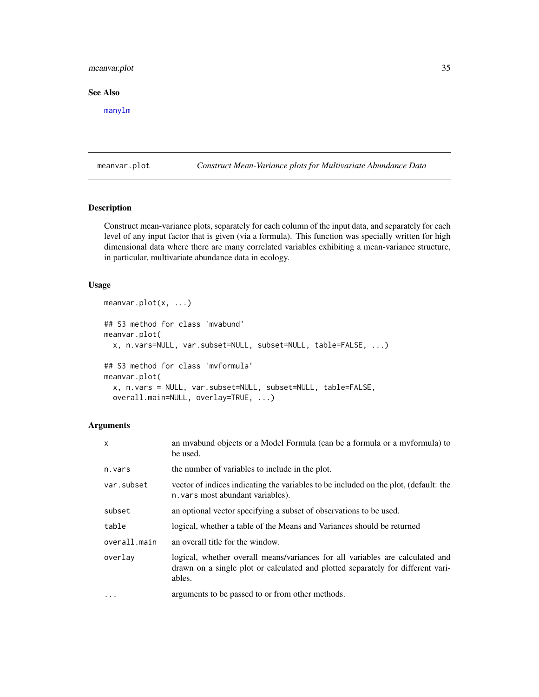# <span id="page-34-0"></span>meanvar.plot 35

# See Also

[manylm](#page-30-1)

<span id="page-34-1"></span>meanvar.plot *Construct Mean-Variance plots for Multivariate Abundance Data*

# **Description**

Construct mean-variance plots, separately for each column of the input data, and separately for each level of any input factor that is given (via a formula). This function was specially written for high dimensional data where there are many correlated variables exhibiting a mean-variance structure, in particular, multivariate abundance data in ecology.

# Usage

```
meanvar.plot(x, ...)
## S3 method for class 'mvabund'
meanvar.plot(
 x, n.vars=NULL, var.subset=NULL, subset=NULL, table=FALSE, ...)
## S3 method for class 'mvformula'
meanvar.plot(
  x, n.vars = NULL, var.subset=NULL, subset=NULL, table=FALSE,
 overall.main=NULL, overlay=TRUE, ...)
```

| X            | an myabund objects or a Model Formula (can be a formula or a myformula) to<br>be used.                                                                                     |
|--------------|----------------------------------------------------------------------------------------------------------------------------------------------------------------------------|
| n.vars       | the number of variables to include in the plot.                                                                                                                            |
| var.subset   | vector of indices indicating the variables to be included on the plot, (default: the<br>n. vars most abundant variables).                                                  |
| subset       | an optional vector specifying a subset of observations to be used.                                                                                                         |
| table        | logical, whether a table of the Means and Variances should be returned                                                                                                     |
| overall.main | an overall title for the window.                                                                                                                                           |
| overlay      | logical, whether overall means/variances for all variables are calculated and<br>drawn on a single plot or calculated and plotted separately for different vari-<br>ables. |
| $\cdot$      | arguments to be passed to or from other methods.                                                                                                                           |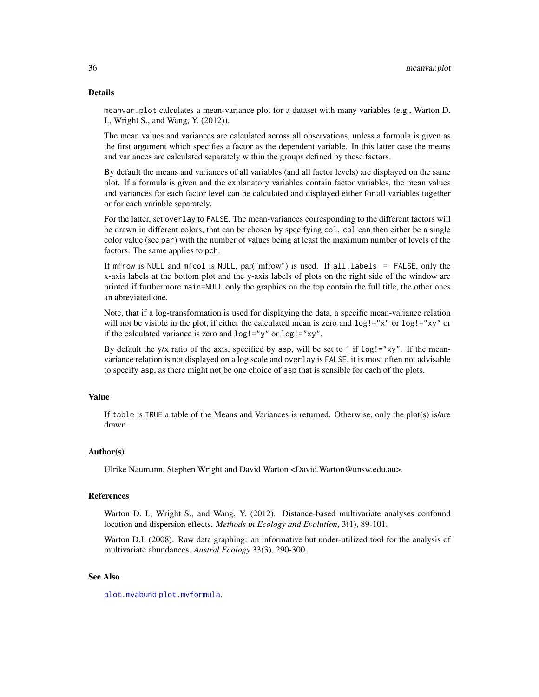#### Details

meanvar.plot calculates a mean-variance plot for a dataset with many variables (e.g., Warton D. I., Wright S., and Wang, Y. (2012)).

The mean values and variances are calculated across all observations, unless a formula is given as the first argument which specifies a factor as the dependent variable. In this latter case the means and variances are calculated separately within the groups defined by these factors.

By default the means and variances of all variables (and all factor levels) are displayed on the same plot. If a formula is given and the explanatory variables contain factor variables, the mean values and variances for each factor level can be calculated and displayed either for all variables together or for each variable separately.

For the latter, set overlay to FALSE. The mean-variances corresponding to the different factors will be drawn in different colors, that can be chosen by specifying col. col can then either be a single color value (see par) with the number of values being at least the maximum number of levels of the factors. The same applies to pch.

If mfrow is NULL and mfcol is NULL, par("mfrow") is used. If all.labels = FALSE, only the x-axis labels at the bottom plot and the y-axis labels of plots on the right side of the window are printed if furthermore main=NULL only the graphics on the top contain the full title, the other ones an abreviated one.

Note, that if a log-transformation is used for displaying the data, a specific mean-variance relation will not be visible in the plot, if either the calculated mean is zero and  $\log 1 = x^2$  or  $\log 1 = x^2$  or if the calculated variance is zero and log!="y" or log!="xy".

By default the y/x ratio of the axis, specified by asp, will be set to 1 if  $\log 1 = x \times y$ ". If the meanvariance relation is not displayed on a log scale and overlay is FALSE, it is most often not advisable to specify asp, as there might not be one choice of asp that is sensible for each of the plots.

# Value

If table is TRUE a table of the Means and Variances is returned. Otherwise, only the plot(s) is/are drawn.

#### Author(s)

Ulrike Naumann, Stephen Wright and David Warton <David.Warton@unsw.edu.au>.

#### References

Warton D. I., Wright S., and Wang, Y. (2012). Distance-based multivariate analyses confound location and dispersion effects. *Methods in Ecology and Evolution*, 3(1), 89-101.

Warton D.I. (2008). Raw data graphing: an informative but under-utilized tool for the analysis of multivariate abundances. *Austral Ecology* 33(3), 290-300.

# See Also

[plot.mvabund](#page-43-1) [plot.mvformula](#page-43-2).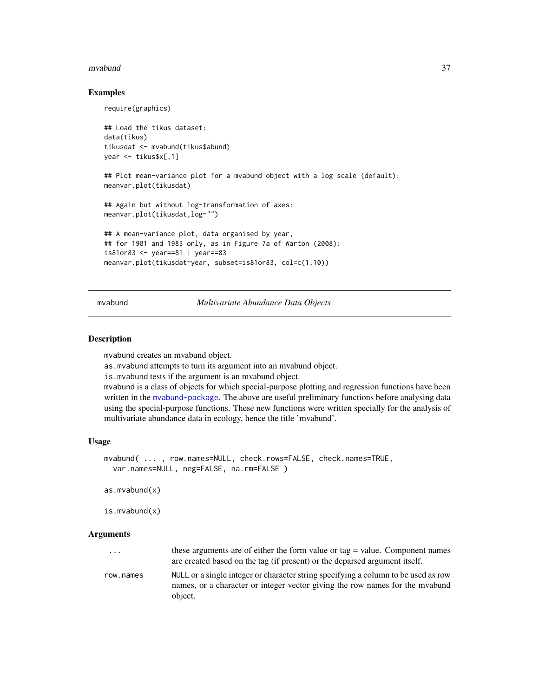#### mvabund 37

### Examples

```
require(graphics)
## Load the tikus dataset:
data(tikus)
tikusdat <- mvabund(tikus$abund)
year <- tikus$x[,1]
## Plot mean-variance plot for a mvabund object with a log scale (default):
meanvar.plot(tikusdat)
## Again but without log-transformation of axes:
meanvar.plot(tikusdat,log="")
## A mean-variance plot, data organised by year,
## for 1981 and 1983 only, as in Figure 7a of Warton (2008):
is81or83 <- year==81 | year==83
meanvar.plot(tikusdat~year, subset=is81or83, col=c(1,10))
```
### <span id="page-36-0"></span>mvabund *Multivariate Abundance Data Objects*

### Description

mvabund creates an mvabund object.

as.mvabund attempts to turn its argument into an mvabund object.

is.mvabund tests if the argument is an mvabund object.

mvabund is a class of objects for which special-purpose plotting and regression functions have been written in the [mvabund-package](#page-1-0). The above are useful preliminary functions before analysing data using the special-purpose functions. These new functions were written specially for the analysis of multivariate abundance data in ecology, hence the title 'mvabund'.

#### Usage

```
mvabund( ... , row.names=NULL, check.rows=FALSE, check.names=TRUE,
 var.names=NULL, neg=FALSE, na.rm=FALSE )
```
as.mvabund(x)

is.mvabund(x)

#### Arguments

| $\cdot$ $\cdot$ $\cdot$ | these arguments are of either the form value or tag = value. Component names<br>are created based on the tag (if present) or the deparsed argument itself.         |
|-------------------------|--------------------------------------------------------------------------------------------------------------------------------------------------------------------|
| row.names               | NULL or a single integer or character string specifying a column to be used as row<br>names, or a character or integer vector giving the row names for the myabund |
|                         | object.                                                                                                                                                            |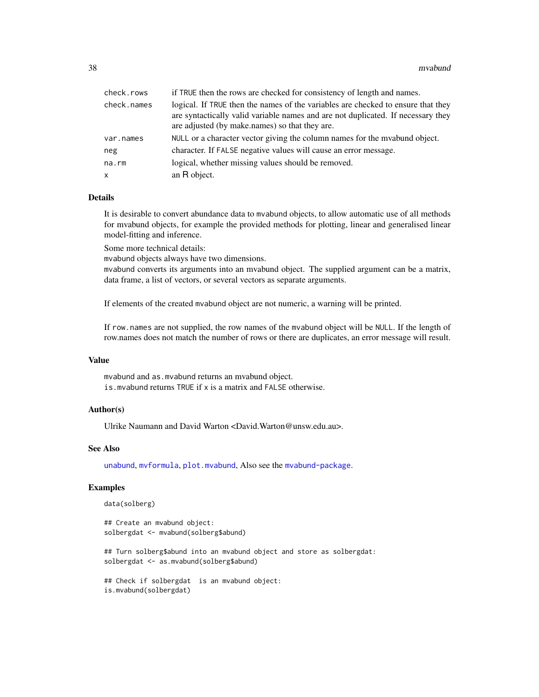| check.rows  | if TRUE then the rows are checked for consistency of length and names.                                                                                                                                                 |
|-------------|------------------------------------------------------------------------------------------------------------------------------------------------------------------------------------------------------------------------|
| check.names | logical. If TRUE then the names of the variables are checked to ensure that they<br>are syntactically valid variable names and are not duplicated. If necessary they<br>are adjusted (by make.names) so that they are. |
| var.names   | NULL or a character vector giving the column names for the myabund object.                                                                                                                                             |
| neg         | character. If FALSE negative values will cause an error message.                                                                                                                                                       |
| $na$ . $rm$ | logical, whether missing values should be removed.                                                                                                                                                                     |
| X           | an R object.                                                                                                                                                                                                           |

### Details

It is desirable to convert abundance data to mvabund objects, to allow automatic use of all methods for mvabund objects, for example the provided methods for plotting, linear and generalised linear model-fitting and inference.

Some more technical details:

mvabund objects always have two dimensions.

mvabund converts its arguments into an mvabund object. The supplied argument can be a matrix, data frame, a list of vectors, or several vectors as separate arguments.

If elements of the created mvabund object are not numeric, a warning will be printed.

If row.names are not supplied, the row names of the mvabund object will be NULL. If the length of row.names does not match the number of rows or there are duplicates, an error message will result.

### Value

mvabund and as.mvabund returns an mvabund object. is.mvabund returns TRUE if x is a matrix and FALSE otherwise.

### Author(s)

Ulrike Naumann and David Warton <David.Warton@unsw.edu.au>.

### See Also

[unabund](#page-73-0), [mvformula](#page-38-0), [plot.mvabund](#page-43-0), Also see the [mvabund-package](#page-1-0).

# Examples

data(solberg)

## Create an mvabund object: solbergdat <- mvabund(solberg\$abund)

## Turn solberg\$abund into an mvabund object and store as solbergdat: solbergdat <- as.mvabund(solberg\$abund)

```
## Check if solbergdat is an mvabund object:
is.mvabund(solbergdat)
```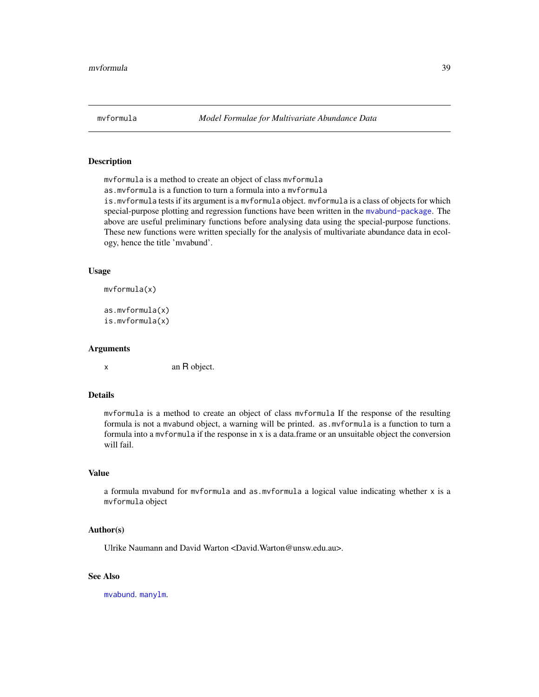<span id="page-38-0"></span>

# **Description**

mvformula is a method to create an object of class mvformula

as.mvformula is a function to turn a formula into a mvformula

is.mvformula tests if its argument is a mvformula object. mvformula is a class of objects for which special-purpose plotting and regression functions have been written in the [mvabund-package](#page-1-0). The above are useful preliminary functions before analysing data using the special-purpose functions. These new functions were written specially for the analysis of multivariate abundance data in ecology, hence the title 'mvabund'.

#### Usage

mvformula(x)

```
as.mvformula(x)
is.mvformula(x)
```
### Arguments

x an R object.

# Details

mvformula is a method to create an object of class mvformula If the response of the resulting formula is not a mvabund object, a warning will be printed. as.mvformula is a function to turn a formula into a mvformula if the response in x is a data.frame or an unsuitable object the conversion will fail.

#### Value

a formula mvabund for mvformula and as.mvformula a logical value indicating whether x is a mvformula object

#### Author(s)

Ulrike Naumann and David Warton <David.Warton@unsw.edu.au>.

#### See Also

[mvabund](#page-36-0). [manylm](#page-30-0).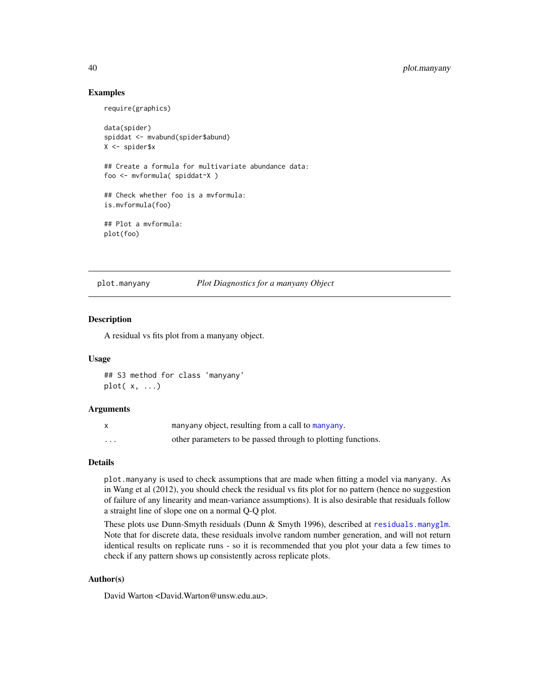# 40 plot.manyany

### Examples

```
require(graphics)
data(spider)
spiddat <- mvabund(spider$abund)
X <- spider$x
## Create a formula for multivariate abundance data:
foo <- mvformula( spiddat~X )
## Check whether foo is a mvformula:
is.mvformula(foo)
## Plot a mvformula:
plot(foo)
```
plot.manyany *Plot Diagnostics for a manyany Object*

# **Description**

A residual vs fits plot from a manyany object.

#### Usage

## S3 method for class 'manyany' plot( x, ...)

#### **Arguments**

|   | manyany object, resulting from a call to manyany.            |
|---|--------------------------------------------------------------|
| . | other parameters to be passed through to plotting functions. |

### Details

plot.manyany is used to check assumptions that are made when fitting a model via manyany. As in Wang et al (2012), you should check the residual vs fits plot for no pattern (hence no suggestion of failure of any linearity and mean-variance assumptions). It is also desirable that residuals follow a straight line of slope one on a normal Q-Q plot.

These plots use Dunn-Smyth residuals (Dunn & Smyth 1996), described at [residuals.manyglm](#page-53-0). Note that for discrete data, these residuals involve random number generation, and will not return identical results on replicate runs - so it is recommended that you plot your data a few times to check if any pattern shows up consistently across replicate plots.

### Author(s)

David Warton <David.Warton@unsw.edu.au>.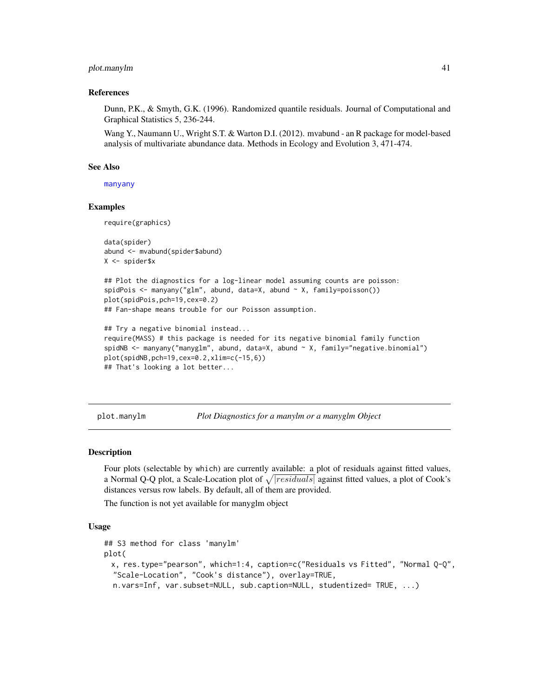### plot.manylm 41

### References

Dunn, P.K., & Smyth, G.K. (1996). Randomized quantile residuals. Journal of Computational and Graphical Statistics 5, 236-244.

Wang Y., Naumann U., Wright S.T. & Warton D.I. (2012). mvabund - an R package for model-based analysis of multivariate abundance data. Methods in Ecology and Evolution 3, 471-474.

#### See Also

[manyany](#page-23-0)

### Examples

require(graphics)

```
data(spider)
abund <- mvabund(spider$abund)
X <- spider$x
```
## Plot the diagnostics for a log-linear model assuming counts are poisson: spidPois <- manyany("glm", abund, data=X, abund ~ X, family=poisson()) plot(spidPois,pch=19,cex=0.2) ## Fan-shape means trouble for our Poisson assumption.

```
## Try a negative binomial instead...
require(MASS) # this package is needed for its negative binomial family function
spidNB <- manyany("manyglm", abund, data=X, abund ~ X, family="negative.binomial")
plot(spidNB,pch=19,cex=0.2,xlim=c(-15,6))
## That's looking a lot better...
```
<span id="page-40-0"></span>plot.manylm *Plot Diagnostics for a manylm or a manyglm Object*

#### <span id="page-40-1"></span>**Description**

Four plots (selectable by which) are currently available: a plot of residuals against fitted values, a Normal Q-Q plot, a Scale-Location plot of  $\sqrt{|residuals|}$  against fitted values, a plot of Cook's distances versus row labels. By default, all of them are provided.

The function is not yet available for manyglm object

### Usage

```
## S3 method for class 'manylm'
plot(
 x, res.type="pearson", which=1:4, caption=c("Residuals vs Fitted", "Normal Q-Q",
  "Scale-Location", "Cook's distance"), overlay=TRUE,
  n.vars=Inf, var.subset=NULL, sub.caption=NULL, studentized= TRUE, ...)
```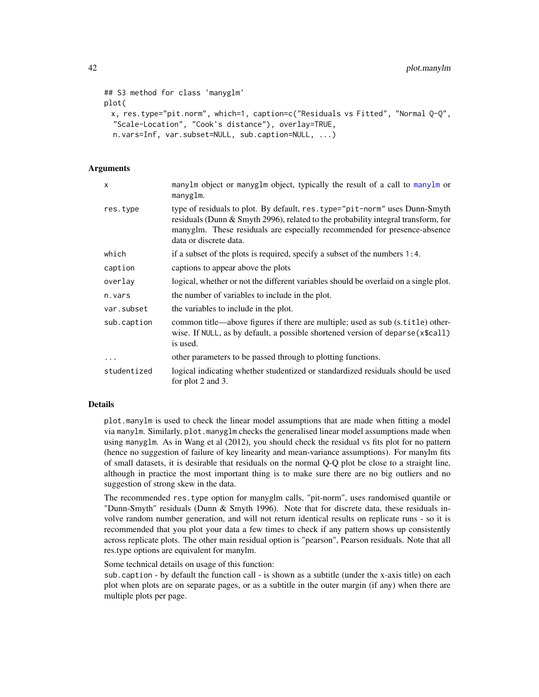```
## S3 method for class 'manyglm'
plot(
 x, res.type="pit.norm", which=1, caption=c("Residuals vs Fitted", "Normal Q-Q",
 "Scale-Location", "Cook's distance"), overlay=TRUE,
 n.vars=Inf, var.subset=NULL, sub.caption=NULL, ...)
```
### Arguments

| X           | manylm object or manyglm object, typically the result of a call to manylm or<br>manyglm.                                                                                                                                                                              |
|-------------|-----------------------------------------------------------------------------------------------------------------------------------------------------------------------------------------------------------------------------------------------------------------------|
| res.type    | type of residuals to plot. By default, res.type="pit-norm" uses Dunn-Smyth<br>residuals (Dunn & Smyth 2996), related to the probability integral transform, for<br>manyglm. These residuals are especially recommended for presence-absence<br>data or discrete data. |
| which       | if a subset of the plots is required, specify a subset of the numbers 1:4.                                                                                                                                                                                            |
| caption     | captions to appear above the plots                                                                                                                                                                                                                                    |
| overlay     | logical, whether or not the different variables should be overlaid on a single plot.                                                                                                                                                                                  |
| n.vars      | the number of variables to include in the plot.                                                                                                                                                                                                                       |
| var.subset  | the variables to include in the plot.                                                                                                                                                                                                                                 |
| sub.caption | common title—above figures if there are multiple; used as sub (s.title) other-<br>wise. If NULL, as by default, a possible shortened version of deparse(x\$call)<br>is used.                                                                                          |
| $\ddots$    | other parameters to be passed through to plotting functions.                                                                                                                                                                                                          |
| studentized | logical indicating whether studentized or standardized residuals should be used<br>for plot 2 and 3.                                                                                                                                                                  |

### Details

plot.manylm is used to check the linear model assumptions that are made when fitting a model via manylm. Similarly, plot.manyglm checks the generalised linear model assumptions made when using manyglm. As in Wang et al (2012), you should check the residual vs fits plot for no pattern (hence no suggestion of failure of key linearity and mean-variance assumptions). For manylm fits of small datasets, it is desirable that residuals on the normal Q-Q plot be close to a straight line, although in practice the most important thing is to make sure there are no big outliers and no suggestion of strong skew in the data.

The recommended res.type option for manyglm calls, "pit-norm", uses randomised quantile or "Dunn-Smyth" residuals (Dunn & Smyth 1996). Note that for discrete data, these residuals involve random number generation, and will not return identical results on replicate runs - so it is recommended that you plot your data a few times to check if any pattern shows up consistently across replicate plots. The other main residual option is "pearson", Pearson residuals. Note that all res.type options are equivalent for manylm.

Some technical details on usage of this function:

sub.caption - by default the function call - is shown as a subtitle (under the x-axis title) on each plot when plots are on separate pages, or as a subtitle in the outer margin (if any) when there are multiple plots per page.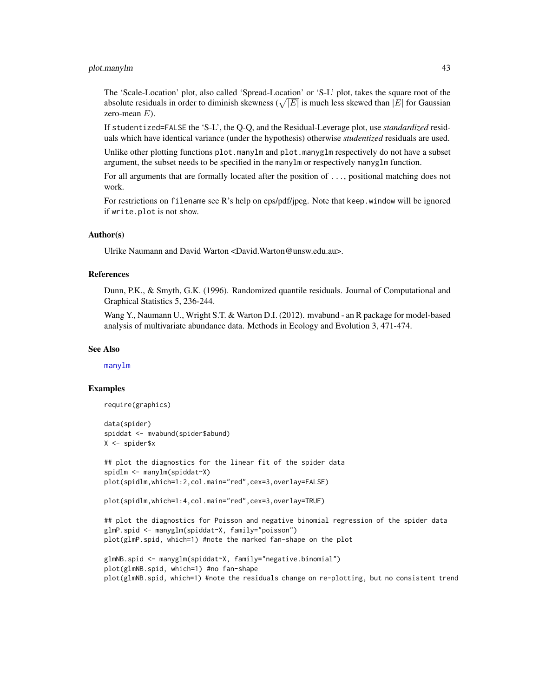# plot.manylm 43

The 'Scale-Location' plot, also called 'Spread-Location' or 'S-L' plot, takes the square root of the absolute residuals in order to diminish skewness ( $\sqrt{|E|}$  is much less skewed than  $|E|$  for Gaussian zero-mean  $E$ ).

If studentized=FALSE the 'S-L', the Q-Q, and the Residual-Leverage plot, use *standardized* residuals which have identical variance (under the hypothesis) otherwise *studentized* residuals are used.

Unlike other plotting functions plot.manylm and plot.manyglm respectively do not have a subset argument, the subset needs to be specified in the manylm or respectively manyglm function.

For all arguments that are formally located after the position of ..., positional matching does not work.

For restrictions on filename see R's help on eps/pdf/jpeg. Note that keep.window will be ignored if write.plot is not show.

#### Author(s)

Ulrike Naumann and David Warton <David.Warton@unsw.edu.au>.

### References

Dunn, P.K., & Smyth, G.K. (1996). Randomized quantile residuals. Journal of Computational and Graphical Statistics 5, 236-244.

Wang Y., Naumann U., Wright S.T. & Warton D.I. (2012). mvabund - an R package for model-based analysis of multivariate abundance data. Methods in Ecology and Evolution 3, 471-474.

#### See Also

[manylm](#page-30-0)

#### Examples

```
require(graphics)
```
data(spider) spiddat <- mvabund(spider\$abund) X <- spider\$x

```
## plot the diagnostics for the linear fit of the spider data
spidlm <- manylm(spiddat~X)
plot(spidlm,which=1:2,col.main="red",cex=3,overlay=FALSE)
```
plot(spidlm,which=1:4,col.main="red",cex=3,overlay=TRUE)

```
## plot the diagnostics for Poisson and negative binomial regression of the spider data
glmP.spid <- manyglm(spiddat~X, family="poisson")
plot(glmP.spid, which=1) #note the marked fan-shape on the plot
```

```
glmNB.spid <- manyglm(spiddat~X, family="negative.binomial")
plot(glmNB.spid, which=1) #no fan-shape
plot(glmNB.spid, which=1) #note the residuals change on re-plotting, but no consistent trend
```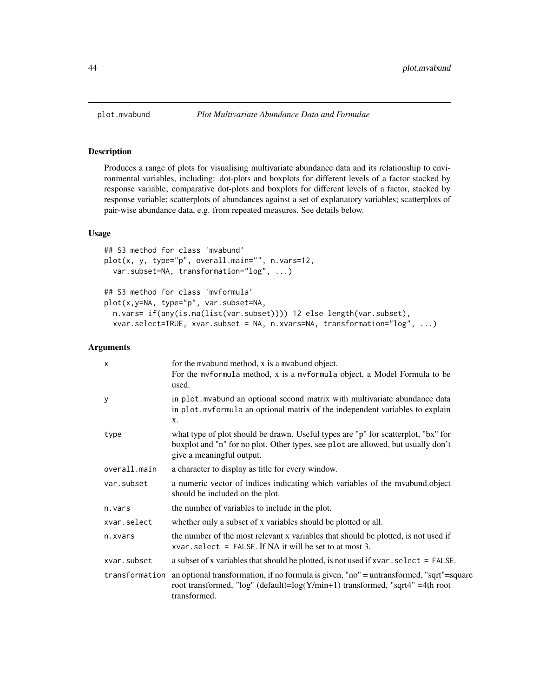### <span id="page-43-1"></span>Description

Produces a range of plots for visualising multivariate abundance data and its relationship to environmental variables, including: dot-plots and boxplots for different levels of a factor stacked by response variable; comparative dot-plots and boxplots for different levels of a factor, stacked by response variable; scatterplots of abundances against a set of explanatory variables; scatterplots of pair-wise abundance data, e.g. from repeated measures. See details below.

# Usage

```
## S3 method for class 'mvabund'
plot(x, y, type="p", overall.main="", n.vars=12,
 var.subset=NA, transformation="log", ...)
## S3 method for class 'mvformula'
plot(x,y=NA, type="p", var.subset=NA,
 n.vars= if(any(is.na(list(var.subset)))) 12 else length(var.subset),
  xvar.select=TRUE, xvar.subset = NA, n.xvars=NA, transformation="log", ...)
```
#### Arguments

| $\mathsf{x}$   | for the myabund method, x is a myabund object.<br>For the myformula method, x is a myformula object, a Model Formula to be<br>used.                                                                 |
|----------------|-----------------------------------------------------------------------------------------------------------------------------------------------------------------------------------------------------|
| y              | in plot myabund an optional second matrix with multivariate abundance data<br>in plot. mvformula an optional matrix of the independent variables to explain<br>X.                                   |
| type           | what type of plot should be drawn. Useful types are "p" for scatterplot, "bx" for<br>boxplot and "n" for no plot. Other types, see plot are allowed, but usually don't<br>give a meaningful output. |
| overall.main   | a character to display as title for every window.                                                                                                                                                   |
| var.subset     | a numeric vector of indices indicating which variables of the myabund.object<br>should be included on the plot.                                                                                     |
| n.vars         | the number of variables to include in the plot.                                                                                                                                                     |
| xvar.select    | whether only a subset of x variables should be plotted or all.                                                                                                                                      |
| n.xvars        | the number of the most relevant x variables that should be plotted, is not used if<br>$xvar.setect = FALSE.$ If NA it will be set to at most 3.                                                     |
| xvar.subset    | a subset of x variables that should be plotted, is not used if $x \vee a \cdot x$ . select = FALSE.                                                                                                 |
| transformation | an optional transformation, if no formula is given, "no" = untransformed, "sqrt"=square<br>root transformed, "log" (default)= $log(Y/min+1)$ transformed, "sqrt4" =4th root<br>transformed.         |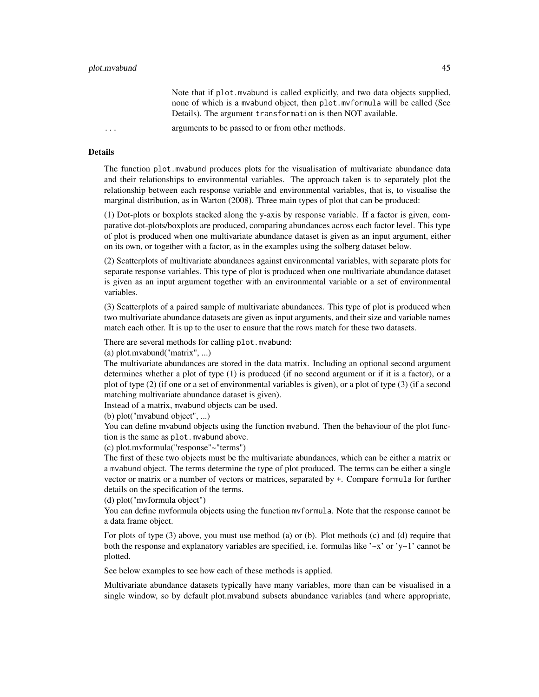Note that if plot.mvabund is called explicitly, and two data objects supplied, none of which is a mvabund object, then plot.mvformula will be called (See Details). The argument transformation is then NOT available.

... arguments to be passed to or from other methods.

#### Details

The function plot.mvabund produces plots for the visualisation of multivariate abundance data and their relationships to environmental variables. The approach taken is to separately plot the relationship between each response variable and environmental variables, that is, to visualise the marginal distribution, as in Warton (2008). Three main types of plot that can be produced:

(1) Dot-plots or boxplots stacked along the y-axis by response variable. If a factor is given, comparative dot-plots/boxplots are produced, comparing abundances across each factor level. This type of plot is produced when one multivariate abundance dataset is given as an input argument, either on its own, or together with a factor, as in the examples using the solberg dataset below.

(2) Scatterplots of multivariate abundances against environmental variables, with separate plots for separate response variables. This type of plot is produced when one multivariate abundance dataset is given as an input argument together with an environmental variable or a set of environmental variables.

(3) Scatterplots of a paired sample of multivariate abundances. This type of plot is produced when two multivariate abundance datasets are given as input arguments, and their size and variable names match each other. It is up to the user to ensure that the rows match for these two datasets.

There are several methods for calling plot.mvabund:

(a) plot.mvabund("matrix", ...)

The multivariate abundances are stored in the data matrix. Including an optional second argument determines whether a plot of type (1) is produced (if no second argument or if it is a factor), or a plot of type (2) (if one or a set of environmental variables is given), or a plot of type (3) (if a second matching multivariate abundance dataset is given).

Instead of a matrix, mvabund objects can be used.

(b) plot("mvabund object", ...)

You can define mvabund objects using the function mvabund. Then the behaviour of the plot function is the same as plot.mvabund above.

(c) plot.mvformula("response"~"terms")

The first of these two objects must be the multivariate abundances, which can be either a matrix or a mvabund object. The terms determine the type of plot produced. The terms can be either a single vector or matrix or a number of vectors or matrices, separated by +. Compare formula for further details on the specification of the terms.

(d) plot("mvformula object")

You can define mvformula objects using the function mvformula. Note that the response cannot be a data frame object.

For plots of type (3) above, you must use method (a) or (b). Plot methods (c) and (d) require that both the response and explanatory variables are specified, i.e. formulas like ' $\sim x$ ' or 'y $\sim$ 1' cannot be plotted.

See below examples to see how each of these methods is applied.

Multivariate abundance datasets typically have many variables, more than can be visualised in a single window, so by default plot.mvabund subsets abundance variables (and where appropriate,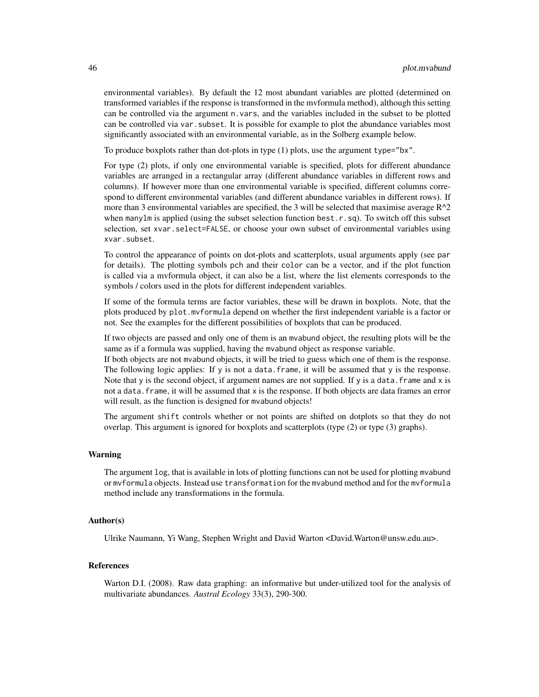environmental variables). By default the 12 most abundant variables are plotted (determined on transformed variables if the response is transformed in the mvformula method), although this setting can be controlled via the argument n.vars, and the variables included in the subset to be plotted can be controlled via var. subset. It is possible for example to plot the abundance variables most significantly associated with an environmental variable, as in the Solberg example below.

To produce boxplots rather than dot-plots in type (1) plots, use the argument type="bx".

For type (2) plots, if only one environmental variable is specified, plots for different abundance variables are arranged in a rectangular array (different abundance variables in different rows and columns). If however more than one environmental variable is specified, different columns correspond to different environmental variables (and different abundance variables in different rows). If more than 3 environmental variables are specified, the 3 will be selected that maximise average  $R^2$ when manylm is applied (using the subset selection function best.r.sq). To switch off this subset selection, set xvar.select=FALSE, or choose your own subset of environmental variables using xvar.subset.

To control the appearance of points on dot-plots and scatterplots, usual arguments apply (see par for details). The plotting symbols pch and their color can be a vector, and if the plot function is called via a mvformula object, it can also be a list, where the list elements corresponds to the symbols / colors used in the plots for different independent variables.

If some of the formula terms are factor variables, these will be drawn in boxplots. Note, that the plots produced by plot.mvformula depend on whether the first independent variable is a factor or not. See the examples for the different possibilities of boxplots that can be produced.

If two objects are passed and only one of them is an mvabund object, the resulting plots will be the same as if a formula was supplied, having the mvabund object as response variable.

If both objects are not mvabund objects, it will be tried to guess which one of them is the response. The following logic applies: If  $\gamma$  is not a data. frame, it will be assumed that  $\gamma$  is the response. Note that y is the second object, if argument names are not supplied. If y is a data. frame and  $x$  is not a data.frame, it will be assumed that x is the response. If both objects are data frames an error will result, as the function is designed for mvabund objects!

The argument shift controls whether or not points are shifted on dotplots so that they do not overlap. This argument is ignored for boxplots and scatterplots (type (2) or type (3) graphs).

#### Warning

The argument log, that is available in lots of plotting functions can not be used for plotting mvabund or mvformula objects. Instead use transformation for the mvabund method and for the mvformula method include any transformations in the formula.

### Author(s)

Ulrike Naumann, Yi Wang, Stephen Wright and David Warton <David.Warton@unsw.edu.au>.

# References

Warton D.I. (2008). Raw data graphing: an informative but under-utilized tool for the analysis of multivariate abundances. *Austral Ecology* 33(3), 290-300.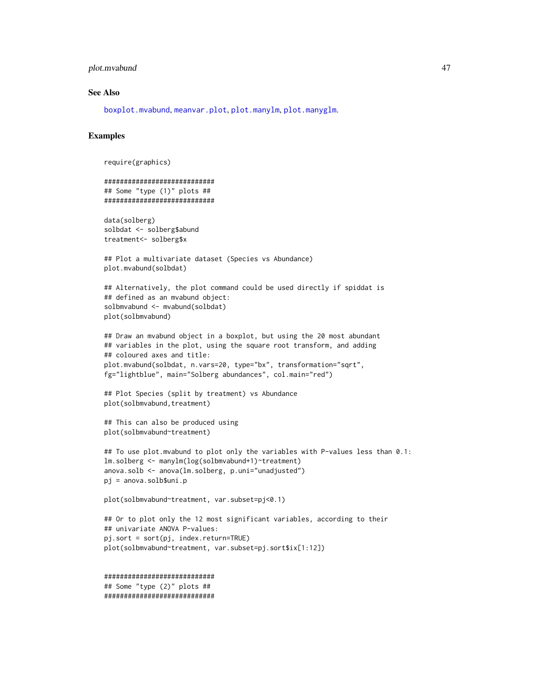### plot.mvabund 47

#### See Also

[boxplot.mvabund](#page-16-0), [meanvar.plot](#page-34-0), [plot.manylm](#page-40-0), [plot.manyglm](#page-40-1).

```
require(graphics)
```

```
############################
## Some "type (1)" plots ##
############################
data(solberg)
solbdat <- solberg$abund
treatment<- solberg$x
## Plot a multivariate dataset (Species vs Abundance)
plot.mvabund(solbdat)
## Alternatively, the plot command could be used directly if spiddat is
## defined as an mvabund object:
solbmvabund <- mvabund(solbdat)
plot(solbmvabund)
## Draw an mvabund object in a boxplot, but using the 20 most abundant
## variables in the plot, using the square root transform, and adding
## coloured axes and title:
plot.mvabund(solbdat, n.vars=20, type="bx", transformation="sqrt",
fg="lightblue", main="Solberg abundances", col.main="red")
## Plot Species (split by treatment) vs Abundance
plot(solbmvabund, treatment)
## This can also be produced using
plot(solbmvabund~treatment)
## To use plot.mvabund to plot only the variables with P-values less than 0.1:
lm.solberg <- manylm(log(solbmvabund+1)~treatment)
anova.solb <- anova(lm.solberg, p.uni="unadjusted")
pj = anova.solb$uni.p
plot(solbmvabund~treatment, var.subset=pj<0.1)
## Or to plot only the 12 most significant variables, according to their
```

```
## univariate ANOVA P-values:
pj.sort = sort(pj, index.return=TRUE)
plot(solbmvabund~treatment, var.subset=pj.sort$ix[1:12])
```

```
############################
## Some "type (2)" plots ##
############################
```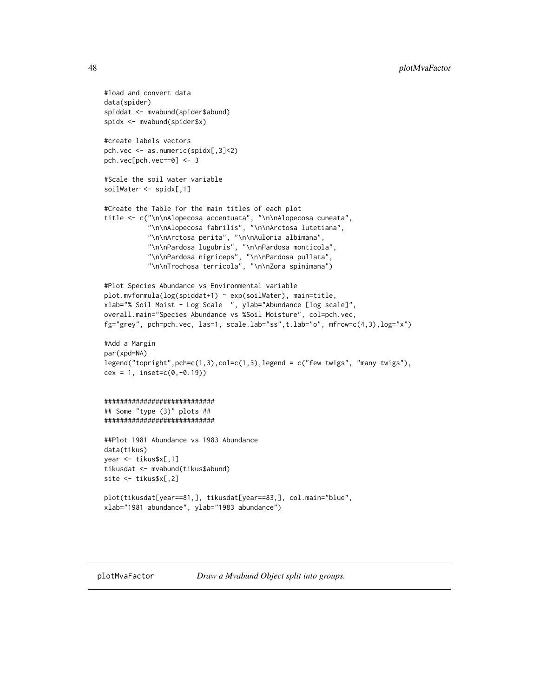```
#load and convert data
data(spider)
spiddat <- mvabund(spider$abund)
spidx <- mvabund(spider$x)
#create labels vectors
pch.vec <- as.numeric(spidx[,3]<2)
pch.vec[pch.vec==0] <- 3
#Scale the soil water variable
soilWater <- spidx[,1]
#Create the Table for the main titles of each plot
title <- c("\n\nAlopecosa accentuata", "\n\nAlopecosa cuneata",
           "\n\nAlopecosa fabrilis", "\n\nArctosa lutetiana",
           "\n\nArctosa perita", "\n\nAulonia albimana",
           "\n\nPardosa lugubris", "\n\nPardosa monticola",
           "\n\nPardosa nigriceps", "\n\nPardosa pullata",
           "\n\nTrochosa terricola", "\n\nZora spinimana")
#Plot Species Abundance vs Environmental variable
plot.mvformula(log(spiddat+1) ~ exp(soilWater), main=title,
xlab="% Soil Moist - Log Scale ", ylab="Abundance [log scale]",
overall.main="Species Abundance vs %Soil Moisture", col=pch.vec,
fg="grey", pch=pch.vec, las=1, scale.lab="ss",t.lab="o", mfrow=c(4,3),log="x")
#Add a Margin
par(xpd=NA)
legend("topright",pch=c(1,3),col=c(1,3),legend = c("few twigs", "many twigs"),
cex = 1, inset=c(0, -0.19))
############################
## Some "type (3)" plots ##
############################
##Plot 1981 Abundance vs 1983 Abundance
data(tikus)
year <- tikus$x[,1]
tikusdat <- mvabund(tikus$abund)
site <- tikus$x[,2]
plot(tikusdat[year==81,], tikusdat[year==83,], col.main="blue",
xlab="1981 abundance", ylab="1983 abundance")
```
plotMvaFactor *Draw a Mvabund Object split into groups.*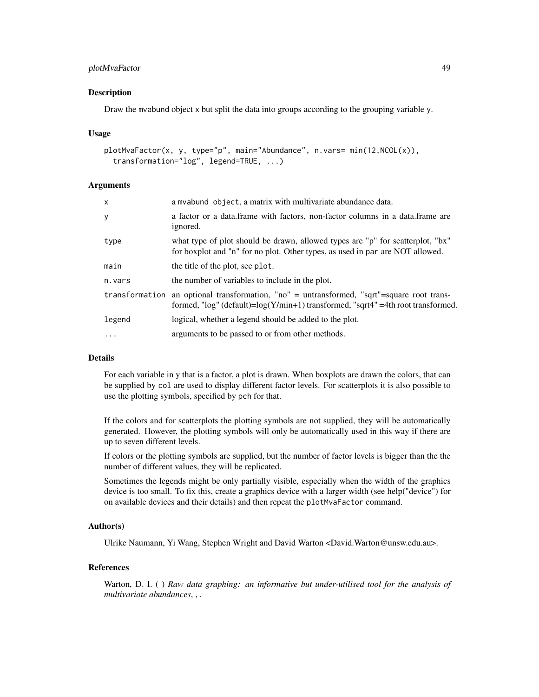# plotMvaFactor 49

#### Description

Draw the mvabund object x but split the data into groups according to the grouping variable y.

#### Usage

```
plotMvaFactor(x, y, type="p", main="Abundance", n.vars= min(12,NCOL(x)),
  transformation="log", legend=TRUE, ...)
```
### Arguments

| X        | a myabund object, a matrix with multivariate abundance data.                                                                                                                          |
|----------|---------------------------------------------------------------------------------------------------------------------------------------------------------------------------------------|
| У        | a factor or a data.frame with factors, non-factor columns in a data.frame are<br>ignored.                                                                                             |
| type     | what type of plot should be drawn, allowed types are "p" for scatterplot, "bx"<br>for boxplot and "n" for no plot. Other types, as used in par are NOT allowed.                       |
| main     | the title of the plot, see plot.                                                                                                                                                      |
| n.vars   | the number of variables to include in the plot.                                                                                                                                       |
|          | transformation an optional transformation, "no" = untransformed, "sqrt"=square root trans-<br>formed, " $log$ " (default)= $log(Y/min+1)$ transformed, "sqrt4" =4th root transformed. |
| legend   | logical, whether a legend should be added to the plot.                                                                                                                                |
| $\ddots$ | arguments to be passed to or from other methods.                                                                                                                                      |
|          |                                                                                                                                                                                       |

# Details

For each variable in y that is a factor, a plot is drawn. When boxplots are drawn the colors, that can be supplied by col are used to display different factor levels. For scatterplots it is also possible to use the plotting symbols, specified by pch for that.

If the colors and for scatterplots the plotting symbols are not supplied, they will be automatically generated. However, the plotting symbols will only be automatically used in this way if there are up to seven different levels.

If colors or the plotting symbols are supplied, but the number of factor levels is bigger than the the number of different values, they will be replicated.

Sometimes the legends might be only partially visible, especially when the width of the graphics device is too small. To fix this, create a graphics device with a larger width (see help("device") for on available devices and their details) and then repeat the plotMvaFactor command.

# Author(s)

Ulrike Naumann, Yi Wang, Stephen Wright and David Warton <David.Warton@unsw.edu.au>.

# References

Warton, D. I. ( ) *Raw data graphing: an informative but under-utilised tool for the analysis of multivariate abundances*, , .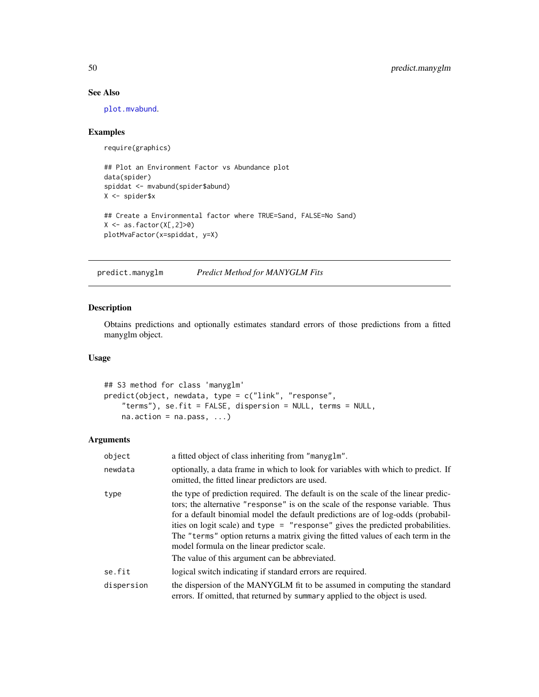# See Also

[plot.mvabund](#page-43-0).

# Examples

```
require(graphics)
```

```
## Plot an Environment Factor vs Abundance plot
data(spider)
spiddat <- mvabund(spider$abund)
X <- spider$x
## Create a Environmental factor where TRUE=Sand, FALSE=No Sand)
X \leftarrow as.factor(X[, 2] > 0)
```
plotMvaFactor(x=spiddat, y=X)

predict.manyglm *Predict Method for MANYGLM Fits*

# Description

Obtains predictions and optionally estimates standard errors of those predictions from a fitted manyglm object.

# Usage

```
## S3 method for class 'manyglm'
predict(object, newdata, type = c("link", "response",
    "terms"), se.fit = FALSE, dispersion = NULL, terms = NULL,
   na. action = na. pass, ...
```
### Arguments

| object     | a fitted object of class inheriting from "manyglm".                                                                                                                                                                                                                                                                                                                                                                                                                                                                              |
|------------|----------------------------------------------------------------------------------------------------------------------------------------------------------------------------------------------------------------------------------------------------------------------------------------------------------------------------------------------------------------------------------------------------------------------------------------------------------------------------------------------------------------------------------|
| newdata    | optionally, a data frame in which to look for variables with which to predict. If<br>omitted, the fitted linear predictors are used.                                                                                                                                                                                                                                                                                                                                                                                             |
| type       | the type of prediction required. The default is on the scale of the linear predic-<br>tors; the alternative "response" is on the scale of the response variable. Thus<br>for a default binomial model the default predictions are of log-odds (probabil-<br>ities on logit scale) and type = "response" gives the predicted probabilities.<br>The "terms" option returns a matrix giving the fitted values of each term in the<br>model formula on the linear predictor scale.<br>The value of this argument can be abbreviated. |
| se.fit     | logical switch indicating if standard errors are required.                                                                                                                                                                                                                                                                                                                                                                                                                                                                       |
| dispersion | the dispersion of the MANYGLM fit to be assumed in computing the standard<br>errors. If omitted, that returned by summary applied to the object is used.                                                                                                                                                                                                                                                                                                                                                                         |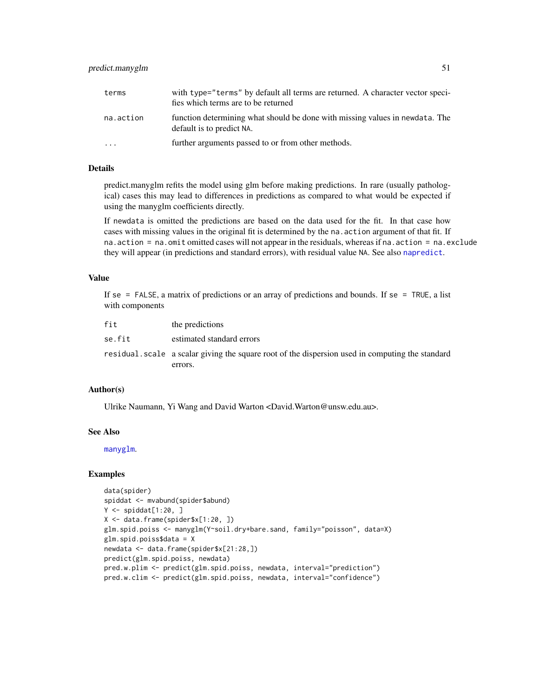| terms     | with type="terms" by default all terms are returned. A character vector speci-<br>fies which terms are to be returned |
|-----------|-----------------------------------------------------------------------------------------------------------------------|
| na.action | function determining what should be done with missing values in newdata. The<br>default is to predict NA.             |
| .         | further arguments passed to or from other methods.                                                                    |

### Details

predict.manyglm refits the model using glm before making predictions. In rare (usually pathological) cases this may lead to differences in predictions as compared to what would be expected if using the manyglm coefficients directly.

If newdata is omitted the predictions are based on the data used for the fit. In that case how cases with missing values in the original fit is determined by the na.action argument of that fit. If na.action = na.omit omitted cases will not appear in the residuals, whereas if na.action = na.exclude they will appear (in predictions and standard errors), with residual value NA. See also [napredict](#page-0-0).

# Value

If se = FALSE, a matrix of predictions or an array of predictions and bounds. If se = TRUE, a list with components

| fit    | the predictions                                                                                 |
|--------|-------------------------------------------------------------------------------------------------|
| se.fit | estimated standard errors                                                                       |
|        | residual scale a scalar giving the square root of the dispersion used in computing the standard |
|        | errors.                                                                                         |

#### Author(s)

Ulrike Naumann, Yi Wang and David Warton <David.Warton@unsw.edu.au>.

### See Also

[manyglm](#page-25-0).

```
data(spider)
spiddat <- mvabund(spider$abund)
Y <- spiddat[1:20, ]
X <- data.frame(spider$x[1:20, ])
glm.spid.poiss <- manyglm(Y~soil.dry+bare.sand, family="poisson", data=X)
glm.spid.poiss$data = X
newdata <- data.frame(spider$x[21:28,])
predict(glm.spid.poiss, newdata)
pred.w.plim <- predict(glm.spid.poiss, newdata, interval="prediction")
pred.w.clim <- predict(glm.spid.poiss, newdata, interval="confidence")
```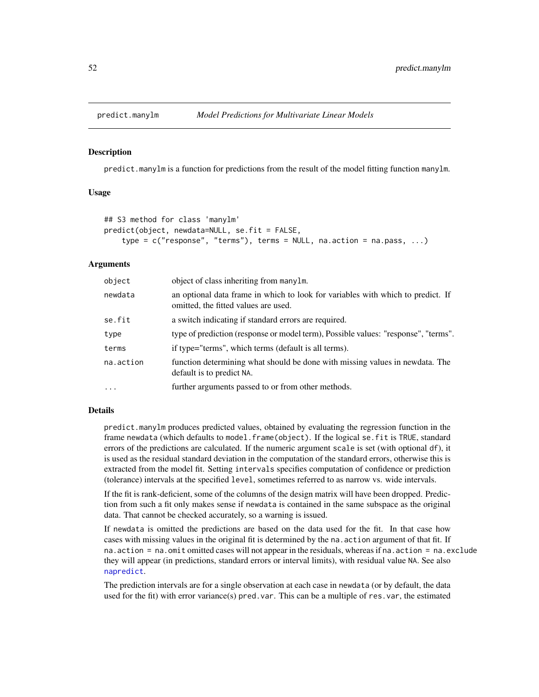#### Description

predict.manylm is a function for predictions from the result of the model fitting function manylm.

### Usage

```
## S3 method for class 'manylm'
predict(object, newdata=NULL, se.fit = FALSE,
    type = c("response", "terms"), terms = NULL, na.action = na.pass, ...)
```
#### Arguments

| object    | object of class inheriting from manylm.                                                                                 |
|-----------|-------------------------------------------------------------------------------------------------------------------------|
| newdata   | an optional data frame in which to look for variables with which to predict. If<br>omitted, the fitted values are used. |
| se.fit    | a switch indicating if standard errors are required.                                                                    |
| type      | type of prediction (response or model term), Possible values: "response", "terms".                                      |
| terms     | if type="terms", which terms (default is all terms).                                                                    |
| na.action | function determining what should be done with missing values in newdata. The<br>default is to predict NA.               |
| $\ddotsc$ | further arguments passed to or from other methods.                                                                      |

#### Details

predict.manylm produces predicted values, obtained by evaluating the regression function in the frame newdata (which defaults to model.frame(object). If the logical se.fit is TRUE, standard errors of the predictions are calculated. If the numeric argument scale is set (with optional df), it is used as the residual standard deviation in the computation of the standard errors, otherwise this is extracted from the model fit. Setting intervals specifies computation of confidence or prediction (tolerance) intervals at the specified level, sometimes referred to as narrow vs. wide intervals.

If the fit is rank-deficient, some of the columns of the design matrix will have been dropped. Prediction from such a fit only makes sense if newdata is contained in the same subspace as the original data. That cannot be checked accurately, so a warning is issued.

If newdata is omitted the predictions are based on the data used for the fit. In that case how cases with missing values in the original fit is determined by the na.action argument of that fit. If na.action = na.omit omitted cases will not appear in the residuals, whereas if na.action = na.exclude they will appear (in predictions, standard errors or interval limits), with residual value NA. See also [napredict](#page-0-0).

The prediction intervals are for a single observation at each case in newdata (or by default, the data used for the fit) with error variance(s) pred.var. This can be a multiple of res.var, the estimated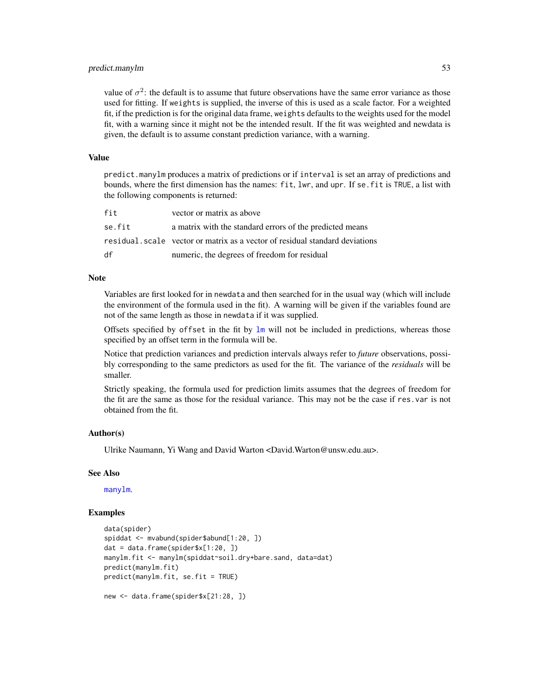### predict.manylm 53

value of  $\sigma^2$ : the default is to assume that future observations have the same error variance as those used for fitting. If weights is supplied, the inverse of this is used as a scale factor. For a weighted fit, if the prediction is for the original data frame, weights defaults to the weights used for the model fit, with a warning since it might not be the intended result. If the fit was weighted and newdata is given, the default is to assume constant prediction variance, with a warning.

#### Value

predict.manylm produces a matrix of predictions or if interval is set an array of predictions and bounds, where the first dimension has the names: fit, lwr, and upr. If se.fit is TRUE, a list with the following components is returned:

| fit    | vector or matrix as above                                                    |
|--------|------------------------------------------------------------------------------|
| se.fit | a matrix with the standard errors of the predicted means                     |
|        | residual, scale vector or matrix as a vector of residual standard deviations |
| df     | numeric, the degrees of freedom for residual                                 |

#### **Note**

Variables are first looked for in newdata and then searched for in the usual way (which will include the environment of the formula used in the fit). A warning will be given if the variables found are not of the same length as those in newdata if it was supplied.

Offsets specified by offset in the fit by  $lm$  will not be included in predictions, whereas those specified by an offset term in the formula will be.

Notice that prediction variances and prediction intervals always refer to *future* observations, possibly corresponding to the same predictors as used for the fit. The variance of the *residuals* will be smaller.

Strictly speaking, the formula used for prediction limits assumes that the degrees of freedom for the fit are the same as those for the residual variance. This may not be the case if res.var is not obtained from the fit.

### Author(s)

Ulrike Naumann, Yi Wang and David Warton <David.Warton@unsw.edu.au>.

#### See Also

[manylm](#page-30-0).

```
data(spider)
spiddat <- mvabund(spider$abund[1:20, ])
dat = data.frame(spider$x[1:20, ])
manylm.fit <- manylm(spiddat~soil.dry+bare.sand, data=dat)
predict(manylm.fit)
predict(manylm.fit, se.fit = TRUE)
new <- data.frame(spider$x[21:28, ])
```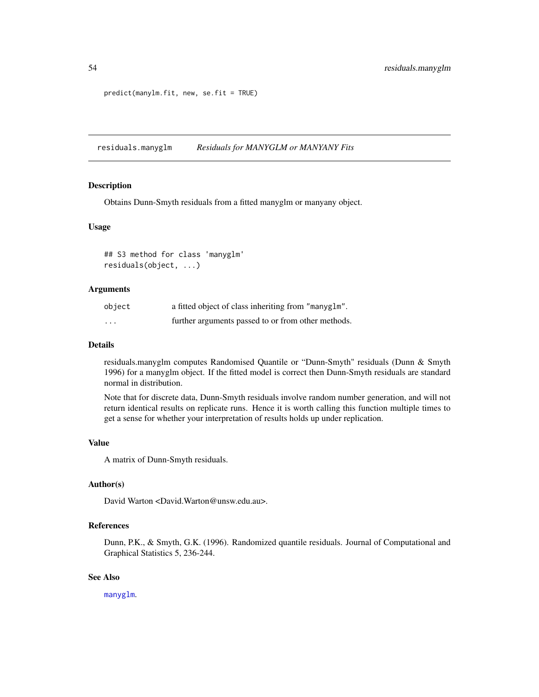```
predict(manylm.fit, new, se.fit = TRUE)
```
<span id="page-53-0"></span>residuals.manyglm *Residuals for MANYGLM or MANYANY Fits*

#### Description

Obtains Dunn-Smyth residuals from a fitted manyglm or manyany object.

#### Usage

```
## S3 method for class 'manyglm'
residuals(object, ...)
```
#### Arguments

| object   | a fitted object of class inheriting from "manyglm". |
|----------|-----------------------------------------------------|
| $\cdots$ | further arguments passed to or from other methods.  |

### Details

residuals.manyglm computes Randomised Quantile or "Dunn-Smyth" residuals (Dunn & Smyth 1996) for a manyglm object. If the fitted model is correct then Dunn-Smyth residuals are standard normal in distribution.

Note that for discrete data, Dunn-Smyth residuals involve random number generation, and will not return identical results on replicate runs. Hence it is worth calling this function multiple times to get a sense for whether your interpretation of results holds up under replication.

# Value

A matrix of Dunn-Smyth residuals.

# Author(s)

David Warton <David.Warton@unsw.edu.au>.

# References

Dunn, P.K., & Smyth, G.K. (1996). Randomized quantile residuals. Journal of Computational and Graphical Statistics 5, 236-244.

# See Also

[manyglm](#page-25-0).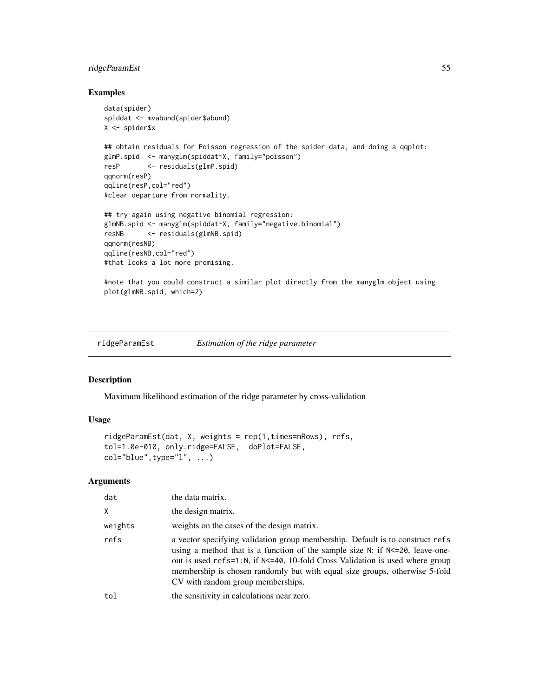# ridgeParamEst 55

#### Examples

```
data(spider)
spiddat <- mvabund(spider$abund)
X <- spider$x
## obtain residuals for Poisson regression of the spider data, and doing a qqplot:
glmP.spid <- manyglm(spiddat~X, family="poisson")
resP <- residuals(glmP.spid)
qqnorm(resP)
qqline(resP,col="red")
#clear departure from normality.
## try again using negative binomial regression:
glmNB.spid <- manyglm(spiddat~X, family="negative.binomial")
resNB <- residuals(glmNB.spid)
qqnorm(resNB)
qqline(resNB,col="red")
#that looks a lot more promising.
#note that you could construct a similar plot directly from the manyglm object using
```

```
plot(glmNB.spid, which=2)
```
<span id="page-54-0"></span>ridgeParamEst *Estimation of the ridge parameter*

#### Description

Maximum likelihood estimation of the ridge parameter by cross-validation

### Usage

```
ridgeParamEst(dat, X, weights = rep(1,times=nRows), refs,
tol=1.0e-010, only.ridge=FALSE, doPlot=FALSE,
col="blue", type="1", ...)
```
### **Arguments**

| dat     | the data matrix.                                                                                                                                                                                                                                                                                                                                                          |
|---------|---------------------------------------------------------------------------------------------------------------------------------------------------------------------------------------------------------------------------------------------------------------------------------------------------------------------------------------------------------------------------|
| Χ       | the design matrix.                                                                                                                                                                                                                                                                                                                                                        |
| weights | weights on the cases of the design matrix.                                                                                                                                                                                                                                                                                                                                |
| refs    | a vector specifying validation group membership. Default is to construct refs<br>using a method that is a function of the sample size $N$ : if $N \le 20$ , leave-one-<br>out is used refs=1:N, if N<=40, 10-fold Cross Validation is used where group<br>membership is chosen randomly but with equal size groups, otherwise 5-fold<br>CV with random group memberships. |
| tol     | the sensitivity in calculations near zero.                                                                                                                                                                                                                                                                                                                                |
|         |                                                                                                                                                                                                                                                                                                                                                                           |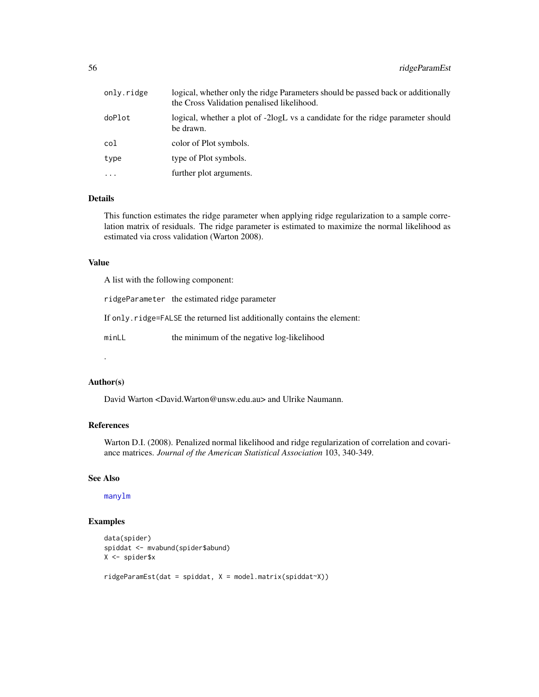| only.ridge | logical, whether only the ridge Parameters should be passed back or additionally<br>the Cross Validation penalised likelihood. |
|------------|--------------------------------------------------------------------------------------------------------------------------------|
| doPlot     | logical, whether a plot of -2logL vs a candidate for the ridge parameter should<br>be drawn.                                   |
| col        | color of Plot symbols.                                                                                                         |
| type       | type of Plot symbols.                                                                                                          |
| .          | further plot arguments.                                                                                                        |
|            |                                                                                                                                |

# Details

This function estimates the ridge parameter when applying ridge regularization to a sample correlation matrix of residuals. The ridge parameter is estimated to maximize the normal likelihood as estimated via cross validation (Warton 2008).

#### Value

A list with the following component:

ridgeParameter the estimated ridge parameter

If only.ridge=FALSE the returned list additionally contains the element:

minLL the minimum of the negative log-likelihood

.

# Author(s)

David Warton <David.Warton@unsw.edu.au> and Ulrike Naumann.

#### References

Warton D.I. (2008). Penalized normal likelihood and ridge regularization of correlation and covariance matrices. *Journal of the American Statistical Association* 103, 340-349.

#### See Also

[manylm](#page-30-0)

```
data(spider)
spiddat <- mvabund(spider$abund)
X <- spider$x
ridgeParamEst(dat = spiddat, X = model.matrix(spiddat~X))
```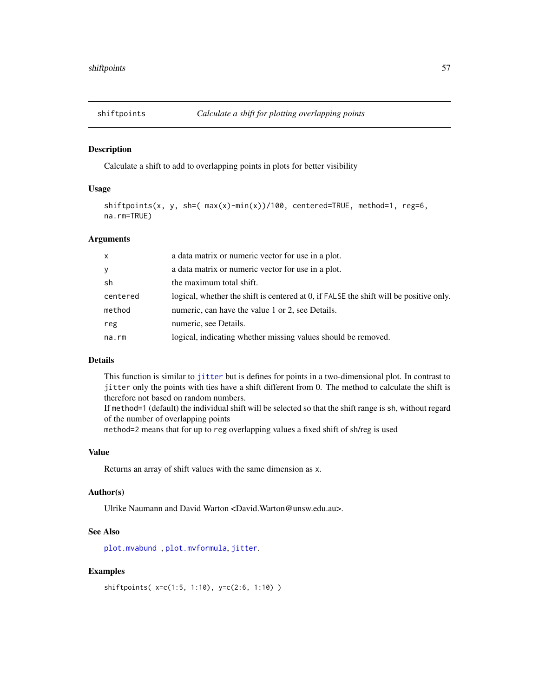# Description

Calculate a shift to add to overlapping points in plots for better visibility

# Usage

```
shiftpoints(x, y, sh=( max(x)-min(x))/100, centered=TRUE, method=1, reg=6,
na.rm=TRUE)
```
### Arguments

| logical, whether the shift is centered at 0, if FALSE the shift will be positive only. |
|----------------------------------------------------------------------------------------|
|                                                                                        |
|                                                                                        |
|                                                                                        |
|                                                                                        |

### Details

This function is similar to [jitter](#page-0-0) but is defines for points in a two-dimensional plot. In contrast to jitter only the points with ties have a shift different from 0. The method to calculate the shift is therefore not based on random numbers.

If method=1 (default) the individual shift will be selected so that the shift range is sh, without regard of the number of overlapping points

method=2 means that for up to reg overlapping values a fixed shift of sh/reg is used

# Value

Returns an array of shift values with the same dimension as x.

### Author(s)

Ulrike Naumann and David Warton <David.Warton@unsw.edu.au>.

### See Also

[plot.mvabund](#page-43-0) , [plot.mvformula](#page-43-1), [jitter](#page-0-0).

```
shiftpoints( x=c(1:5, 1:10), y=c(2:6, 1:10) )
```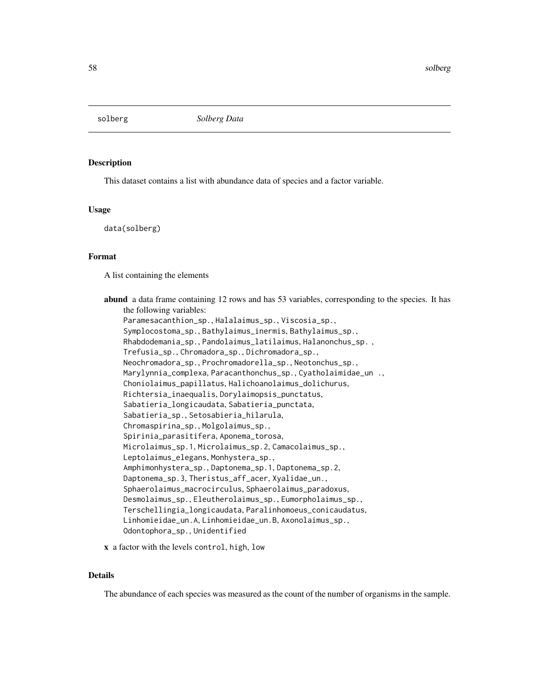### Description

This dataset contains a list with abundance data of species and a factor variable.

#### Usage

data(solberg)

# Format

A list containing the elements

abund a data frame containing 12 rows and has 53 variables, corresponding to the species. It has the following variables: Paramesacanthion\_sp., Halalaimus\_sp., Viscosia\_sp., Symplocostoma\_sp., Bathylaimus\_inermis, Bathylaimus\_sp., Rhabdodemania\_sp., Pandolaimus\_latilaimus, Halanonchus\_sp. , Trefusia\_sp., Chromadora\_sp., Dichromadora\_sp., Neochromadora\_sp., Prochromadorella\_sp., Neotonchus\_sp., Marylynnia\_complexa, Paracanthonchus\_sp., Cyatholaimidae\_un ., Choniolaimus\_papillatus, Halichoanolaimus\_dolichurus, Richtersia\_inaequalis, Dorylaimopsis\_punctatus, Sabatieria\_longicaudata, Sabatieria\_punctata, Sabatieria\_sp., Setosabieria\_hilarula, Chromaspirina\_sp., Molgolaimus\_sp., Spirinia\_parasitifera, Aponema\_torosa, Microlaimus\_sp.1, Microlaimus\_sp.2, Camacolaimus\_sp., Leptolaimus\_elegans, Monhystera\_sp., Amphimonhystera\_sp., Daptonema\_sp.1, Daptonema\_sp.2, Daptonema\_sp.3, Theristus\_aff\_acer, Xyalidae\_un., Sphaerolaimus\_macrocirculus, Sphaerolaimus\_paradoxus, Desmolaimus\_sp., Eleutherolaimus\_sp., Eumorpholaimus\_sp., Terschellingia\_longicaudata, Paralinhomoeus\_conicaudatus, Linhomieidae\_un.A, Linhomieidae\_un.B, Axonolaimus\_sp., Odontophora\_sp., Unidentified

x a factor with the levels control, high, low

# Details

The abundance of each species was measured as the count of the number of organisms in the sample.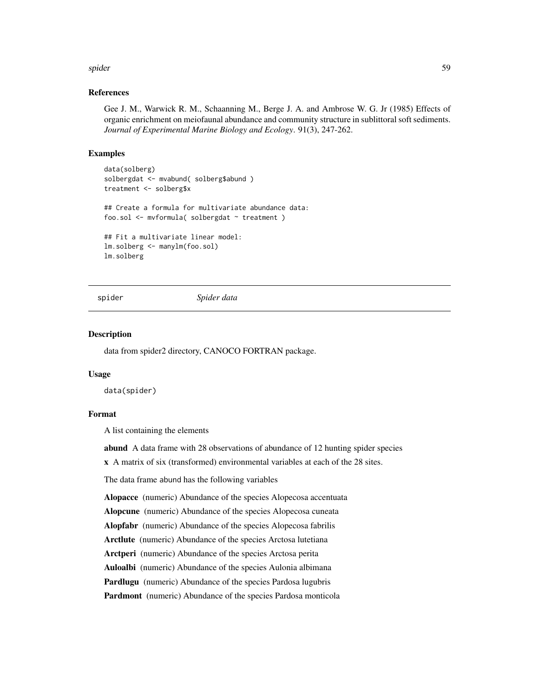#### spider 59 between 1990s and 2000s and 2000s and 2000s and 2000s and 2000s and 2000s and 2000s and 2000s and 20

### References

Gee J. M., Warwick R. M., Schaanning M., Berge J. A. and Ambrose W. G. Jr (1985) Effects of organic enrichment on meiofaunal abundance and community structure in sublittoral soft sediments. *Journal of Experimental Marine Biology and Ecology*. 91(3), 247-262.

### Examples

```
data(solberg)
solbergdat <- mvabund( solberg$abund )
treatment <- solberg$x
## Create a formula for multivariate abundance data:
foo.sol <- mvformula( solbergdat ~ treatment )
## Fit a multivariate linear model:
lm.solberg <- manylm(foo.sol)
lm.solberg
```
spider *Spider data*

#### Description

data from spider2 directory, CANOCO FORTRAN package.

### Usage

data(spider)

# Format

A list containing the elements

abund A data frame with 28 observations of abundance of 12 hunting spider species

x A matrix of six (transformed) environmental variables at each of the 28 sites.

The data frame abund has the following variables

Alopacce (numeric) Abundance of the species Alopecosa accentuata

Alopcune (numeric) Abundance of the species Alopecosa cuneata

Alopfabr (numeric) Abundance of the species Alopecosa fabrilis

Arctlute (numeric) Abundance of the species Arctosa lutetiana

Arctperi (numeric) Abundance of the species Arctosa perita

Auloalbi (numeric) Abundance of the species Aulonia albimana

Pardlugu (numeric) Abundance of the species Pardosa lugubris

Pardmont (numeric) Abundance of the species Pardosa monticola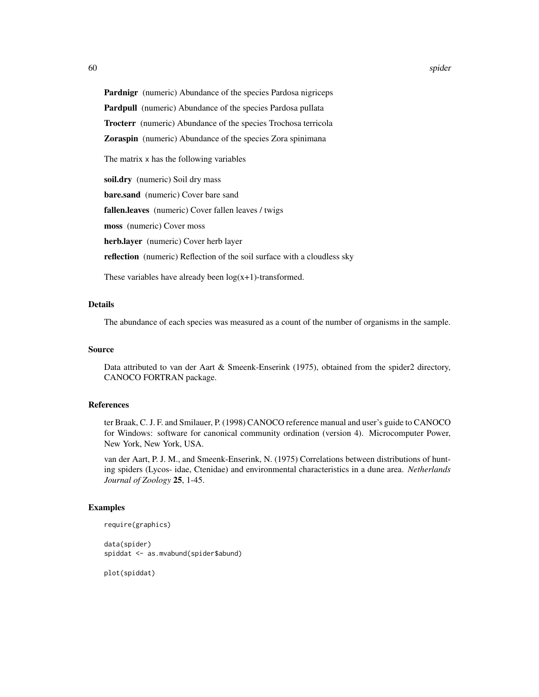Pardnigr (numeric) Abundance of the species Pardosa nigriceps

Pardpull (numeric) Abundance of the species Pardosa pullata

Trocterr (numeric) Abundance of the species Trochosa terricola

Zoraspin (numeric) Abundance of the species Zora spinimana

The matrix x has the following variables

soil.dry (numeric) Soil dry mass

bare.sand (numeric) Cover bare sand

fallen.leaves (numeric) Cover fallen leaves / twigs

moss (numeric) Cover moss

herb.layer (numeric) Cover herb layer

reflection (numeric) Reflection of the soil surface with a cloudless sky

These variables have already been  $log(x+1)$ -transformed.

# Details

The abundance of each species was measured as a count of the number of organisms in the sample.

### Source

Data attributed to van der Aart & Smeenk-Enserink (1975), obtained from the spider2 directory, CANOCO FORTRAN package.

### References

ter Braak, C. J. F. and Smilauer, P. (1998) CANOCO reference manual and user's guide to CANOCO for Windows: software for canonical community ordination (version 4). Microcomputer Power, New York, New York, USA.

van der Aart, P. J. M., and Smeenk-Enserink, N. (1975) Correlations between distributions of hunting spiders (Lycos- idae, Ctenidae) and environmental characteristics in a dune area. *Netherlands Journal of Zoology* 25, 1-45.

# Examples

```
require(graphics)
data(spider)
```
spiddat <- as.mvabund(spider\$abund)

plot(spiddat)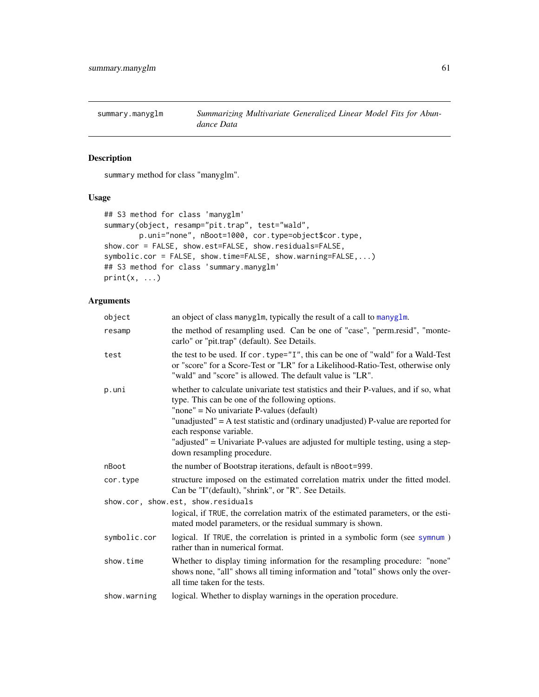summary.manyglm *Summarizing Multivariate Generalized Linear Model Fits for Abundance Data*

# Description

summary method for class "manyglm".

# Usage

```
## S3 method for class 'manyglm'
summary(object, resamp="pit.trap", test="wald",
        p.uni="none", nBoot=1000, cor.type=object$cor.type,
show.cor = FALSE, show.est=FALSE, show.residuals=FALSE,
symbolic.cor = FALSE, show.time=FALSE, show.warning=FALSE,...)
## S3 method for class 'summary.manyglm'
print(x, \ldots)
```
# Arguments

| object                             | an object of class manyglm, typically the result of a call to manyglm.                                                                                                                                                           |  |
|------------------------------------|----------------------------------------------------------------------------------------------------------------------------------------------------------------------------------------------------------------------------------|--|
| resamp                             | the method of resampling used. Can be one of "case", "perm.resid", "monte-<br>carlo" or "pit.trap" (default). See Details.                                                                                                       |  |
| test                               | the test to be used. If cor. type="I", this can be one of "wald" for a Wald-Test<br>or "score" for a Score-Test or "LR" for a Likelihood-Ratio-Test, otherwise only<br>"wald" and "score" is allowed. The default value is "LR". |  |
| p.uni                              | whether to calculate univariate test statistics and their P-values, and if so, what<br>type. This can be one of the following options.<br>"none" = No univariate $P$ -values (default)                                           |  |
|                                    | "unadjusted" = $A$ test statistic and (ordinary unadjusted) P-value are reported for<br>each response variable.<br>"adjusted" = Univariate P-values are adjusted for multiple testing, using a step-                             |  |
|                                    | down resampling procedure.                                                                                                                                                                                                       |  |
| nBoot                              | the number of Bootstrap iterations, default is nBoot=999.                                                                                                                                                                        |  |
| cor.type                           | structure imposed on the estimated correlation matrix under the fitted model.<br>Can be "I"(default), "shrink", or "R". See Details.                                                                                             |  |
| show.cor, show.est, show.residuals |                                                                                                                                                                                                                                  |  |
|                                    | logical, if TRUE, the correlation matrix of the estimated parameters, or the esti-<br>mated model parameters, or the residual summary is shown.                                                                                  |  |
| symbolic.cor                       | logical. If TRUE, the correlation is printed in a symbolic form (see symnum)<br>rather than in numerical format.                                                                                                                 |  |
| show.time                          | Whether to display timing information for the resampling procedure: "none"<br>shows none, "all" shows all timing information and "total" shows only the over-<br>all time taken for the tests.                                   |  |
| show.warning                       | logical. Whether to display warnings in the operation procedure.                                                                                                                                                                 |  |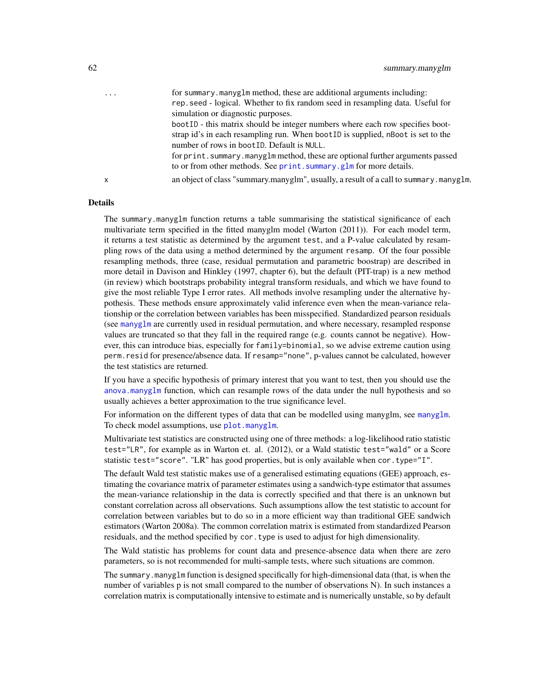... for summary.manyglm method, these are additional arguments including: rep.seed - logical. Whether to fix random seed in resampling data. Useful for simulation or diagnostic purposes.

> bootID - this matrix should be integer numbers where each row specifies bootstrap id's in each resampling run. When bootID is supplied, nBoot is set to the number of rows in bootID. Default is NULL.

for print.summary.manyglm method, these are optional further arguments passed to or from other methods. See print. summary.glm for more details.

x an object of class "summary.manyglm", usually, a result of a call to summary.manyglm.

# Details

The summary.manyglm function returns a table summarising the statistical significance of each multivariate term specified in the fitted manyglm model (Warton (2011)). For each model term, it returns a test statistic as determined by the argument test, and a P-value calculated by resampling rows of the data using a method determined by the argument resamp. Of the four possible resampling methods, three (case, residual permutation and parametric boostrap) are described in more detail in Davison and Hinkley (1997, chapter 6), but the default (PIT-trap) is a new method (in review) which bootstraps probability integral transform residuals, and which we have found to give the most reliable Type I error rates. All methods involve resampling under the alternative hypothesis. These methods ensure approximately valid inference even when the mean-variance relationship or the correlation between variables has been misspecified. Standardized pearson residuals (see [manyglm](#page-25-0) are currently used in residual permutation, and where necessary, resampled response values are truncated so that they fall in the required range (e.g. counts cannot be negative). However, this can introduce bias, especially for family=binomial, so we advise extreme caution using perm.resid for presence/absence data. If resamp="none", p-values cannot be calculated, however the test statistics are returned.

If you have a specific hypothesis of primary interest that you want to test, then you should use the [anova.manyglm](#page-7-0) function, which can resample rows of the data under the null hypothesis and so usually achieves a better approximation to the true significance level.

For information on the different types of data that can be modelled using [manyglm](#page-25-0), see manyglm. To check model assumptions, use [plot.manyglm](#page-40-1).

Multivariate test statistics are constructed using one of three methods: a log-likelihood ratio statistic test="LR", for example as in Warton et. al. (2012), or a Wald statistic test="wald" or a Score statistic test="score". "LR" has good properties, but is only available when cor.type="I".

The default Wald test statistic makes use of a generalised estimating equations (GEE) approach, estimating the covariance matrix of parameter estimates using a sandwich-type estimator that assumes the mean-variance relationship in the data is correctly specified and that there is an unknown but constant correlation across all observations. Such assumptions allow the test statistic to account for correlation between variables but to do so in a more efficient way than traditional GEE sandwich estimators (Warton 2008a). The common correlation matrix is estimated from standardized Pearson residuals, and the method specified by cor.type is used to adjust for high dimensionality.

The Wald statistic has problems for count data and presence-absence data when there are zero parameters, so is not recommended for multi-sample tests, where such situations are common.

The summary.manyglm function is designed specifically for high-dimensional data (that, is when the number of variables p is not small compared to the number of observations N). In such instances a correlation matrix is computationally intensive to estimate and is numerically unstable, so by default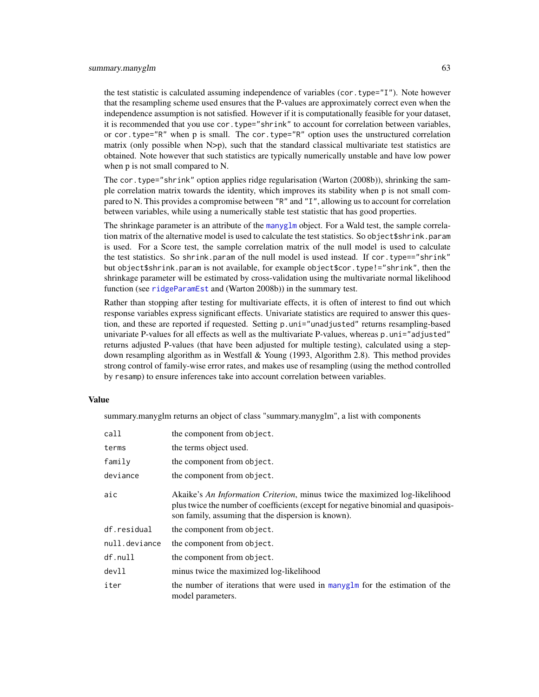the test statistic is calculated assuming independence of variables (cor.type="I"). Note however that the resampling scheme used ensures that the P-values are approximately correct even when the independence assumption is not satisfied. However if it is computationally feasible for your dataset, it is recommended that you use cor.type="shrink" to account for correlation between variables, or cor.type="R" when p is small. The cor.type="R" option uses the unstructured correlation matrix (only possible when  $N > p$ ), such that the standard classical multivariate test statistics are obtained. Note however that such statistics are typically numerically unstable and have low power when p is not small compared to N.

The cor.type="shrink" option applies ridge regularisation (Warton (2008b)), shrinking the sample correlation matrix towards the identity, which improves its stability when p is not small compared to N. This provides a compromise between "R" and "I", allowing us to account for correlation between variables, while using a numerically stable test statistic that has good properties.

The shrinkage parameter is an attribute of the [manyglm](#page-25-0) object. For a Wald test, the sample correlation matrix of the alternative model is used to calculate the test statistics. So object\$shrink.param is used. For a Score test, the sample correlation matrix of the null model is used to calculate the test statistics. So shrink.param of the null model is used instead. If cor.type=="shrink" but object\$shrink.param is not available, for example object\$cor.type!="shrink", then the shrinkage parameter will be estimated by cross-validation using the multivariate normal likelihood function (see [ridgeParamEst](#page-54-0) and (Warton 2008b)) in the summary test.

Rather than stopping after testing for multivariate effects, it is often of interest to find out which response variables express significant effects. Univariate statistics are required to answer this question, and these are reported if requested. Setting p.uni="unadjusted" returns resampling-based univariate P-values for all effects as well as the multivariate P-values, whereas p.uni="adjusted" returns adjusted P-values (that have been adjusted for multiple testing), calculated using a stepdown resampling algorithm as in Westfall & Young (1993, Algorithm 2.8). This method provides strong control of family-wise error rates, and makes use of resampling (using the method controlled by resamp) to ensure inferences take into account correlation between variables.

#### Value

summary.manyglm returns an object of class "summary.manyglm", a list with components

| call          | the component from object.                                                                                                                                                                                               |
|---------------|--------------------------------------------------------------------------------------------------------------------------------------------------------------------------------------------------------------------------|
| terms         | the terms object used.                                                                                                                                                                                                   |
| family        | the component from object.                                                                                                                                                                                               |
| deviance      | the component from object.                                                                                                                                                                                               |
| aic           | Akaike's An Information Criterion, minus twice the maximized log-likelihood<br>plus twice the number of coefficients (except for negative binomial and quasipois-<br>son family, assuming that the dispersion is known). |
| df.residual   | the component from object.                                                                                                                                                                                               |
| null.deviance | the component from object.                                                                                                                                                                                               |
| df.null       | the component from object.                                                                                                                                                                                               |
| dev11         | minus twice the maximized log-likelihood                                                                                                                                                                                 |
| iter          | the number of iterations that were used in many $g \ln m$ for the estimation of the<br>model parameters.                                                                                                                 |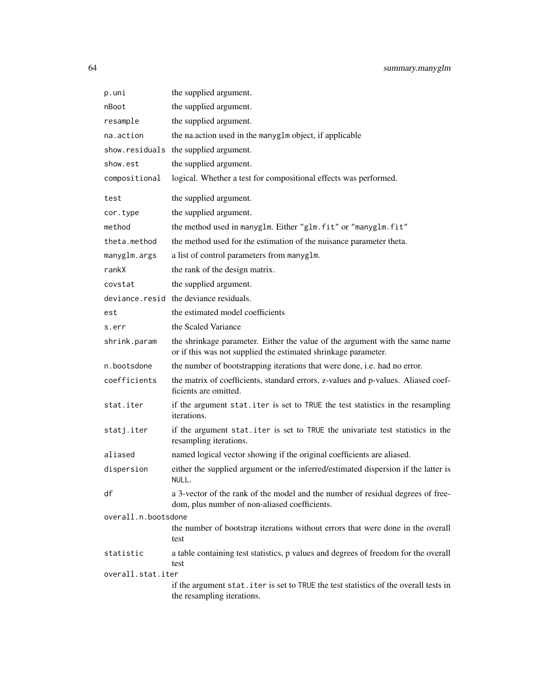| p.uni               | the supplied argument.                                                                                                                         |
|---------------------|------------------------------------------------------------------------------------------------------------------------------------------------|
| nBoot               | the supplied argument.                                                                                                                         |
| resample            | the supplied argument.                                                                                                                         |
| na.action           | the nation used in the manyglm object, if applicable                                                                                           |
|                     | show.residuals the supplied argument.                                                                                                          |
| show.est            | the supplied argument.                                                                                                                         |
| compositional       | logical. Whether a test for compositional effects was performed.                                                                               |
| test                | the supplied argument.                                                                                                                         |
| cor.type            | the supplied argument.                                                                                                                         |
| method              | the method used in manyglm. Either "glm.fit" or "manyglm.fit"                                                                                  |
| theta.method        | the method used for the estimation of the nuisance parameter theta.                                                                            |
| manyglm.args        | a list of control parameters from manyglm.                                                                                                     |
| rankX               | the rank of the design matrix.                                                                                                                 |
| covstat             | the supplied argument.                                                                                                                         |
|                     | deviance.resid the deviance residuals.                                                                                                         |
| est                 | the estimated model coefficients                                                                                                               |
| s.err               | the Scaled Variance                                                                                                                            |
| shrink.param        | the shrinkage parameter. Either the value of the argument with the same name<br>or if this was not supplied the estimated shrinkage parameter. |
| n.bootsdone         | the number of bootstrapping iterations that were done, i.e. had no error.                                                                      |
| coefficients        | the matrix of coefficients, standard errors, z-values and p-values. Aliased coef-<br>ficients are omitted.                                     |
| stat.iter           | if the argument stat.iter is set to TRUE the test statistics in the resampling<br>iterations.                                                  |
| statj.iter          | if the argument stat.iter is set to TRUE the univariate test statistics in the<br>resampling iterations.                                       |
| aliased             | named logical vector showing if the original coefficients are aliased.                                                                         |
| dispersion          | either the supplied argument or the inferred/estimated dispersion if the latter is<br>NULL.                                                    |
| df                  | a 3-vector of the rank of the model and the number of residual degrees of free-<br>dom, plus number of non-aliased coefficients.               |
| overall.n.bootsdone |                                                                                                                                                |
|                     | the number of bootstrap iterations without errors that were done in the overall<br>test                                                        |
| statistic           | a table containing test statistics, p values and degrees of freedom for the overall<br>test                                                    |
| overall.stat.iter   |                                                                                                                                                |
|                     | if the argument stat. iter is set to TRUE the test statistics of the overall tests in<br>the resampling iterations.                            |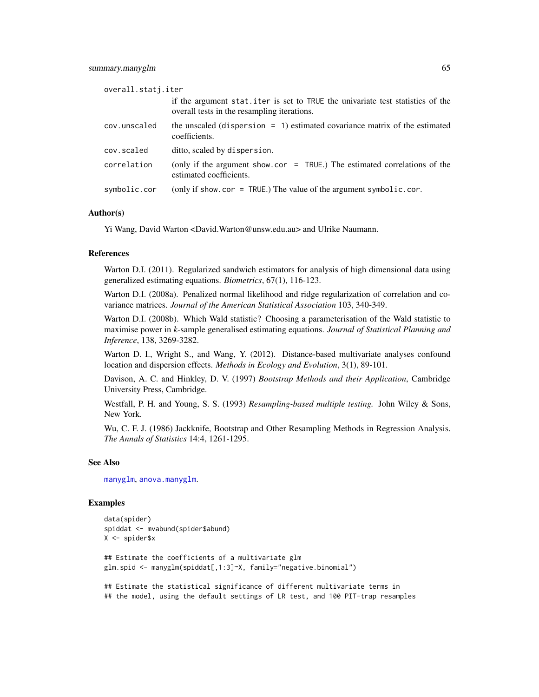| overall.statj.iter |                                                                                                                               |
|--------------------|-------------------------------------------------------------------------------------------------------------------------------|
|                    | if the argument stat.iter is set to TRUE the univariate test statistics of the<br>overall tests in the resampling iterations. |
| cov.unscaled       | the unscaled (dispersion $= 1$ ) estimated covariance matrix of the estimated<br>coefficients.                                |
| cov.scaled         | ditto, scaled by dispersion.                                                                                                  |
| correlation        | (only if the argument show.cor = $TRUE$ .) The estimated correlations of the<br>estimated coefficients.                       |
| symbolic.cor       | (only if show.cor = TRUE.) The value of the argument symbolic.cor.                                                            |

#### Author(s)

Yi Wang, David Warton <David.Warton@unsw.edu.au> and Ulrike Naumann.

### References

Warton D.I. (2011). Regularized sandwich estimators for analysis of high dimensional data using generalized estimating equations. *Biometrics*, 67(1), 116-123.

Warton D.I. (2008a). Penalized normal likelihood and ridge regularization of correlation and covariance matrices. *Journal of the American Statistical Association* 103, 340-349.

Warton D.I. (2008b). Which Wald statistic? Choosing a parameterisation of the Wald statistic to maximise power in *k*-sample generalised estimating equations. *Journal of Statistical Planning and Inference*, 138, 3269-3282.

Warton D. I., Wright S., and Wang, Y. (2012). Distance-based multivariate analyses confound location and dispersion effects. *Methods in Ecology and Evolution*, 3(1), 89-101.

Davison, A. C. and Hinkley, D. V. (1997) *Bootstrap Methods and their Application*, Cambridge University Press, Cambridge.

Westfall, P. H. and Young, S. S. (1993) *Resampling-based multiple testing.* John Wiley & Sons, New York.

Wu, C. F. J. (1986) Jackknife, Bootstrap and Other Resampling Methods in Regression Analysis. *The Annals of Statistics* 14:4, 1261-1295.

# See Also

[manyglm](#page-25-0), [anova.manyglm](#page-7-0).

```
data(spider)
spiddat <- mvabund(spider$abund)
X <- spider$x
## Estimate the coefficients of a multivariate glm
glm.spid <- manyglm(spiddat[,1:3]~X, family="negative.binomial")
## Estimate the statistical significance of different multivariate terms in
```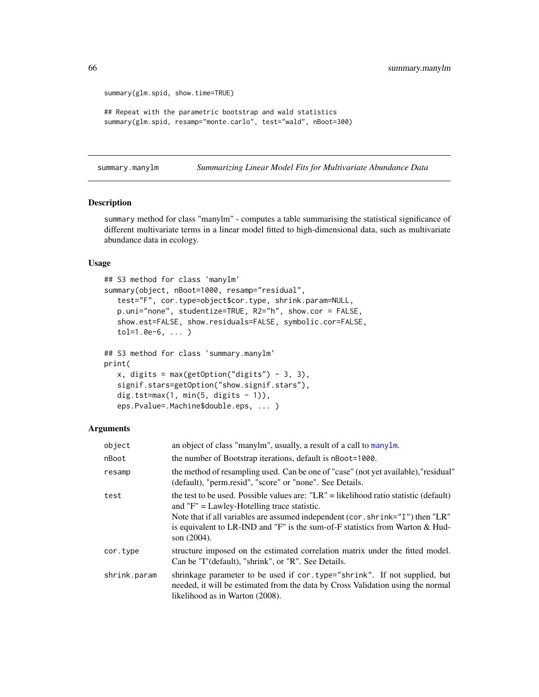```
summary(glm.spid, show.time=TRUE)
## Repeat with the parametric bootstrap and wald statistics
summary(glm.spid, resamp="monte.carlo", test="wald", nBoot=300)
```
summary.manylm *Summarizing Linear Model Fits for Multivariate Abundance Data*

# Description

summary method for class "manylm" - computes a table summarising the statistical significance of different multivariate terms in a linear model fitted to high-dimensional data, such as multivariate abundance data in ecology.

### Usage

```
## S3 method for class 'manylm'
summary(object, nBoot=1000, resamp="residual",
   test="F", cor.type=object$cor.type, shrink.param=NULL,
   p.uni="none", studentize=TRUE, R2="h", show.cor = FALSE,
   show.est=FALSE, show.residuals=FALSE, symbolic.cor=FALSE,
   tol=1.0e-6, ... )
## S3 method for class 'summary.manylm'
print(
   x, \text{ digits} = \text{max}(\text{getOption}("digits") - 3, 3),signif.stars=getOption("show.signif.stars"),
   dig.tst=max(1, min(5, digits - 1)),eps.Pvalue=.Machine$double.eps, ... )
```
### Arguments

| object       | an object of class "manylm", usually, a result of a call to manylm.                                                                                                                                                                                                                                                             |
|--------------|---------------------------------------------------------------------------------------------------------------------------------------------------------------------------------------------------------------------------------------------------------------------------------------------------------------------------------|
| nBoot        | the number of Bootstrap iterations, default is nBoot=1000.                                                                                                                                                                                                                                                                      |
| resamp       | the method of resampling used. Can be one of "case" (not yet available), "residual"<br>(default), "perm.resid", "score" or "none". See Details.                                                                                                                                                                                 |
| test         | the test to be used. Possible values are: " $LR$ " = likelihood ratio statistic (default)<br>and $"F" = Lawley-Hotelling trace statistic.$<br>Note that if all variables are assumed independent (cor. shrink="I") then "LR"<br>is equivalent to LR-IND and "F" is the sum-of-F statistics from Warton & Hud-<br>son $(2004)$ . |
| cor.type     | structure imposed on the estimated correlation matrix under the fitted model.<br>Can be "I"(default), "shrink", or "R". See Details.                                                                                                                                                                                            |
| shrink.param | shrinkage parameter to be used if cor. type="shrink". If not supplied, but<br>needed, it will be estimated from the data by Cross Validation using the normal<br>likelihood as in Warton (2008).                                                                                                                                |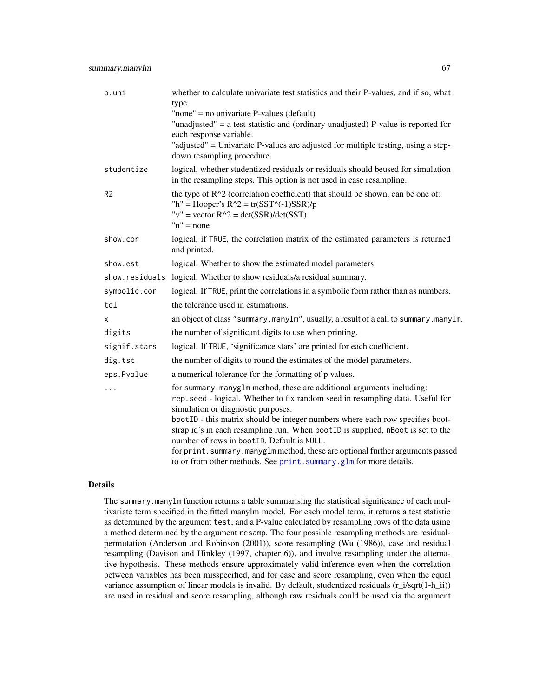| p.uni          | whether to calculate univariate test statistics and their P-values, and if so, what<br>type.<br>"none" = no univariate P-values (default)<br>"unadjusted" = a test statistic and (ordinary unadjusted) P-value is reported for<br>each response variable.<br>"adjusted" = Univariate P-values are adjusted for multiple testing, using a step-<br>down resampling procedure.                                                                                                                                                                                            |
|----------------|-------------------------------------------------------------------------------------------------------------------------------------------------------------------------------------------------------------------------------------------------------------------------------------------------------------------------------------------------------------------------------------------------------------------------------------------------------------------------------------------------------------------------------------------------------------------------|
| studentize     | logical, whether studentized residuals or residuals should beused for simulation<br>in the resampling steps. This option is not used in case resampling.                                                                                                                                                                                                                                                                                                                                                                                                                |
| R <sub>2</sub> | the type of $R^2$ (correlation coefficient) that should be shown, can be one of:<br>"h" = Hooper's $R^2 = tr(SST^2(-1)SSR)/p$<br>"v" = vector $R^2 = det(SSR)/det(SST)$<br>$n'' = none$                                                                                                                                                                                                                                                                                                                                                                                 |
| show.cor       | logical, if TRUE, the correlation matrix of the estimated parameters is returned<br>and printed.                                                                                                                                                                                                                                                                                                                                                                                                                                                                        |
| show.est       | logical. Whether to show the estimated model parameters.                                                                                                                                                                                                                                                                                                                                                                                                                                                                                                                |
| show.residuals | logical. Whether to show residuals/a residual summary.                                                                                                                                                                                                                                                                                                                                                                                                                                                                                                                  |
| symbolic.cor   | logical. If TRUE, print the correlations in a symbolic form rather than as numbers.                                                                                                                                                                                                                                                                                                                                                                                                                                                                                     |
| tol            | the tolerance used in estimations.                                                                                                                                                                                                                                                                                                                                                                                                                                                                                                                                      |
| x              | an object of class "summary.manylm", usually, a result of a call to summary.manylm.                                                                                                                                                                                                                                                                                                                                                                                                                                                                                     |
| digits         | the number of significant digits to use when printing.                                                                                                                                                                                                                                                                                                                                                                                                                                                                                                                  |
| signif.stars   | logical. If TRUE, 'significance stars' are printed for each coefficient.                                                                                                                                                                                                                                                                                                                                                                                                                                                                                                |
| dig.tst        | the number of digits to round the estimates of the model parameters.                                                                                                                                                                                                                                                                                                                                                                                                                                                                                                    |
| eps.Pvalue     | a numerical tolerance for the formatting of p values.                                                                                                                                                                                                                                                                                                                                                                                                                                                                                                                   |
| $\ddots$       | for summary.manyglm method, these are additional arguments including:<br>rep. seed - logical. Whether to fix random seed in resampling data. Useful for<br>simulation or diagnostic purposes.<br>bootID - this matrix should be integer numbers where each row specifies boot-<br>strap id's in each resampling run. When bootID is supplied, nBoot is set to the<br>number of rows in bootID. Default is NULL.<br>for print. summary.manyglm method, these are optional further arguments passed<br>to or from other methods. See print. summary.glm for more details. |

# Details

The summary.manylm function returns a table summarising the statistical significance of each multivariate term specified in the fitted manylm model. For each model term, it returns a test statistic as determined by the argument test, and a P-value calculated by resampling rows of the data using a method determined by the argument resamp. The four possible resampling methods are residualpermutation (Anderson and Robinson (2001)), score resampling (Wu (1986)), case and residual resampling (Davison and Hinkley (1997, chapter 6)), and involve resampling under the alternative hypothesis. These methods ensure approximately valid inference even when the correlation between variables has been misspecified, and for case and score resampling, even when the equal variance assumption of linear models is invalid. By default, studentized residuals  $(r_i/sqrt(1-h_i))$ are used in residual and score resampling, although raw residuals could be used via the argument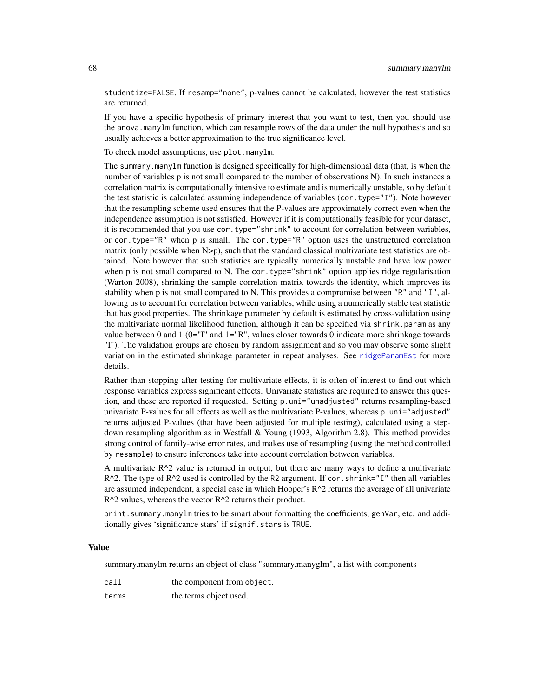studentize=FALSE. If resamp="none", p-values cannot be calculated, however the test statistics are returned.

If you have a specific hypothesis of primary interest that you want to test, then you should use the anova.manylm function, which can resample rows of the data under the null hypothesis and so usually achieves a better approximation to the true significance level.

To check model assumptions, use plot.manylm.

The summary.manylm function is designed specifically for high-dimensional data (that, is when the number of variables p is not small compared to the number of observations N). In such instances a correlation matrix is computationally intensive to estimate and is numerically unstable, so by default the test statistic is calculated assuming independence of variables (cor.type="I"). Note however that the resampling scheme used ensures that the P-values are approximately correct even when the independence assumption is not satisfied. However if it is computationally feasible for your dataset, it is recommended that you use cor.type="shrink" to account for correlation between variables, or cor.type="R" when p is small. The cor.type="R" option uses the unstructured correlation matrix (only possible when N>p), such that the standard classical multivariate test statistics are obtained. Note however that such statistics are typically numerically unstable and have low power when p is not small compared to N. The cor.type="shrink" option applies ridge regularisation (Warton 2008), shrinking the sample correlation matrix towards the identity, which improves its stability when p is not small compared to N. This provides a compromise between "R" and "I", allowing us to account for correlation between variables, while using a numerically stable test statistic that has good properties. The shrinkage parameter by default is estimated by cross-validation using the multivariate normal likelihood function, although it can be specified via shrink.param as any value between 0 and 1 ( $0=$ "I" and  $1=$ "R", values closer towards 0 indicate more shrinkage towards "I"). The validation groups are chosen by random assignment and so you may observe some slight variation in the estimated shrinkage parameter in repeat analyses. See [ridgeParamEst](#page-54-0) for more details.

Rather than stopping after testing for multivariate effects, it is often of interest to find out which response variables express significant effects. Univariate statistics are required to answer this question, and these are reported if requested. Setting p.uni="unadjusted" returns resampling-based univariate P-values for all effects as well as the multivariate P-values, whereas p.uni="adjusted" returns adjusted P-values (that have been adjusted for multiple testing), calculated using a stepdown resampling algorithm as in Westfall & Young (1993, Algorithm 2.8). This method provides strong control of family-wise error rates, and makes use of resampling (using the method controlled by resample) to ensure inferences take into account correlation between variables.

A multivariate  $R^2$  value is returned in output, but there are many ways to define a multivariate  $R^2$ . The type of  $R^2$  used is controlled by the R2 argument. If cor. shrink="I" then all variables are assumed independent, a special case in which Hooper's  $R^2$  returns the average of all univariate  $R^2$  values, whereas the vector  $R^2$  returns their product.

print.summary.manylm tries to be smart about formatting the coefficients, genVar, etc. and additionally gives 'significance stars' if signif.stars is TRUE.

#### Value

summary.manylm returns an object of class "summary.manyglm", a list with components

- call the component from object.
- terms the terms object used.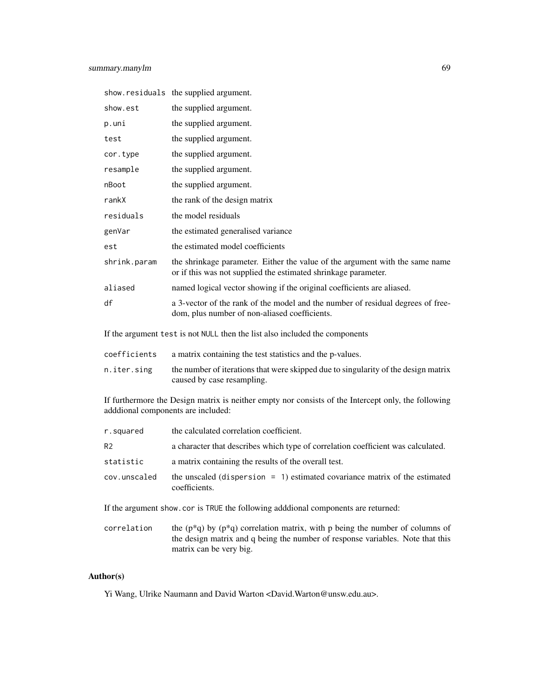|              | show.residuals the supplied argument.                                                                                                          |
|--------------|------------------------------------------------------------------------------------------------------------------------------------------------|
| show.est     | the supplied argument.                                                                                                                         |
| p.uni        | the supplied argument.                                                                                                                         |
| test         | the supplied argument.                                                                                                                         |
| cor.type     | the supplied argument.                                                                                                                         |
| resample     | the supplied argument.                                                                                                                         |
| nBoot        | the supplied argument.                                                                                                                         |
| rankX        | the rank of the design matrix                                                                                                                  |
| residuals    | the model residuals                                                                                                                            |
| genVar       | the estimated generalised variance                                                                                                             |
| est          | the estimated model coefficients                                                                                                               |
| shrink.param | the shrinkage parameter. Either the value of the argument with the same name<br>or if this was not supplied the estimated shrinkage parameter. |
| aliased      | named logical vector showing if the original coefficients are aliased.                                                                         |
| df           | a 3-vector of the rank of the model and the number of residual degrees of free-<br>dom, plus number of non-aliased coefficients.               |
|              |                                                                                                                                                |

If the argument test is not NULL then the list also included the components

| coefficients | a matrix containing the test statistics and the p-values. |  |
|--------------|-----------------------------------------------------------|--|
|--------------|-----------------------------------------------------------|--|

n.iter.sing the number of iterations that were skipped due to singularity of the design matrix caused by case resampling.

If furthermore the Design matrix is neither empty nor consists of the Intercept only, the following adddional components are included:

| r.squared      | the calculated correlation coefficient.                                                        |
|----------------|------------------------------------------------------------------------------------------------|
| R <sub>2</sub> | a character that describes which type of correlation coefficient was calculated.               |
| statistic      | a matrix containing the results of the overall test.                                           |
| cov.unscaled   | the unscaled (dispersion $= 1$ ) estimated covariance matrix of the estimated<br>coefficients. |

If the argument show.cor is TRUE the following adddional components are returned:

correlation the ( $p*q$ ) by ( $p*q$ ) correlation matrix, with p being the number of columns of the design matrix and q being the number of response variables. Note that this matrix can be very big.

# Author(s)

Yi Wang, Ulrike Naumann and David Warton <David.Warton@unsw.edu.au>.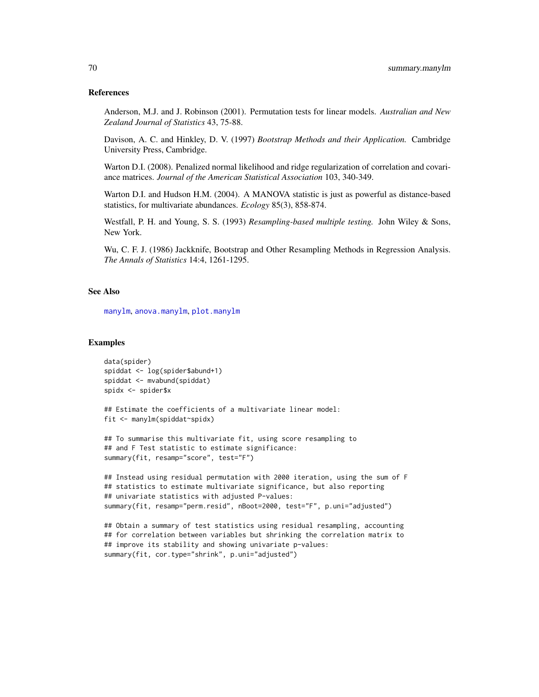#### References

Anderson, M.J. and J. Robinson (2001). Permutation tests for linear models. *Australian and New Zealand Journal of Statistics* 43, 75-88.

Davison, A. C. and Hinkley, D. V. (1997) *Bootstrap Methods and their Application.* Cambridge University Press, Cambridge.

Warton D.I. (2008). Penalized normal likelihood and ridge regularization of correlation and covariance matrices. *Journal of the American Statistical Association* 103, 340-349.

Warton D.I. and Hudson H.M. (2004). A MANOVA statistic is just as powerful as distance-based statistics, for multivariate abundances. *Ecology* 85(3), 858-874.

Westfall, P. H. and Young, S. S. (1993) *Resampling-based multiple testing.* John Wiley & Sons, New York.

Wu, C. F. J. (1986) Jackknife, Bootstrap and Other Resampling Methods in Regression Analysis. *The Annals of Statistics* 14:4, 1261-1295.

# See Also

[manylm](#page-30-0), [anova.manylm](#page-11-0), [plot.manylm](#page-40-0)

```
data(spider)
spiddat <- log(spider$abund+1)
spiddat <- mvabund(spiddat)
spidx <- spider$x
```

```
## Estimate the coefficients of a multivariate linear model:
fit <- manylm(spiddat~spidx)
```

```
## To summarise this multivariate fit, using score resampling to
## and F Test statistic to estimate significance:
summary(fit, resamp="score", test="F")
```

```
## Instead using residual permutation with 2000 iteration, using the sum of F
## statistics to estimate multivariate significance, but also reporting
## univariate statistics with adjusted P-values:
summary(fit, resamp="perm.resid", nBoot=2000, test="F", p.uni="adjusted")
```

```
## Obtain a summary of test statistics using residual resampling, accounting
## for correlation between variables but shrinking the correlation matrix to
## improve its stability and showing univariate p-values:
summary(fit, cor.type="shrink", p.uni="adjusted")
```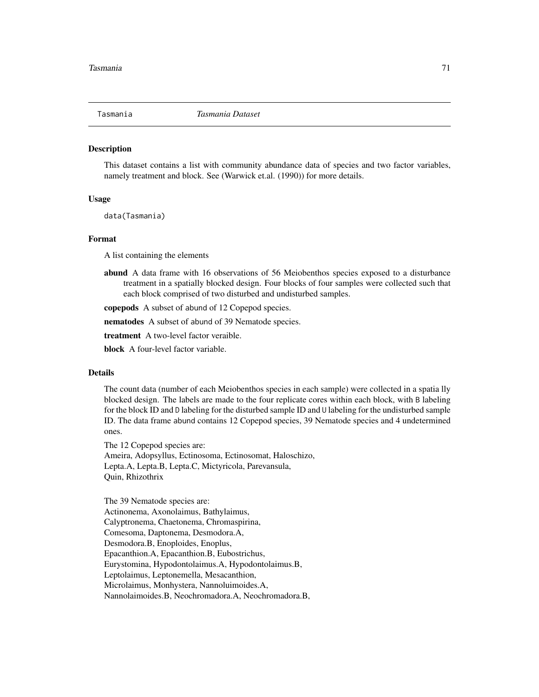#### **Description**

This dataset contains a list with community abundance data of species and two factor variables, namely treatment and block. See (Warwick et.al. (1990)) for more details.

### Usage

data(Tasmania)

#### Format

A list containing the elements

abund A data frame with 16 observations of 56 Meiobenthos species exposed to a disturbance treatment in a spatially blocked design. Four blocks of four samples were collected such that each block comprised of two disturbed and undisturbed samples.

copepods A subset of abund of 12 Copepod species.

nematodes A subset of abund of 39 Nematode species.

treatment A two-level factor veraible.

block A four-level factor variable.

### Details

The count data (number of each Meiobenthos species in each sample) were collected in a spatia lly blocked design. The labels are made to the four replicate cores within each block, with B labeling for the block ID and D labeling for the disturbed sample ID and U labeling for the undisturbed sample ID. The data frame abund contains 12 Copepod species, 39 Nematode species and 4 undetermined ones.

The 12 Copepod species are: Ameira, Adopsyllus, Ectinosoma, Ectinosomat, Haloschizo, Lepta.A, Lepta.B, Lepta.C, Mictyricola, Parevansula, Quin, Rhizothrix

The 39 Nematode species are: Actinonema, Axonolaimus, Bathylaimus, Calyptronema, Chaetonema, Chromaspirina, Comesoma, Daptonema, Desmodora.A, Desmodora.B, Enoploides, Enoplus, Epacanthion.A, Epacanthion.B, Eubostrichus, Eurystomina, Hypodontolaimus.A, Hypodontolaimus.B, Leptolaimus, Leptonemella, Mesacanthion, Microlaimus, Monhystera, Nannoluimoides.A, Nannolaimoides.B, Neochromadora.A, Neochromadora.B,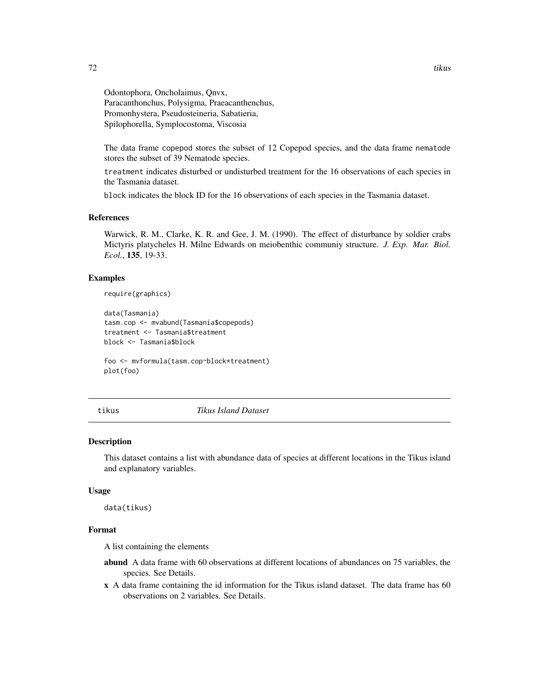Odontophora, Oncholaimus, Qnvx, Paracanthonchus, Polysigma, Praeacanthenchus, Promonhystera, Pseudosteineria, Sabatieria, Spilophorella, Symplocostoma, Viscosia

The data frame copepod stores the subset of 12 Copepod species, and the data frame nematode stores the subset of 39 Nematode species.

treatment indicates disturbed or undisturbed treatment for the 16 observations of each species in the Tasmania dataset.

block indicates the block ID for the 16 observations of each species in the Tasmania dataset.

#### References

Warwick, R. M., Clarke, K. R. and Gee, J. M. (1990). The effect of disturbance by soldier crabs Mictyris platycheles H. Milne Edwards on meiobenthic communiy structure. *J. Exp. Mar. Biol. Ecol.*, 135, 19-33.

# Examples

```
require(graphics)
```

```
data(Tasmania)
tasm.cop <- mvabund(Tasmania$copepods)
treatment <- Tasmania$treatment
block <- Tasmania$block
```
foo <- mvformula(tasm.cop~block\*treatment) plot(foo)

tikus *Tikus Island Dataset*

#### **Description**

This dataset contains a list with abundance data of species at different locations in the Tikus island and explanatory variables.

#### Usage

data(tikus)

#### Format

A list containing the elements

- abund A data frame with 60 observations at different locations of abundances on 75 variables, the species. See Details.
- x A data frame containing the id information for the Tikus island dataset. The data frame has 60 observations on 2 variables. See Details.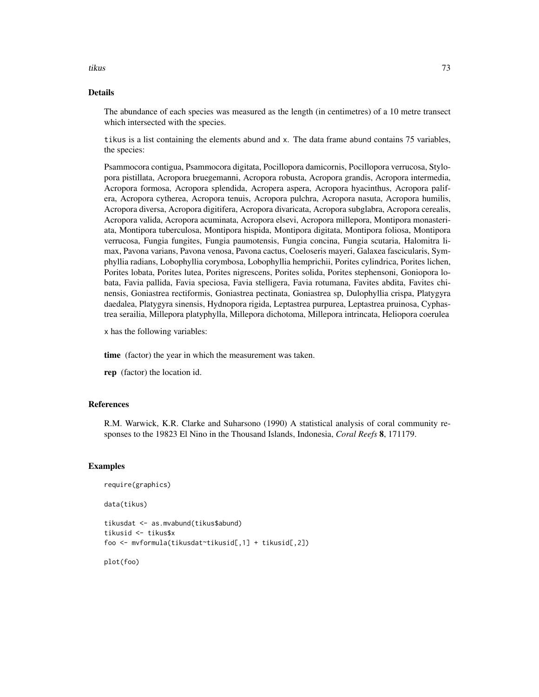tikus 73

# Details

The abundance of each species was measured as the length (in centimetres) of a 10 metre transect which intersected with the species.

tikus is a list containing the elements abund and x. The data frame abund contains 75 variables, the species:

Psammocora contigua, Psammocora digitata, Pocillopora damicornis, Pocillopora verrucosa, Stylopora pistillata, Acropora bruegemanni, Acropora robusta, Acropora grandis, Acropora intermedia, Acropora formosa, Acropora splendida, Acropera aspera, Acropora hyacinthus, Acropora palifera, Acropora cytherea, Acropora tenuis, Acropora pulchra, Acropora nasuta, Acropora humilis, Acropora diversa, Acropora digitifera, Acropora divaricata, Acropora subglabra, Acropora cerealis, Acropora valida, Acropora acuminata, Acropora elsevi, Acropora millepora, Montipora monasteriata, Montipora tuberculosa, Montipora hispida, Montipora digitata, Montipora foliosa, Montipora verrucosa, Fungia fungites, Fungia paumotensis, Fungia concina, Fungia scutaria, Halomitra limax, Pavona varians, Pavona venosa, Pavona cactus, Coeloseris mayeri, Galaxea fascicularis, Symphyllia radians, Lobophyllia corymbosa, Lobophyllia hemprichii, Porites cylindrica, Porites lichen, Porites lobata, Porites lutea, Porites nigrescens, Porites solida, Porites stephensoni, Goniopora lobata, Favia pallida, Favia speciosa, Favia stelligera, Favia rotumana, Favites abdita, Favites chinensis, Goniastrea rectiformis, Goniastrea pectinata, Goniastrea sp, Dulophyllia crispa, Platygyra daedalea, Platygyra sinensis, Hydnopora rigida, Leptastrea purpurea, Leptastrea pruinosa, Cyphastrea serailia, Millepora platyphylla, Millepora dichotoma, Millepora intrincata, Heliopora coerulea

x has the following variables:

time (factor) the year in which the measurement was taken.

rep (factor) the location id.

## References

R.M. Warwick, K.R. Clarke and Suharsono (1990) A statistical analysis of coral community responses to the 19823 El Nino in the Thousand Islands, Indonesia, *Coral Reefs* 8, 171179.

#### Examples

```
require(graphics)
```
data(tikus)

tikusdat <- as.mvabund(tikus\$abund) tikusid <- tikus\$x foo <- mvformula(tikusdat~tikusid[,1] + tikusid[,2])

plot(foo)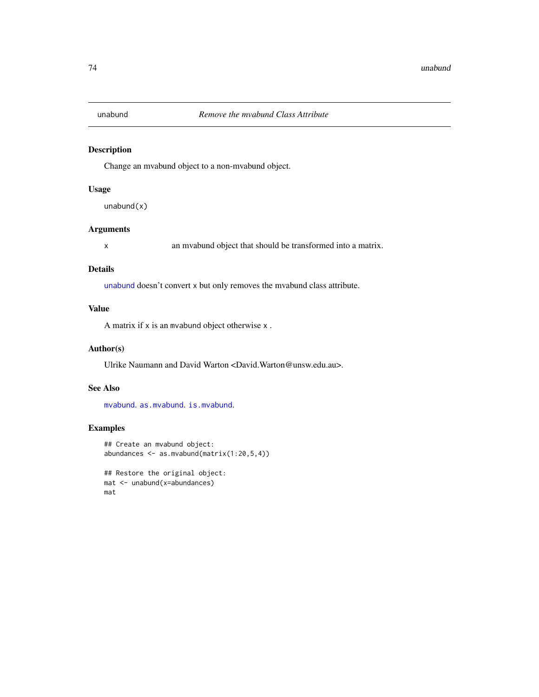<span id="page-73-1"></span><span id="page-73-0"></span>

# Description

Change an mvabund object to a non-mvabund object.

## Usage

 $unabund(x)$ 

# Arguments

x an mvabund object that should be transformed into a matrix.

## Details

[unabund](#page-73-0) doesn't convert x but only removes the mvabund class attribute.

#### Value

A matrix if x is an mvabund object otherwise x .

## Author(s)

Ulrike Naumann and David Warton <David.Warton@unsw.edu.au>.

## See Also

[mvabund](#page-36-0). [as.mvabund](#page-36-1). [is.mvabund](#page-36-1).

# Examples

```
## Create an mvabund object:
abundances <- as.mvabund(matrix(1:20,5,4))
## Restore the original object:
```

```
mat <- unabund(x=abundances)
mat
```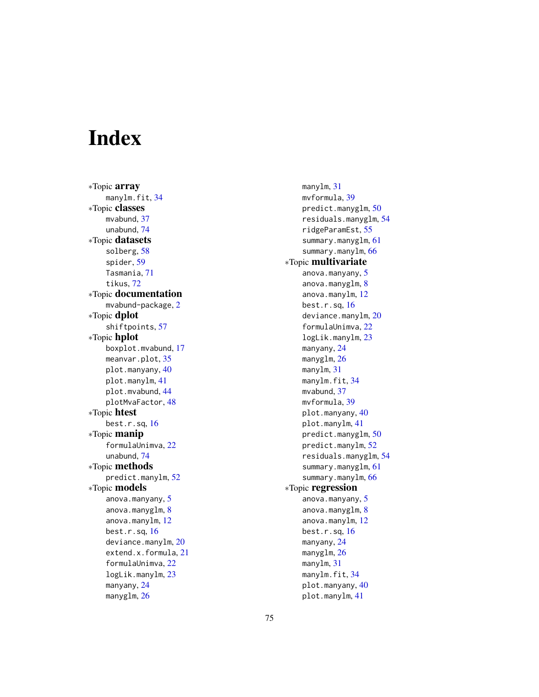# Index

∗Topic array manylm.fit, [34](#page-33-0) ∗Topic classes mvabund, [37](#page-36-2) unabund, [74](#page-73-1) ∗Topic datasets solberg, [58](#page-57-0) spider, [59](#page-58-0) Tasmania, [71](#page-70-0) tikus, [72](#page-71-0) ∗Topic documentation mvabund-package, [2](#page-1-0) ∗Topic dplot shiftpoints, [57](#page-56-0) ∗Topic hplot boxplot.mvabund, [17](#page-16-0) meanvar.plot, [35](#page-34-0) plot.manyany, [40](#page-39-0) plot.manylm, [41](#page-40-0) plot.mvabund, [44](#page-43-0) plotMvaFactor, [48](#page-47-0) ∗Topic htest best.r.sq, [16](#page-15-0) ∗Topic manip formulaUnimva, [22](#page-21-0) unabund, [74](#page-73-1) ∗Topic methods predict.manylm, [52](#page-51-0) ∗Topic models anova.manyany, [5](#page-4-0) anova.manyglm, [8](#page-7-0) anova.manylm, [12](#page-11-0) best.r.sq, [16](#page-15-0) deviance.manylm, [20](#page-19-0) extend.x.formula, [21](#page-20-0) formulaUnimva, [22](#page-21-0) logLik.manylm, [23](#page-22-0) manyany, [24](#page-23-0) manyglm, [26](#page-25-0)

manylm, [31](#page-30-0) mvformula, [39](#page-38-0) predict.manyglm, [50](#page-49-0) residuals.manyglm, [54](#page-53-0) ridgeParamEst, [55](#page-54-0) summary.manyglm, [61](#page-60-0) summary.manylm, [66](#page-65-0) ∗Topic multivariate anova.manyany, [5](#page-4-0) anova.manyglm, [8](#page-7-0) anova.manylm, [12](#page-11-0) best.r.sq, [16](#page-15-0) deviance.manylm, [20](#page-19-0) formulaUnimva, [22](#page-21-0) logLik.manylm, [23](#page-22-0) manyany, [24](#page-23-0) manyglm, [26](#page-25-0) manylm, [31](#page-30-0) manylm.fit, [34](#page-33-0) mvabund, [37](#page-36-2) mvformula, [39](#page-38-0) plot.manyany, [40](#page-39-0) plot.manylm, [41](#page-40-0) predict.manyglm, [50](#page-49-0) predict.manylm, [52](#page-51-0) residuals.manyglm, [54](#page-53-0) summary.manyglm, [61](#page-60-0) summary.manylm, [66](#page-65-0) ∗Topic regression anova.manyany, [5](#page-4-0) anova.manyglm, [8](#page-7-0) anova.manylm, [12](#page-11-0) best.r.sq, [16](#page-15-0) manyany, [24](#page-23-0) manyglm, [26](#page-25-0) manylm, [31](#page-30-0) manylm.fit, [34](#page-33-0) plot.manyany, [40](#page-39-0) plot.manylm, [41](#page-40-0)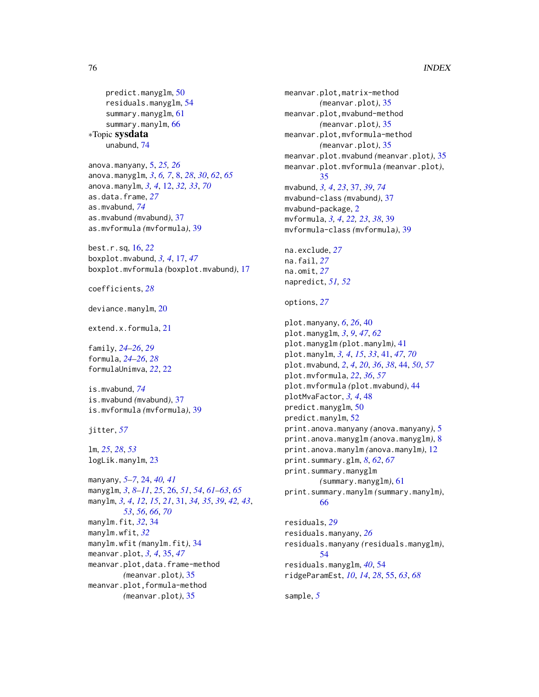```
predict.manyglm, 50
  residuals.manyglm, 54
  61
  66
∗Topic sysdata
  unabund, 74
```

```
anova.manyany, 5, 25, 26
anova.manyglm, 3, 6, 7, 8, 28, 30, 62, 65
anova.manylm, 3, 4, 12, 32, 33, 70
as.data.frame, 27
as.mvabund, 74
as.mvabund (mvabund), 37
as.mvformula (mvformula), 39
```
best.r.sq, [16,](#page-15-0) *[22](#page-21-0)* boxplot.mvabund, *[3,](#page-2-0) [4](#page-3-0)*, [17,](#page-16-0) *[47](#page-46-0)* boxplot.mvformula *(*boxplot.mvabund*)*, [17](#page-16-0)

coefficients, *[28](#page-27-0)*

deviance.manylm, [20](#page-19-0)

extend.x.formula, [21](#page-20-0)

family, *[24](#page-23-0)[–26](#page-25-0)*, *[29](#page-28-0)* formula, *[24](#page-23-0)[–26](#page-25-0)*, *[28](#page-27-0)* formulaUnimva, *[22](#page-21-0)*, [22](#page-21-0)

is.mvabund, *[74](#page-73-1)* is.mvabund *(*mvabund*)*, [37](#page-36-2) is.mvformula *(*mvformula*)*, [39](#page-38-0)

jitter, *[57](#page-56-0)*

lm, *[25](#page-24-0)*, *[28](#page-27-0)*, *[53](#page-52-0)* logLik.manylm, [23](#page-22-0)

manyany, *[5](#page-4-0)[–7](#page-6-0)*, [24,](#page-23-0) *[40,](#page-39-0) [41](#page-40-0)* manyglm, *[3](#page-2-0)*, *[8](#page-7-0)[–11](#page-10-0)*, *[25](#page-24-0)*, [26,](#page-25-0) *[51](#page-50-0)*, *[54](#page-53-0)*, *[61–](#page-60-0)[63](#page-62-0)*, *[65](#page-64-0)* manylm, *[3,](#page-2-0) [4](#page-3-0)*, *[12](#page-11-0)*, *[15](#page-14-0)*, *[21](#page-20-0)*, [31,](#page-30-0) *[34,](#page-33-0) [35](#page-34-0)*, *[39](#page-38-0)*, *[42,](#page-41-0) [43](#page-42-0)*, *[53](#page-52-0)*, *[56](#page-55-0)*, *[66](#page-65-0)*, *[70](#page-69-0)* manylm.fit, *[32](#page-31-0)*, [34](#page-33-0) manylm.wfit, *[32](#page-31-0)* manylm.wfit *(*manylm.fit*)*, [34](#page-33-0) meanvar.plot, *[3,](#page-2-0) [4](#page-3-0)*, [35,](#page-34-0) *[47](#page-46-0)* meanvar.plot,data.frame-method *(*meanvar.plot*)*, [35](#page-34-0) meanvar.plot,formula-method *(*meanvar.plot*)*, [35](#page-34-0)

meanvar.plot,matrix-method *(*meanvar.plot*)*, [35](#page-34-0) meanvar.plot,mvabund-method *(*meanvar.plot*)*, [35](#page-34-0) meanvar.plot,mvformula-method *(*meanvar.plot*)*, [35](#page-34-0) meanvar.plot.mvabund *(*meanvar.plot*)*, [35](#page-34-0) meanvar.plot.mvformula *(*meanvar.plot*)*, [35](#page-34-0) mvabund, *[3,](#page-2-0) [4](#page-3-0)*, *[23](#page-22-0)*, [37,](#page-36-2) *[39](#page-38-0)*, *[74](#page-73-1)* mvabund-class *(*mvabund*)*, [37](#page-36-2) mvabund-package, [2](#page-1-0) mvformula, *[3,](#page-2-0) [4](#page-3-0)*, *[22,](#page-21-0) [23](#page-22-0)*, *[38](#page-37-0)*, [39](#page-38-0) mvformula-class *(*mvformula*)*, [39](#page-38-0) na.exclude, *[27](#page-26-0)* na.fail, *[27](#page-26-0)* na.omit, *[27](#page-26-0)* napredict, *[51,](#page-50-0) [52](#page-51-0)* options, *[27](#page-26-0)* plot.manyany, *[6](#page-5-0)*, *[26](#page-25-0)*, [40](#page-39-0) plot.manyglm, *[3](#page-2-0)*, *[9](#page-8-0)*, *[47](#page-46-0)*, *[62](#page-61-0)* plot.manyglm *(*plot.manylm*)*, [41](#page-40-0) plot.manylm, *[3,](#page-2-0) [4](#page-3-0)*, *[15](#page-14-0)*, *[33](#page-32-0)*, [41,](#page-40-0) *[47](#page-46-0)*, *[70](#page-69-0)* plot.mvabund, *[2](#page-1-0)*, *[4](#page-3-0)*, *[20](#page-19-0)*, *[36](#page-35-0)*, *[38](#page-37-0)*, [44,](#page-43-0) *[50](#page-49-0)*, *[57](#page-56-0)* plot.mvformula, *[22](#page-21-0)*, *[36](#page-35-0)*, *[57](#page-56-0)* plot.mvformula *(*plot.mvabund*)*, [44](#page-43-0) plotMvaFactor, *[3,](#page-2-0) [4](#page-3-0)*, [48](#page-47-0) predict.manyglm, [50](#page-49-0) predict.manylm, [52](#page-51-0) print.anova.manyany *(*anova.manyany*)*, [5](#page-4-0) print.anova.manyglm *(*anova.manyglm*)*, [8](#page-7-0) print.anova.manylm *(*anova.manylm*)*, [12](#page-11-0) print.summary.glm, *[8](#page-7-0)*, *[62](#page-61-0)*, *[67](#page-66-0)* print.summary.manyglm *(*summary.manyglm*)*, [61](#page-60-0) print.summary.manylm *(*summary.manylm*)*, [66](#page-65-0) residuals, *[29](#page-28-0)* residuals.manyany, *[26](#page-25-0)* residuals.manyany *(*residuals.manyglm*)*,

[54](#page-53-0) residuals.manyglm, *[40](#page-39-0)*, [54](#page-53-0) ridgeParamEst, *[10](#page-9-0)*, *[14](#page-13-0)*, *[28](#page-27-0)*, [55,](#page-54-0) *[63](#page-62-0)*, *[68](#page-67-0)*

sample, *[5](#page-4-0)*